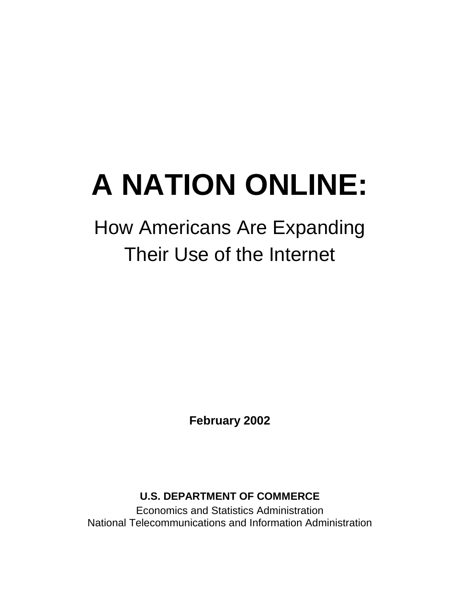# **A NATION ONLINE:**

## How Americans Are Expanding Their Use of the Internet

**February 2002** 

**U.S. DEPARTMENT OF COMMERCE** 

Economics and Statistics Administration National Telecommunications and Information Administration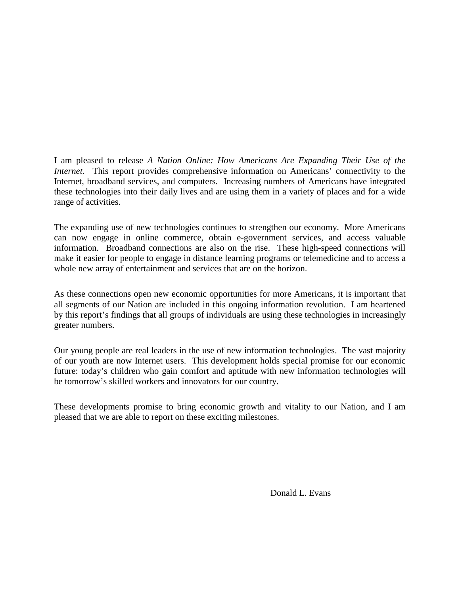I am pleased to release *A Nation Online: How Americans Are Expanding Their Use of the Internet*. This report provides comprehensive information on Americans' connectivity to the Internet, broadband services, and computers. Increasing numbers of Americans have integrated these technologies into their daily lives and are using them in a variety of places and for a wide range of activities.

The expanding use of new technologies continues to strengthen our economy. More Americans can now engage in online commerce, obtain e-government services, and access valuable information. Broadband connections are also on the rise. These high-speed connections will make it easier for people to engage in distance learning programs or telemedicine and to access a whole new array of entertainment and services that are on the horizon.

As these connections open new economic opportunities for more Americans, it is important that all segments of our Nation are included in this ongoing information revolution. I am heartened by this report's findings that all groups of individuals are using these technologies in increasingly greater numbers.

Our young people are real leaders in the use of new information technologies. The vast majority of our youth are now Internet users. This development holds special promise for our economic future: today's children who gain comfort and aptitude with new information technologies will be tomorrow's skilled workers and innovators for our country.

These developments promise to bring economic growth and vitality to our Nation, and I am pleased that we are able to report on these exciting milestones.

Donald L. Evans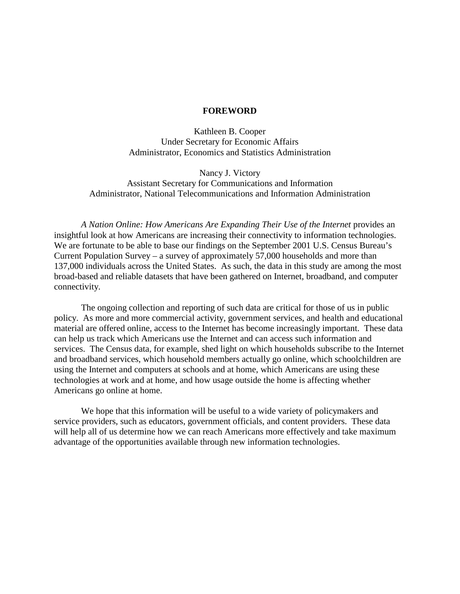#### **FOREWORD**

Kathleen B. Cooper Under Secretary for Economic Affairs Administrator, Economics and Statistics Administration

Nancy J. Victory Assistant Secretary for Communications and Information Administrator, National Telecommunications and Information Administration

*A Nation Online: How Americans Are Expanding Their Use of the Internet* provides an insightful look at how Americans are increasing their connectivity to information technologies. We are fortunate to be able to base our findings on the September 2001 U.S. Census Bureau's Current Population Survey – a survey of approximately 57,000 households and more than 137,000 individuals across the United States. As such, the data in this study are among the most broad-based and reliable datasets that have been gathered on Internet, broadband, and computer connectivity.

The ongoing collection and reporting of such data are critical for those of us in public policy. As more and more commercial activity, government services, and health and educational material are offered online, access to the Internet has become increasingly important. These data can help us track which Americans use the Internet and can access such information and services. The Census data, for example, shed light on which households subscribe to the Internet and broadband services, which household members actually go online, which schoolchildren are using the Internet and computers at schools and at home, which Americans are using these technologies at work and at home, and how usage outside the home is affecting whether Americans go online at home.

We hope that this information will be useful to a wide variety of policymakers and service providers, such as educators, government officials, and content providers. These data will help all of us determine how we can reach Americans more effectively and take maximum advantage of the opportunities available through new information technologies.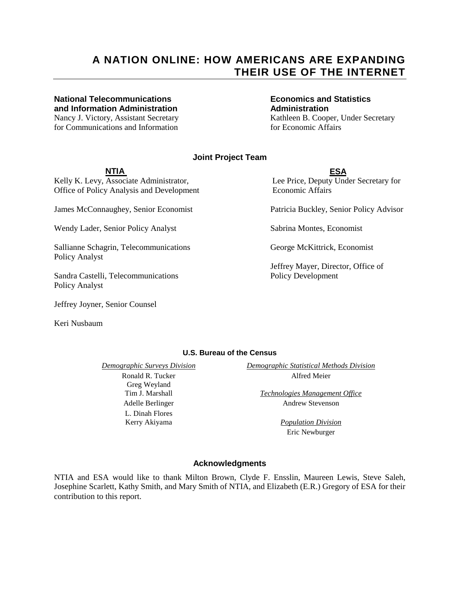#### **A NATION ONLINE: HOW AMERICANS ARE EXPANDING THEIR USE OF THE INTERNET**

#### **National Telecommunications Economics and Statistics and Information Administration Administration**

for Communications and Information for Economic Affairs

Nancy J. Victory, Assistant Secretary Kathleen B. Cooper, Under Secretary

#### **Joint Project Team**

#### **NTIA ESA**

Kelly K. Levy, Associate Administrator, Lee Price, Deputy Under Secretary for Office of Policy Analysis and Development Economic Affairs

James McConnaughey, Senior Economist Patricia Buckley, Senior Policy Advisor

Wendy Lader, Senior Policy Analyst Sabrina Montes, Economist

Sallianne Schagrin, Telecommunications George McKittrick, Economist Policy Analyst

Sandra Castelli, Telecommunications Policy Development Policy Analyst

Jeffrey Joyner, Senior Counsel

Keri Nusbaum

Jeffrey Mayer, Director, Office of

#### **U.S. Bureau of the Census**

 Greg Weyland L. Dinah Flores

*Demographic Surveys Division**Demographic Statistical Methods Division* Ronald R. Tucker Alfred Meier

 Tim J. Marshall *Technologies Management Office* Adelle Berlinger Andrew Stevenson

 Kerry Akiyama *Population Division* Eric Newburger

#### **Acknowledgments**

NTIA and ESA would like to thank Milton Brown, Clyde F. Ensslin, Maureen Lewis, Steve Saleh, Josephine Scarlett, Kathy Smith, and Mary Smith of NTIA, and Elizabeth (E.R.) Gregory of ESA for their contribution to this report.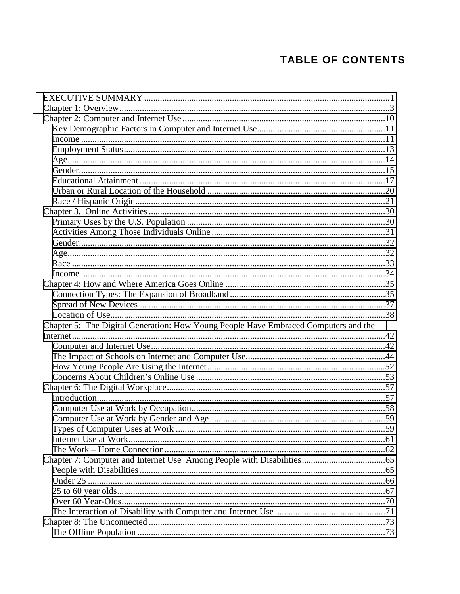## **TABLE OF CONTENTS**

| Chapter 5: The Digital Generation: How Young People Have Embraced Computers and the |  |
|-------------------------------------------------------------------------------------|--|
|                                                                                     |  |
|                                                                                     |  |
|                                                                                     |  |
|                                                                                     |  |
|                                                                                     |  |
|                                                                                     |  |
|                                                                                     |  |
|                                                                                     |  |
|                                                                                     |  |
|                                                                                     |  |
|                                                                                     |  |
|                                                                                     |  |
|                                                                                     |  |
|                                                                                     |  |
|                                                                                     |  |
|                                                                                     |  |
|                                                                                     |  |
|                                                                                     |  |
|                                                                                     |  |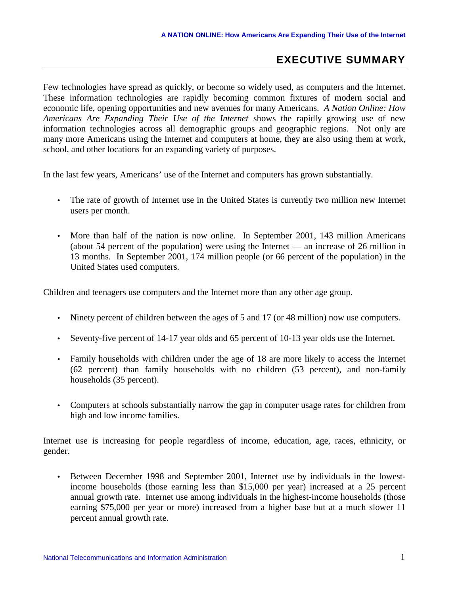#### **EXECUTIVE SUMMARY**

<span id="page-6-0"></span>Few technologies have spread as quickly, or become so widely used, as computers and the Internet. These information technologies are rapidly becoming common fixtures of modern social and economic life, opening opportunities and new avenues for many Americans. *A Nation Online: How Americans Are Expanding Their Use of the Internet* shows the rapidly growing use of new information technologies across all demographic groups and geographic regions. Not only are many more Americans using the Internet and computers at home, they are also using them at work, school, and other locations for an expanding variety of purposes.

In the last few years, Americans' use of the Internet and computers has grown substantially.

- The rate of growth of Internet use in the United States is currently two million new Internet users per month.
- More than half of the nation is now online. In September 2001, 143 million Americans (about 54 percent of the population) were using the Internet — an increase of 26 million in 13 months. In September 2001, 174 million people (or 66 percent of the population) in the United States used computers.

Children and teenagers use computers and the Internet more than any other age group.

- Ninety percent of children between the ages of 5 and 17 (or 48 million) now use computers.
- Seventy-five percent of 14-17 year olds and 65 percent of 10-13 year olds use the Internet.
- Family households with children under the age of 18 are more likely to access the Internet (62 percent) than family households with no children (53 percent), and non-family households (35 percent).
- Computers at schools substantially narrow the gap in computer usage rates for children from high and low income families.

Internet use is increasing for people regardless of income, education, age, races, ethnicity, or gender.

• Between December 1998 and September 2001, Internet use by individuals in the lowestincome households (those earning less than \$15,000 per year) increased at a 25 percent annual growth rate. Internet use among individuals in the highest-income households (those earning \$75,000 per year or more) increased from a higher base but at a much slower 11 percent annual growth rate.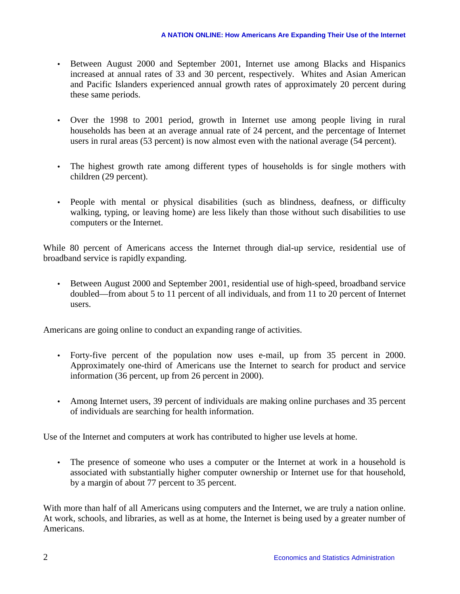- Between August 2000 and September 2001, Internet use among Blacks and Hispanics increased at annual rates of 33 and 30 percent, respectively. Whites and Asian American and Pacific Islanders experienced annual growth rates of approximately 20 percent during these same periods.
- Over the 1998 to 2001 period, growth in Internet use among people living in rural households has been at an average annual rate of 24 percent, and the percentage of Internet users in rural areas (53 percent) is now almost even with the national average (54 percent).
- The highest growth rate among different types of households is for single mothers with children (29 percent).
- People with mental or physical disabilities (such as blindness, deafness, or difficulty walking, typing, or leaving home) are less likely than those without such disabilities to use computers or the Internet.

While 80 percent of Americans access the Internet through dial-up service, residential use of broadband service is rapidly expanding.

• Between August 2000 and September 2001, residential use of high-speed, broadband service doubled—from about 5 to 11 percent of all individuals, and from 11 to 20 percent of Internet users.

Americans are going online to conduct an expanding range of activities.

- Forty-five percent of the population now uses e-mail, up from 35 percent in 2000. Approximately one-third of Americans use the Internet to search for product and service information (36 percent, up from 26 percent in 2000).
- Among Internet users, 39 percent of individuals are making online purchases and 35 percent of individuals are searching for health information.

Use of the Internet and computers at work has contributed to higher use levels at home.

• The presence of someone who uses a computer or the Internet at work in a household is associated with substantially higher computer ownership or Internet use for that household, by a margin of about 77 percent to 35 percent.

With more than half of all Americans using computers and the Internet, we are truly a nation online. At work, schools, and libraries, as well as at home, the Internet is being used by a greater number of Americans.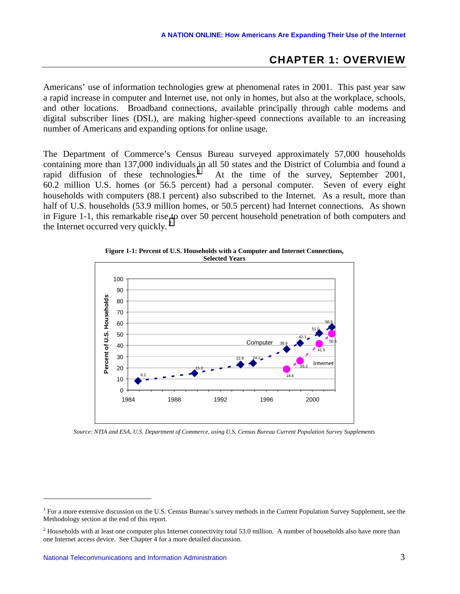#### **CHAPTER 1: OVERVIEW**

<span id="page-8-0"></span>Americans' use of information technologies grew at phenomenal rates in 2001. This past year saw a rapid increase in computer and Internet use, not only in homes, but also at the workplace, schools, and other locations. Broadband connections, available principally through cable modems and digital subscriber lines (DSL), are making higher-speed connections available to an increasing number of Americans and expanding options for online usage.

The Department of Commerce's Census Bureau surveyed approximately 57,000 households containing more than 137,000 individuals in all 50 states and the District of Columbia and found a rapid diffusion of these technologies. $\frac{1}{1}$  At the time of the survey, September 2001, 60.2 million U.S. homes (or 56.5 percent) had a personal computer. Seven of every eight households with computers (88.1 percent) also subscribed to the Internet. As a result, more than half of U.S. households (53.9 million homes, or 50.5 percent) had Internet connections. As shown in Figure 1-1, this remarkable rise to over 50 percent household penetration of both computers and the Internet occurred very quickly. $2$ 



**Figure 1-1: Percent of U.S. Households with a Computer and Internet Connections, Selected Years** 

*Source: NTIA and ESA, U.S. Department of Commerce, using U.S. Census Bureau Current Population Survey Supplements* 

<sup>&</sup>lt;sup>1</sup> For a more extensive discussion on the U.S. Census Bureau's survey methods in the Current Population Survey Supplement, see the Methodology section at the end of this report.

<sup>&</sup>lt;sup>2</sup> Households with at least one computer plus Internet connectivity total 53.0 million. A number of households also have more than one Internet access device. See Chapter 4 for a more detailed discussion.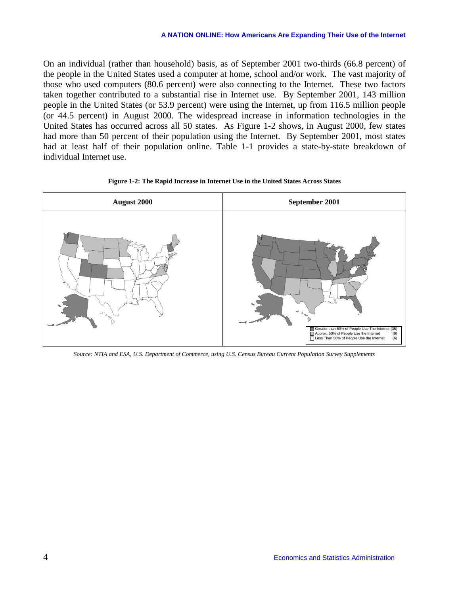On an individual (rather than household) basis, as of September 2001 two-thirds (66.8 percent) of the people in the United States used a computer at home, school and/or work. The vast majority of those who used computers (80.6 percent) were also connecting to the Internet. These two factors taken together contributed to a substantial rise in Internet use. By September 2001, 143 million people in the United States (or 53.9 percent) were using the Internet, up from 116.5 million people (or 44.5 percent) in August 2000. The widespread increase in information technologies in the United States has occurred across all 50 states. As Figure 1-2 shows, in August 2000, few states had more than 50 percent of their population using the Internet. By September 2001, most states had at least half of their population online. Table 1-1 provides a state-by-state breakdown of individual Internet use.





*Source: NTIA and ESA, U.S. Department of Commerce, using U.S. Census Bureau Current Population Survey Supplements*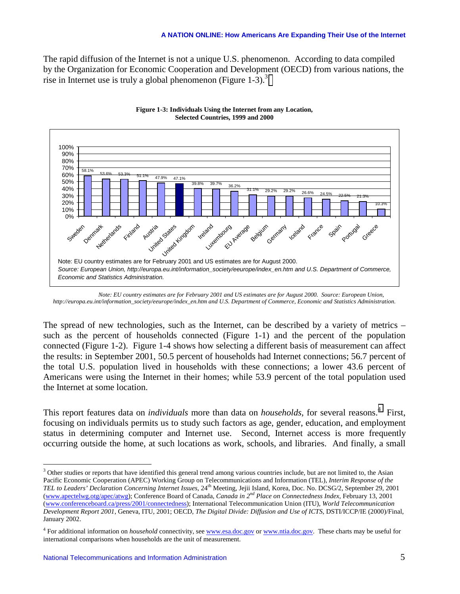The rapid diffusion of the Internet is not a unique U.S. phenomenon. According to data compiled by the Organization for Economic Cooperation and Development (OECD) from various nations, the rise in Internet use is truly a global phenomenon (Figure  $1-3$ ).<sup>3</sup>



**Figure 1-3: Individuals Using the Internet from any Location, Selected Countries, 1999 and 2000** 

 *Note: EU country estimates are for February 2001 and US estimates are for August 2000. Source: European Union, http://europa.eu.int/information\_society/eeurope/index\_en.htm and U.S. Department of Commerce, Economic and Statistics Administration.* 

The spread of new technologies, such as the Internet, can be described by a variety of metrics – such as the percent of households connected (Figure 1-1) and the percent of the population connected (Figure 1-2). Figure 1-4 shows how selecting a different basis of measurement can affect the results: in September 2001, 50.5 percent of households had Internet connections; 56.7 percent of the total U.S. population lived in households with these connections; a lower 43.6 percent of Americans were using the Internet in their homes; while 53.9 percent of the total population used the Internet at some location.

This report features data on *individuals* more than data on *households*, for several reasons.<sup>4</sup> First, focusing on individuals permits us to study such factors as age, gender, education, and employment status in determining computer and Internet use. Second, Internet access is more frequently occurring outside the home, at such locations as work, schools, and libraries. And finally, a small

 $3$  Other studies or reports that have identified this general trend among various countries include, but are not limited to, the Asian Pacific Economic Cooperation (APEC) Working Group on Telecommunications and Information (TEL), *Interim Response of the TEL to Leaders' Declaration Concerning Internet Issues*, 24<sup>th</sup> Meeting, Jejii Island, Korea, Doc. No. DCSG/2, September 29, 2001 (www.apectelwg.otg/apec/atwg); Conference Board of Canada, *Canada in 2nd Place on Connectedness Index*, February 13, 2001 (www.conferenceboard.ca/press/2001/connectedness); International Telecommunication Union (ITU), *World Telecommunication Development Report 2001*, Geneva, ITU, 2001; OECD, *The Digital Divide: Diffusion and Use of ICTS*, DSTI/ICCP/IE (2000)/Final, January 2002.

<sup>&</sup>lt;sup>4</sup> For additional information on *household* connectivity, see www.esa.doc.gov or www.ntia.doc.gov. These charts may be useful for international comparisons when households are the unit of measurement.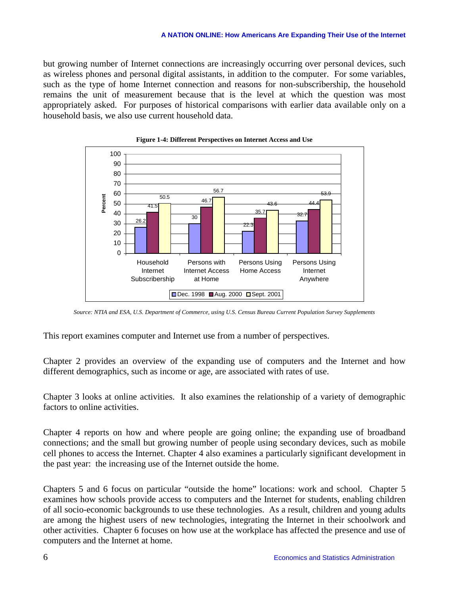but growing number of Internet connections are increasingly occurring over personal devices, such as wireless phones and personal digital assistants, in addition to the computer. For some variables, such as the type of home Internet connection and reasons for non-subscribership, the household remains the unit of measurement because that is the level at which the question was most appropriately asked. For purposes of historical comparisons with earlier data available only on a household basis, we also use current household data.





*Source: NTIA and ESA, U.S. Department of Commerce, using U.S. Census Bureau Current Population Survey Supplements* 

This report examines computer and Internet use from a number of perspectives.

Chapter 2 provides an overview of the expanding use of computers and the Internet and how different demographics, such as income or age, are associated with rates of use.

Chapter 3 looks at online activities. It also examines the relationship of a variety of demographic factors to online activities.

Chapter 4 reports on how and where people are going online; the expanding use of broadband connections; and the small but growing number of people using secondary devices, such as mobile cell phones to access the Internet. Chapter 4 also examines a particularly significant development in the past year: the increasing use of the Internet outside the home.

Chapters 5 and 6 focus on particular "outside the home" locations: work and school. Chapter 5 examines how schools provide access to computers and the Internet for students, enabling children of all socio-economic backgrounds to use these technologies. As a result, children and young adults are among the highest users of new technologies, integrating the Internet in their schoolwork and other activities. Chapter 6 focuses on how use at the workplace has affected the presence and use of computers and the Internet at home.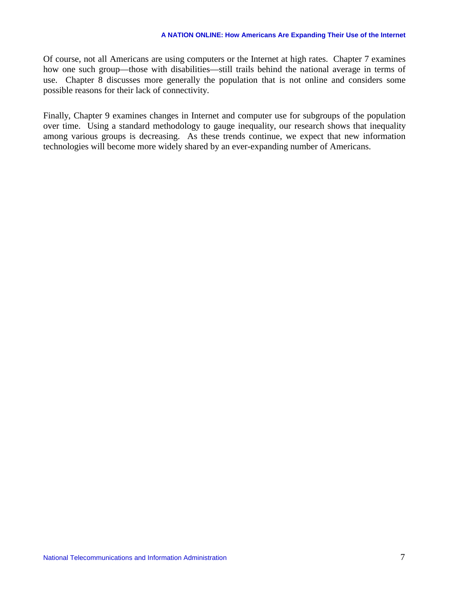Of course, not all Americans are using computers or the Internet at high rates. Chapter 7 examines how one such group—those with disabilities—still trails behind the national average in terms of use. Chapter 8 discusses more generally the population that is not online and considers some possible reasons for their lack of connectivity.

Finally, Chapter 9 examines changes in Internet and computer use for subgroups of the population over time. Using a standard methodology to gauge inequality, our research shows that inequality among various groups is decreasing. As these trends continue, we expect that new information technologies will become more widely shared by an ever-expanding number of Americans.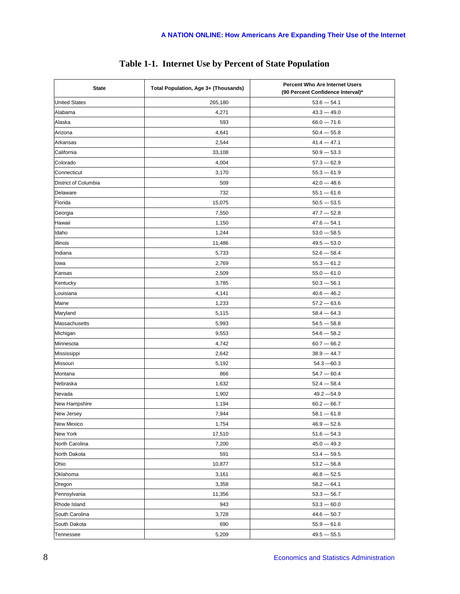| <b>State</b>         | Total Population, Age 3+ (Thousands) | Percent Who Are Internet Users<br>(90 Percent Confidence Interval)* |
|----------------------|--------------------------------------|---------------------------------------------------------------------|
| <b>United States</b> | 265,180                              | $53.6 - 54.1$                                                       |
| Alabama              | 4,271                                | $43.3 - 49.0$                                                       |
| Alaska               | 593                                  | $66.0 - 71.6$                                                       |
| Arizona              | 4,641                                | $50.4 - 55.8$                                                       |
| Arkansas             | 2,544                                | $41.4 - 47.1$                                                       |
| California           | 33,108                               | $50.9 - 53.3$                                                       |
| Colorado             | 4,004                                | $57.3 - 62.9$                                                       |
| Connecticut          | 3,170                                | $55.3 - 61.9$                                                       |
| District of Columbia | 509                                  | $42.0 - 48.6$                                                       |
| Delaware             | 732                                  | $55.1 - 61.6$                                                       |
| Florida              | 15,075                               | $50.5 - 53.5$                                                       |
| Georgia              | 7,550                                | $47.7 - 52.8$                                                       |
| Hawaii               | 1,150                                | $47.6 - 54.1$                                                       |
| Idaho                | 1,244                                | $53.0 - 58.5$                                                       |
| Illinois             | 11,486                               | $49.5 - 53.0$                                                       |
| Indiana              | 5,733                                | $52.6 - 58.4$                                                       |
| lowa                 | 2,769                                | $55.3 - 61.2$                                                       |
| Kansas               | 2,509                                | $55.0 - 61.0$                                                       |
| Kentucky             | 3,785                                | $50.3 - 56.1$                                                       |
| Louisiana            | 4,141                                | $40.6 - 46.2$                                                       |
| Maine                | 1,233                                | $57.2 - 63.6$                                                       |
| Maryland             | 5,115                                | $58.4 - 64.3$                                                       |
| Massachusetts        | 5,993                                | $54.5 - 58.8$                                                       |
| Michigan             | 9,553                                | $54.6 - 58.2$                                                       |
| Minnesota            | 4,742                                | $60.7 - 66.2$                                                       |
| Mississippi          | 2,642                                | $38.9 - 44.7$                                                       |
| Missouri             | 5,192                                | $54.3 - 60.3$                                                       |
| Montana              | 866                                  | $54.7 - 60.4$                                                       |
| Nebraska             | 1,632                                | $52.4 - 58.4$                                                       |
| Nevada               | 1,902                                | $49.2 - 54.9$                                                       |
| New Hampshire        | 1,194                                | $60.2 - 66.7$                                                       |
| New Jersey           | 7,944                                | $58.1 - 61.8$                                                       |
| New Mexico           | 1,754                                | $46.9 - 52.6$                                                       |
| New York             | 17,510                               | $51.6 - 54.3$                                                       |
| North Carolina       | 7,200                                | $45.0 - 49.3$                                                       |
| North Dakota         | 591                                  | $53.4 - 59.5$                                                       |
| Ohio                 | 10,877                               | $53.2 - 56.8$                                                       |
| Oklahoma             | 3,161                                | $46.8 - 52.5$                                                       |
| Oregon               | 3,358                                | $58.2 - 64.1$                                                       |
| Pennsylvania         | 11,356                               | $53.3 - 56.7$                                                       |
| Rhode Island         | 943                                  | $53.3 - 60.0$                                                       |
| South Carolina       | 3,728                                | $44.6 - 50.7$                                                       |
| South Dakota         | 690                                  | $55.9 - 61.6$                                                       |
| Tennessee            | 5,209                                | $49.5 - 55.5$                                                       |

#### **Table 1-1. Internet Use by Percent of State Population**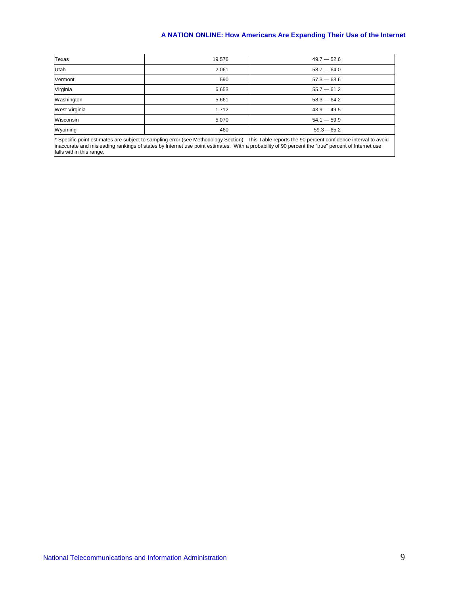| 19,576 | $49.7 - 52.6$ |
|--------|---------------|
| 2,061  | $58.7 - 64.0$ |
| 590    | $57.3 - 63.6$ |
| 6,653  | $55.7 - 61.2$ |
| 5,661  | $58.3 - 64.2$ |
| 1,712  | $43.9 - 49.5$ |
| 5,070  | $54.1 - 59.9$ |
| 460    | $59.3 - 65.2$ |
|        |               |

\* Specific point estimates are subject to sampling error (see Methodology Section). This Table reports the 90 percent confidence interval to avoid inaccurate and misleading rankings of states by Internet use point estimates. With a probability of 90 percent the "true" percent of Internet use falls within this range.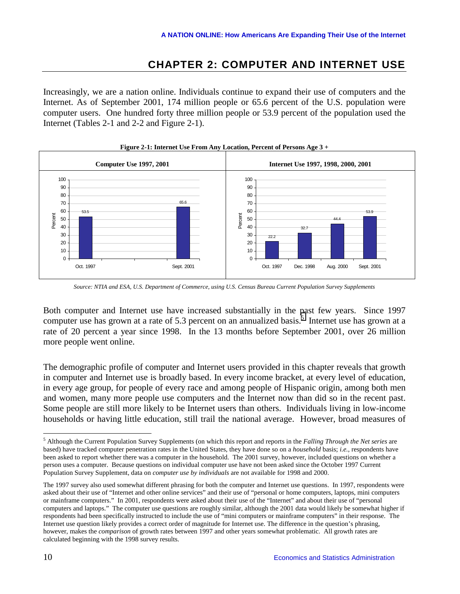### **CHAPTER 2: COMPUTER AND INTERNET USE**

<span id="page-15-0"></span>Increasingly, we are a nation online. Individuals continue to expand their use of computers and the Internet. As of September 2001, 174 million people or 65.6 percent of the U.S. population were computer users. One hundred forty three million people or 53.9 percent of the population used the Internet (Tables 2-1 and 2-2 and Figure 2-1).



**Figure 2-1: Internet Use From Any Location, Percent of Persons Age 3 +** 

*Source: NTIA and ESA, U.S. Department of Commerce, using U.S. Census Bureau Current Population Survey Supplements* 

Both computer and Internet use have increased substantially in the past few years. Since 1997 computer use has grown at a rate of 5.3 percent on an annualized basis.<sup>5</sup> Internet use has grown at a rate of 20 percent a year since 1998. In the 13 months before September 2001, over 26 million more people went online.

The demographic profile of computer and Internet users provided in this chapter reveals that growth in computer and Internet use is broadly based. In every income bracket, at every level of education, in every age group, for people of every race and among people of Hispanic origin, among both men and women, many more people use computers and the Internet now than did so in the recent past. Some people are still more likely to be Internet users than others. Individuals living in low-income households or having little education, still trail the national average. However, broad measures of

<sup>5</sup> Although the Current Population Survey Supplements (on which this report and reports in the *Falling Through the Net series* are based) have tracked computer penetration rates in the United States, they have done so on a *household* basis; *i.e.*, respondents have been asked to report whether there was a computer in the household. The 2001 survey, however, included questions on whether a person uses a computer. Because questions on individual computer use have not been asked since the October 1997 Current Population Survey Supplement, data on *computer use by individuals* are not available for 1998 and 2000.

The 1997 survey also used somewhat different phrasing for both the computer and Internet use questions. In 1997, respondents were asked about their use of "Internet and other online services" and their use of "personal or home computers, laptops, mini computers or mainframe computers." In 2001, respondents were asked about their use of the "Internet" and about their use of "personal computers and laptops." The computer use questions are roughly similar, although the 2001 data would likely be somewhat higher if respondents had been specifically instructed to include the use of "mini computers or mainframe computers" in their response. The Internet use question likely provides a correct order of magnitude for Internet use. The difference in the question's phrasing, however, makes the *comparison* of growth rates between 1997 and other years somewhat problematic. All growth rates are calculated beginning with the 1998 survey results.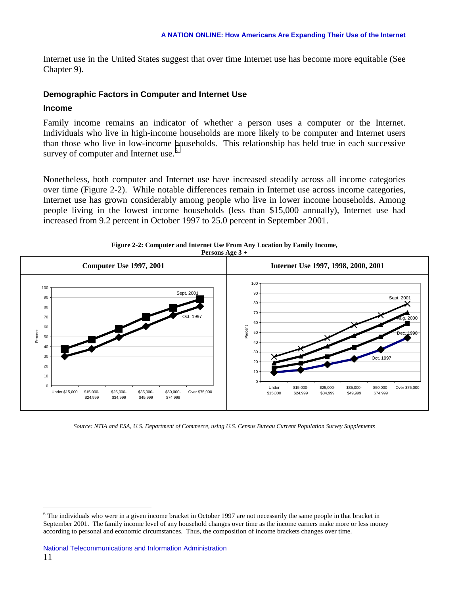<span id="page-16-0"></span>Internet use in the United States suggest that over time Internet use has become more equitable (See Chapter 9).

#### **Demographic Factors in Computer and Internet Use**

#### **Income**

 $\overline{a}$ 

Family income remains an indicator of whether a person uses a computer or the Internet. Individuals who live in high-income households are more likely to be computer and Internet users than those who live in low-income households. This relationship has held true in each successive survey of computer and Internet use.<sup>6</sup>

Nonetheless, both computer and Internet use have increased steadily across all income categories over time (Figure 2-2). While notable differences remain in Internet use across income categories, Internet use has grown considerably among people who live in lower income households. Among people living in the lowest income households (less than \$15,000 annually), Internet use had increased from 9.2 percent in October 1997 to 25.0 percent in September 2001.



**Figure 2-2: Computer and Internet Use From Any Location by Family Income,** 

*Source: NTIA and ESA, U.S. Department of Commerce, using U.S. Census Bureau Current Population Survey Supplements* 

 $6$  The individuals who were in a given income bracket in October 1997 are not necessarily the same people in that bracket in September 2001. The family income level of any household changes over time as the income earners make more or less money according to personal and economic circumstances. Thus, the composition of income brackets changes over time.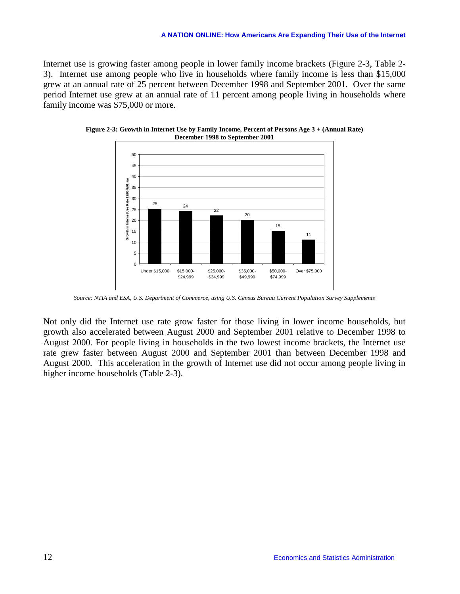Internet use is growing faster among people in lower family income brackets (Figure 2-3, Table 2- 3). Internet use among people who live in households where family income is less than \$15,000 grew at an annual rate of 25 percent between December 1998 and September 2001. Over the same period Internet use grew at an annual rate of 11 percent among people living in households where family income was \$75,000 or more.



**Figure 2-3: Growth in Internet Use by Family Income, Percent of Persons Age 3 + (Annual Rate) December 1998 to September 2001** 

*Source: NTIA and ESA, U.S. Department of Commerce, using U.S. Census Bureau Current Population Survey Supplements* 

Not only did the Internet use rate grow faster for those living in lower income households, but growth also accelerated between August 2000 and September 2001 relative to December 1998 to August 2000. For people living in households in the two lowest income brackets, the Internet use rate grew faster between August 2000 and September 2001 than between December 1998 and August 2000. This acceleration in the growth of Internet use did not occur among people living in higher income households (Table 2-3).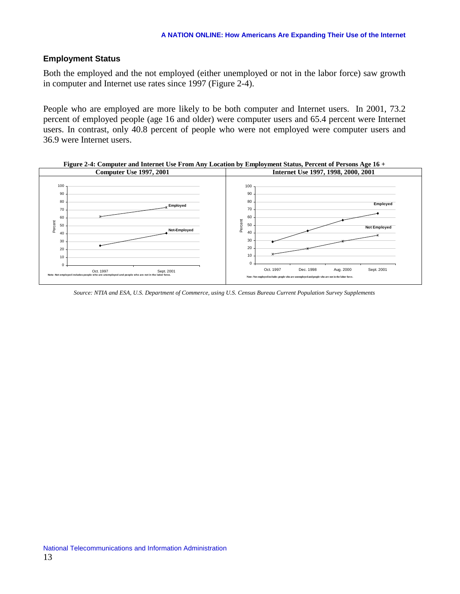#### <span id="page-18-0"></span>**Employment Status**

Both the employed and the not employed (either unemployed or not in the labor force) saw growth in computer and Internet use rates since 1997 (Figure 2-4).

People who are employed are more likely to be both computer and Internet users. In 2001, 73.2 percent of employed people (age 16 and older) were computer users and 65.4 percent were Internet users. In contrast, only 40.8 percent of people who were not employed were computer users and 36.9 were Internet users.



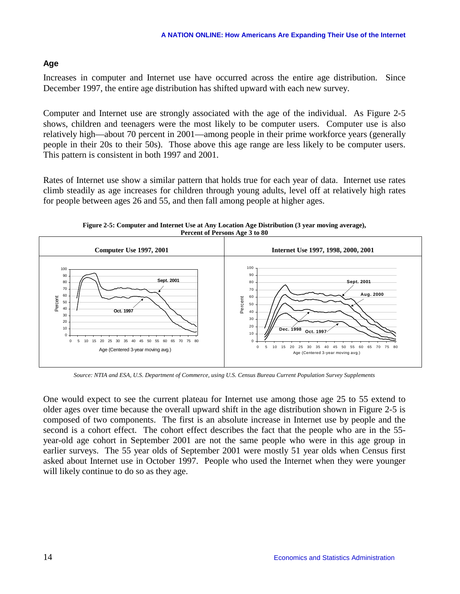#### <span id="page-19-0"></span>**Age**

Increases in computer and Internet use have occurred across the entire age distribution. Since December 1997, the entire age distribution has shifted upward with each new survey.

Computer and Internet use are strongly associated with the age of the individual. As Figure 2-5 shows, children and teenagers were the most likely to be computer users. Computer use is also relatively high—about 70 percent in 2001—among people in their prime workforce years (generally people in their 20s to their 50s). Those above this age range are less likely to be computer users. This pattern is consistent in both 1997 and 2001.

Rates of Internet use show a similar pattern that holds true for each year of data. Internet use rates climb steadily as age increases for children through young adults, level off at relatively high rates for people between ages 26 and 55, and then fall among people at higher ages.

**Figure 2-5: Computer and Internet Use at Any Location Age Distribution (3 year moving average), Percent of Persons Age 3 to 80** 



*Source: NTIA and ESA, U.S. Department of Commerce, using U.S. Census Bureau Current Population Survey Supplements* 

One would expect to see the current plateau for Internet use among those age 25 to 55 extend to older ages over time because the overall upward shift in the age distribution shown in Figure 2-5 is composed of two components. The first is an absolute increase in Internet use by people and the second is a cohort effect. The cohort effect describes the fact that the people who are in the 55 year-old age cohort in September 2001 are not the same people who were in this age group in earlier surveys. The 55 year olds of September 2001 were mostly 51 year olds when Census first asked about Internet use in October 1997. People who used the Internet when they were younger will likely continue to do so as they age.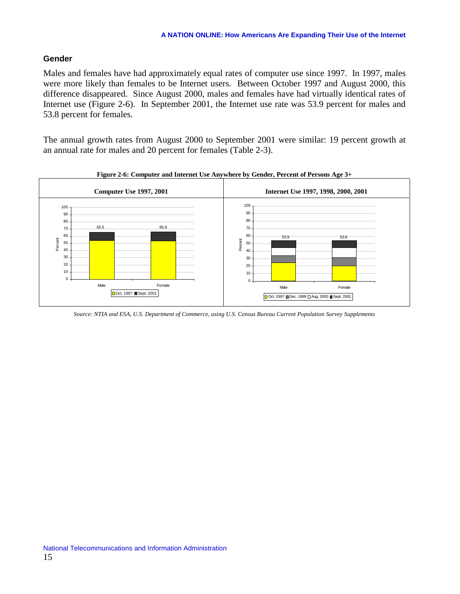#### <span id="page-20-0"></span>**Gender**

Males and females have had approximately equal rates of computer use since 1997. In 1997, males were more likely than females to be Internet users. Between October 1997 and August 2000, this difference disappeared. Since August 2000, males and females have had virtually identical rates of Internet use (Figure 2-6). In September 2001, the Internet use rate was 53.9 percent for males and 53.8 percent for females.

The annual growth rates from August 2000 to September 2001 were similar: 19 percent growth at an annual rate for males and 20 percent for females (Table 2-3).



**Figure 2-6: Computer and Internet Use Anywhere by Gender, Percent of Persons Age 3+** 

*Source: NTIA and ESA, U.S. Department of Commerce, using U.S. Census Bureau Current Population Survey Supplements*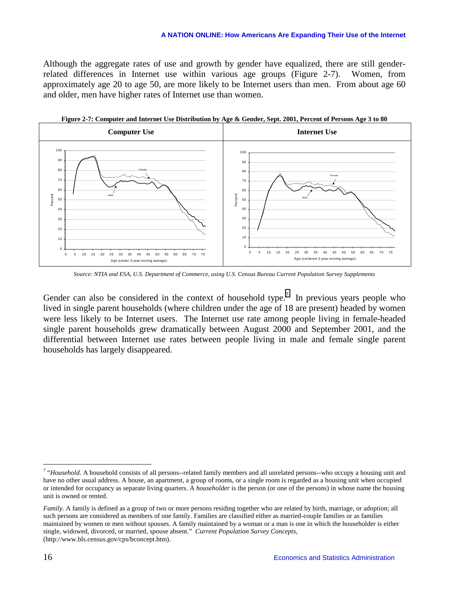Although the aggregate rates of use and growth by gender have equalized, there are still genderrelated differences in Internet use within various age groups (Figure 2-7). Women, from approximately age 20 to age 50, are more likely to be Internet users than men. From about age 60 and older, men have higher rates of Internet use than women.



**Figure 2-7: Computer and Internet Use Distribution by Age & Gender, Sept. 2001, Percent of Persons Age 3 to 80** 

*Source: NTIA and ESA, U.S. Department of Commerce, using U.S. Census Bureau Current Population Survey Supplements* 

Gender can also be considered in the context of household type.<sup>7</sup> In previous years people who lived in single parent households (where children under the age of 18 are present) headed by women were less likely to be Internet users. The Internet use rate among people living in female-headed single parent households grew dramatically between August 2000 and September 2001, and the differential between Internet use rates between people living in male and female single parent households has largely disappeared.

<sup>&</sup>lt;sup>7</sup> "Household. A household consists of all persons--related family members and all unrelated persons--who occupy a housing unit and have no other usual address. A house, an apartment, a group of rooms, or a single room is regarded as a housing unit when occupied or intended for occupancy as separate living quarters. A *householder* is the person (or one of the persons) in whose name the housing unit is owned or rented.

*Family*. A family is defined as a group of two or more persons residing together who are related by birth, marriage, or adoption; all such persons are considered as members of one family. Families are classified either as married-couple families or as families maintained by women or men without spouses. A family maintained by a woman or a man is one in which the householder is either single, widowed, divorced, or married, spouse absent." *Current Population Survey Concepts*, (http://www.bls.census.gov/cps/bconcept.htm).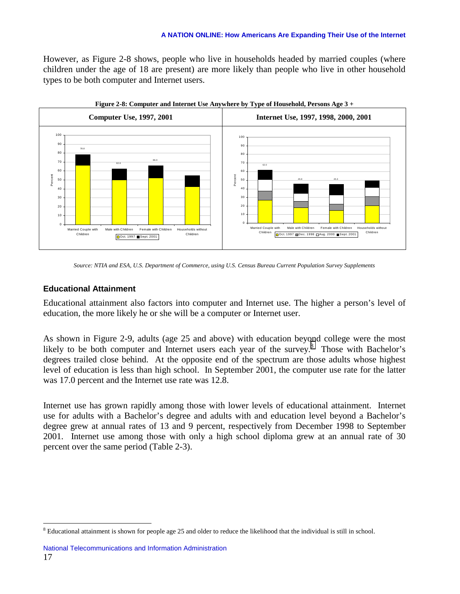<span id="page-22-0"></span>However, as Figure 2-8 shows, people who live in households headed by married couples (where children under the age of 18 are present) are more likely than people who live in other household types to be both computer and Internet users.



**Figure 2-8: Computer and Internet Use Anywhere by Type of Household, Persons Age 3 +** 

#### **Educational Attainment**

 $\overline{a}$ 

Educational attainment also factors into computer and Internet use. The higher a person's level of education, the more likely he or she will be a computer or Internet user.

As shown in Figure 2-9, adults (age 25 and above) with education beyond college were the most likely to be both computer and Internet users each year of the survey.<sup>8</sup> Those with Bachelor's degrees trailed close behind. At the opposite end of the spectrum are those adults whose highest level of education is less than high school. In September 2001, the computer use rate for the latter was 17.0 percent and the Internet use rate was 12.8.

Internet use has grown rapidly among those with lower levels of educational attainment. Internet use for adults with a Bachelor's degree and adults with and education level beyond a Bachelor's degree grew at annual rates of 13 and 9 percent, respectively from December 1998 to September 2001. Internet use among those with only a high school diploma grew at an annual rate of 30 percent over the same period (Table 2-3).

*Source: NTIA and ESA, U.S. Department of Commerce, using U.S. Census Bureau Current Population Survey Supplements* 

<sup>&</sup>lt;sup>8</sup> Educational attainment is shown for people age 25 and older to reduce the likelihood that the individual is still in school.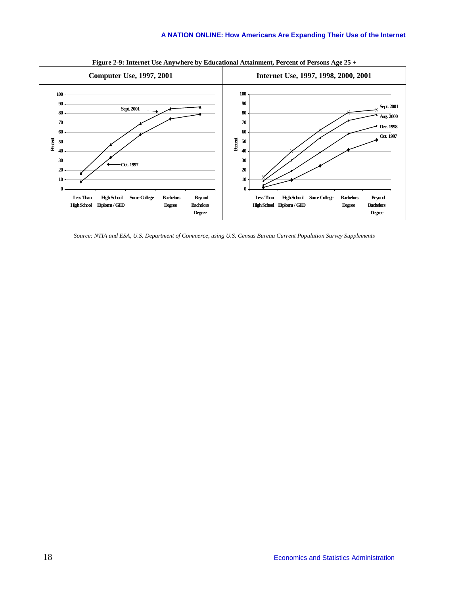

**Figure 2-9: Internet Use Anywhere by Educational Attainment, Percent of Persons Age 25 +** 

*Source: NTIA and ESA, U.S. Department of Commerce, using U.S. Census Bureau Current Population Survey Supplements*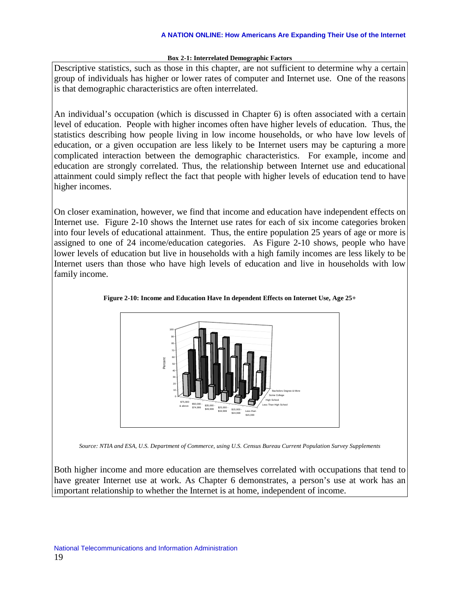#### **Box 2-1: Interrelated Demographic Factors**

Descriptive statistics, such as those in this chapter, are not sufficient to determine why a certain group of individuals has higher or lower rates of computer and Internet use. One of the reasons is that demographic characteristics are often interrelated.

An individual's occupation (which is discussed in Chapter 6) is often associated with a certain level of education. People with higher incomes often have higher levels of education. Thus, the statistics describing how people living in low income households, or who have low levels of education, or a given occupation are less likely to be Internet users may be capturing a more complicated interaction between the demographic characteristics. For example, income and education are strongly correlated. Thus, the relationship between Internet use and educational attainment could simply reflect the fact that people with higher levels of education tend to have higher incomes.

On closer examination, however, we find that income and education have independent effects on Internet use. Figure 2-10 shows the Internet use rates for each of six income categories broken into four levels of educational attainment. Thus, the entire population 25 years of age or more is assigned to one of 24 income/education categories. As Figure 2-10 shows, people who have lower levels of education but live in households with a high family incomes are less likely to be Internet users than those who have high levels of education and live in households with low family income.





*Source: NTIA and ESA, U.S. Department of Commerce, using U.S. Census Bureau Current Population Survey Supplements* 

Both higher income and more education are themselves correlated with occupations that tend to have greater Internet use at work. As Chapter 6 demonstrates, a person's use at work has an important relationship to whether the Internet is at home, independent of income.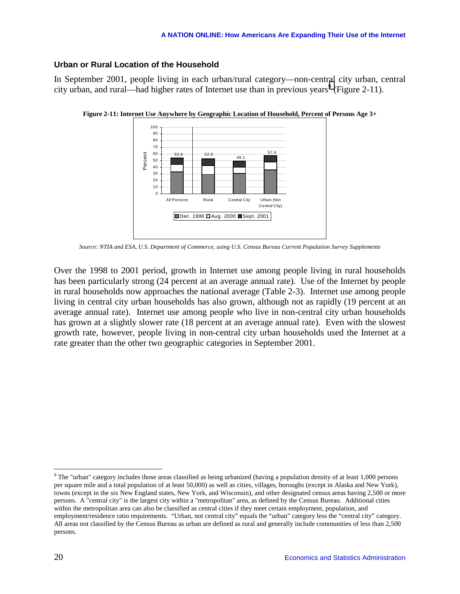#### <span id="page-25-0"></span>**Urban or Rural Location of the Household**

In September 2001, people living in each urban/rural category—non-central city urban, central city urban, and rural—had higher rates of Internet use than in previous years<sup>9</sup> (Figure 2-11).



**Figure 2-11: Internet Use Anywhere by Geographic Location of Household, Percent of Persons Age 3+** 

*Source: NTIA and ESA, U.S. Department of Commerce, using U.S. Census Bureau Current Population Survey Supplements* 

Over the 1998 to 2001 period, growth in Internet use among people living in rural households has been particularly strong (24 percent at an average annual rate). Use of the Internet by people in rural households now approaches the national average (Table 2-3). Internet use among people living in central city urban households has also grown, although not as rapidly (19 percent at an average annual rate). Internet use among people who live in non-central city urban households has grown at a slightly slower rate (18 percent at an average annual rate). Even with the slowest growth rate, however, people living in non-central city urban households used the Internet at a rate greater than the other two geographic categories in September 2001.

 $9$  The "urban" category includes those areas classified as being urbanized (having a population density of at least 1,000 persons per square mile and a total population of at least 50,000) as well as cities, villages, boroughs (except in Alaska and New York), towns (except in the six New England states, New York, and Wisconsin), and other designated census areas having 2,500 or more persons. A "central city" is the largest city within a "metropolitan" area, as defined by the Census Bureau. Additional cities within the metropolitan area can also be classified as central cities if they meet certain employment, population, and employment/residence ratio requirements. "Urban, not central city" equals the "urban" category less the "central city" category. All areas not classified by the Census Bureau as urban are defined as rural and generally include communities of less than 2,500 persons.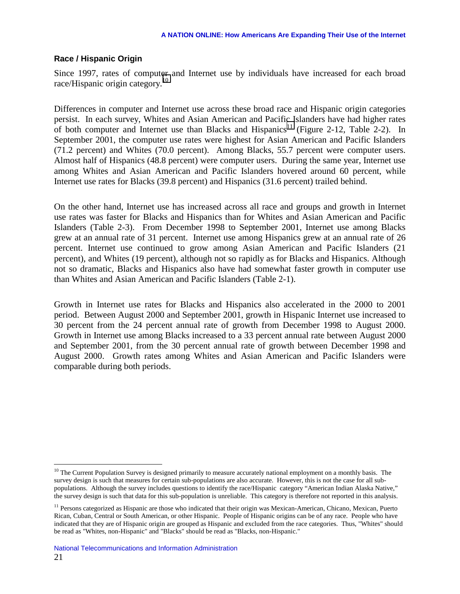#### <span id="page-26-0"></span>**Race / Hispanic Origin**

Since 1997, rates of computer and Internet use by individuals have increased for each broad race/Hispanic origin category.<sup>10</sup>

Differences in computer and Internet use across these broad race and Hispanic origin categories persist. In each survey, Whites and Asian American and Pacific Islanders have had higher rates of both computer and Internet use than Blacks and Hispanics<sup>11</sup> (Figure 2-12, Table 2-2). In September 2001, the computer use rates were highest for Asian American and Pacific Islanders (71.2 percent) and Whites (70.0 percent). Among Blacks, 55.7 percent were computer users. Almost half of Hispanics (48.8 percent) were computer users. During the same year, Internet use among Whites and Asian American and Pacific Islanders hovered around 60 percent, while Internet use rates for Blacks (39.8 percent) and Hispanics (31.6 percent) trailed behind.

On the other hand, Internet use has increased across all race and groups and growth in Internet use rates was faster for Blacks and Hispanics than for Whites and Asian American and Pacific Islanders (Table 2-3). From December 1998 to September 2001, Internet use among Blacks grew at an annual rate of 31 percent. Internet use among Hispanics grew at an annual rate of 26 percent. Internet use continued to grow among Asian American and Pacific Islanders (21 percent), and Whites (19 percent), although not so rapidly as for Blacks and Hispanics. Although not so dramatic, Blacks and Hispanics also have had somewhat faster growth in computer use than Whites and Asian American and Pacific Islanders (Table 2-1).

Growth in Internet use rates for Blacks and Hispanics also accelerated in the 2000 to 2001 period. Between August 2000 and September 2001, growth in Hispanic Internet use increased to 30 percent from the 24 percent annual rate of growth from December 1998 to August 2000. Growth in Internet use among Blacks increased to a 33 percent annual rate between August 2000 and September 2001, from the 30 percent annual rate of growth between December 1998 and August 2000. Growth rates among Whites and Asian American and Pacific Islanders were comparable during both periods.

 $10$  The Current Population Survey is designed primarily to measure accurately national employment on a monthly basis. The survey design is such that measures for certain sub-populations are also accurate. However, this is not the case for all subpopulations. Although the survey includes questions to identify the race/Hispanic category "American Indian Alaska Native," the survey design is such that data for this sub-population is unreliable. This category is therefore not reported in this analysis.

<sup>&</sup>lt;sup>11</sup> Persons categorized as Hispanic are those who indicated that their origin was Mexican-American, Chicano, Mexican, Puerto Rican, Cuban, Central or South American, or other Hispanic. People of Hispanic origins can be of any race. People who have indicated that they are of Hispanic origin are grouped as Hispanic and excluded from the race categories. Thus, "Whites" should be read as "Whites, non-Hispanic" and "Blacks" should be read as "Blacks, non-Hispanic."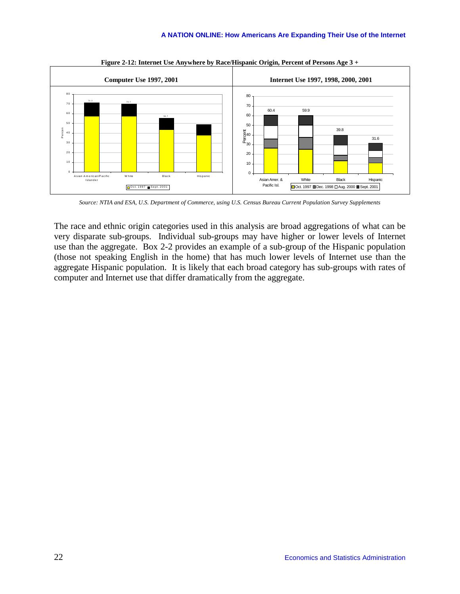

**Figure 2-12: Internet Use Anywhere by Race/Hispanic Origin, Percent of Persons Age 3 +** 

*Source: NTIA and ESA, U.S. Department of Commerce, using U.S. Census Bureau Current Population Survey Supplements* 

The race and ethnic origin categories used in this analysis are broad aggregations of what can be very disparate sub-groups. Individual sub-groups may have higher or lower levels of Internet use than the aggregate. Box 2-2 provides an example of a sub-group of the Hispanic population (those not speaking English in the home) that has much lower levels of Internet use than the aggregate Hispanic population. It is likely that each broad category has sub-groups with rates of computer and Internet use that differ dramatically from the aggregate.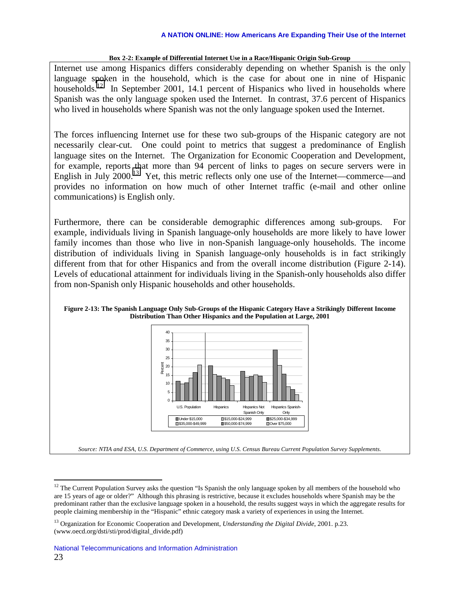#### **Box 2-2: Example of Differential Internet Use in a Race/Hispanic Origin Sub-Group**

Internet use among Hispanics differs considerably depending on whether Spanish is the only language spoken in the household, which is the case for about one in nine of Hispanic households.<sup>12</sup> In September 2001, 14.1 percent of Hispanics who lived in households where Spanish was the only language spoken used the Internet. In contrast, 37.6 percent of Hispanics who lived in households where Spanish was not the only language spoken used the Internet.

The forces influencing Internet use for these two sub-groups of the Hispanic category are not necessarily clear-cut. One could point to metrics that suggest a predominance of English language sites on the Internet. The Organization for Economic Cooperation and Development, for example, reports that more than 94 percent of links to pages on secure servers were in English in July 2000.<sup>13</sup> Yet, this metric reflects only one use of the Internet—commerce—and provides no information on how much of other Internet traffic (e-mail and other online communications) is English only.

Furthermore, there can be considerable demographic differences among sub-groups. For example, individuals living in Spanish language-only households are more likely to have lower family incomes than those who live in non-Spanish language-only households. The income distribution of individuals living in Spanish language-only households is in fact strikingly different from that for other Hispanics and from the overall income distribution (Figure 2-14). Levels of educational attainment for individuals living in the Spanish-only households also differ from non-Spanish only Hispanic households and other households.





 $12$  The Current Population Survey asks the question "Is Spanish the only language spoken by all members of the household who are 15 years of age or older?" Although this phrasing is restrictive, because it excludes households where Spanish may be the predominant rather than the exclusive language spoken in a household, the results suggest ways in which the aggregate results for people claiming membership in the "Hispanic" ethnic category mask a variety of experiences in using the Internet.

<sup>13</sup> Organization for Economic Cooperation and Development, *Understanding the Digital Divide*, 2001. p.23. (www.oecd.org/dsti/sti/prod/digital\_divide.pdf)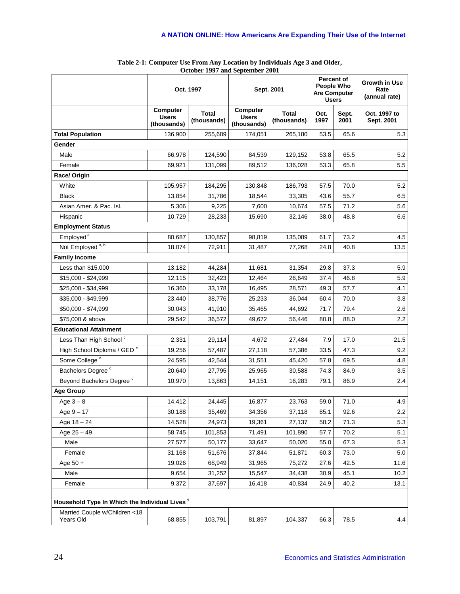|                                                           | Oct. 1997                               |                             | Sept. 2001                              |                             | <b>People Who</b> | <b>Percent of</b><br><b>Are Computer</b><br><b>Users</b> | Growth in Use<br>Rate<br>(annual rate) |  |
|-----------------------------------------------------------|-----------------------------------------|-----------------------------|-----------------------------------------|-----------------------------|-------------------|----------------------------------------------------------|----------------------------------------|--|
|                                                           | Computer<br><b>Users</b><br>(thousands) | <b>Total</b><br>(thousands) | Computer<br><b>Users</b><br>(thousands) | <b>Total</b><br>(thousands) | Oct.<br>1997      | Sept.<br>2001                                            | Oct. 1997 to<br>Sept. 2001             |  |
| <b>Total Population</b>                                   | 136,900                                 | 255,689                     | 174,051                                 | 265,180                     | 53.5              | 65.6                                                     | 5.3                                    |  |
| Gender                                                    |                                         |                             |                                         |                             |                   |                                                          |                                        |  |
| Male                                                      | 66,978                                  | 124,590                     | 84,539                                  | 129,152                     | 53.8              | 65.5                                                     | 5.2                                    |  |
| Female                                                    | 69,921                                  | 131,099                     | 89,512                                  | 136,028                     | 53.3              | 65.8                                                     | 5.5                                    |  |
| Race/ Origin                                              |                                         |                             |                                         |                             |                   |                                                          |                                        |  |
| White                                                     | 105,957                                 | 184,295                     | 130,848                                 | 186,793                     | 57.5              | 70.0                                                     | 5.2                                    |  |
| <b>Black</b>                                              | 13,854                                  | 31,786                      | 18,544                                  | 33,305                      | 43.6              | 55.7                                                     | 6.5                                    |  |
| Asian Amer. & Pac. Isl.                                   | 5,306                                   | 9,225                       | 7,600                                   | 10,674                      | 57.5              | 71.2                                                     | 5.6                                    |  |
| Hispanic                                                  | 10,729                                  | 28,233                      | 15,690                                  | 32,146                      | 38.0              | 48.8                                                     | 6.6                                    |  |
| <b>Employment Status</b>                                  |                                         |                             |                                         |                             |                   |                                                          |                                        |  |
| Employed <sup>a</sup>                                     | 80,687                                  | 130,857                     | 98,819                                  | 135,089                     | 61.7              | 73.2                                                     | 4.5                                    |  |
| Not Employed <sup>a, b</sup>                              | 18,074                                  | 72,911                      | 31,487                                  | 77,268                      | 24.8              | 40.8                                                     | 13.5                                   |  |
| <b>Family Income</b>                                      |                                         |                             |                                         |                             |                   |                                                          |                                        |  |
| Less than \$15,000                                        | 13,182                                  | 44,284                      | 11,681                                  | 31,354                      | 29.8              | 37.3                                                     | 5.9                                    |  |
| \$15,000 - \$24,999                                       | 12,115                                  | 32,423                      | 12,464                                  | 26,649                      | 37.4              | 46.8                                                     | 5.9                                    |  |
| \$25,000 - \$34,999                                       | 16,360                                  | 33,178                      | 16,495                                  | 28,571                      | 49.3              | 57.7                                                     | 4.1                                    |  |
| \$35,000 - \$49,999                                       | 23,440                                  | 38,776                      | 25,233                                  | 36,044                      | 60.4              | 70.0                                                     | 3.8                                    |  |
| \$50,000 - \$74,999                                       | 30,043                                  | 41,910                      | 35,465                                  | 44,692                      | 71.7              | 79.4                                                     | 2.6                                    |  |
| \$75,000 & above                                          | 29,542                                  | 36,572                      | 49,672                                  | 56,446                      | 80.8              | 88.0                                                     | 2.2                                    |  |
| <b>Educational Attainment</b>                             |                                         |                             |                                         |                             |                   |                                                          |                                        |  |
| Less Than High School <sup>c</sup>                        | 2,331                                   | 29,114                      | 4,672                                   | 27,484                      | 7.9               | 17.0                                                     | 21.5                                   |  |
| High School Diploma / GED <sup>c</sup>                    | 19,256                                  | 57,487                      | 27,118                                  | 57,386                      | 33.5              | 47.3                                                     | 9.2                                    |  |
| Some College <sup>c</sup>                                 | 24,595                                  | 42,544                      | 31,551                                  | 45,420                      | 57.8              | 69.5                                                     | 4.8                                    |  |
| Bachelors Degree <sup>c</sup>                             | 20.640                                  | 27,795                      | 25,965                                  | 30,588                      | 74.3              | 84.9                                                     | 3.5                                    |  |
| Beyond Bachelors Degree <sup>c</sup>                      | 10,970                                  | 13,863                      | 14,151                                  | 16,283                      | 79.1              | 86.9                                                     | 2.4                                    |  |
| <b>Age Group</b>                                          |                                         |                             |                                         |                             |                   |                                                          |                                        |  |
| Age $3-8$                                                 | 14,412                                  | 24,445                      | 16,877                                  | 23,763                      | 59.0              | 71.0                                                     | 4.9                                    |  |
| Age 9 - 17                                                | 30,188                                  | 35,469                      | 34,356                                  | 37,118                      | 85.1              | 92.6                                                     | $2.2\,$                                |  |
| Age $18 - 24$                                             | 14,528                                  | 24,973                      | 19,361                                  | 27,137                      | 58.2              | 71.3                                                     | 5.3                                    |  |
| Age $25 - 49$                                             | 58,745                                  | 101,853                     | 71,491                                  | 101,890                     | 57.7              | 70.2                                                     | 5.1                                    |  |
| Male                                                      | 27,577                                  | 50,177                      | 33,647                                  | 50,020                      | 55.0              | 67.3                                                     | 5.3                                    |  |
| Female                                                    | 31,168                                  | 51,676                      | 37,844                                  | 51,871                      | 60.3              | 73.0                                                     | 5.0                                    |  |
| Age $50 +$                                                | 19,026                                  | 68,949                      | 31,965                                  | 75,272                      | 27.6              | 42.5                                                     | 11.6                                   |  |
| Male                                                      | 9,654                                   | 31,252                      | 15,547                                  | 34,438                      | 30.9              | 45.1                                                     | 10.2                                   |  |
| Female                                                    | 9,372                                   | 37,697                      | 16,418                                  | 40,834                      | 24.9              | 40.2                                                     | 13.1                                   |  |
| Household Type In Which the Individual Lives <sup>d</sup> |                                         |                             |                                         |                             |                   |                                                          |                                        |  |
| Married Couple w/Children <18<br>Years Old                | 68,855                                  | 103,791                     | 81,897                                  | 104,337                     | 66.3              | 78.5                                                     | 4.4                                    |  |

| Table 2-1: Computer Use From Any Location by Individuals Age 3 and Older, |
|---------------------------------------------------------------------------|
| October 1997 and September 2001                                           |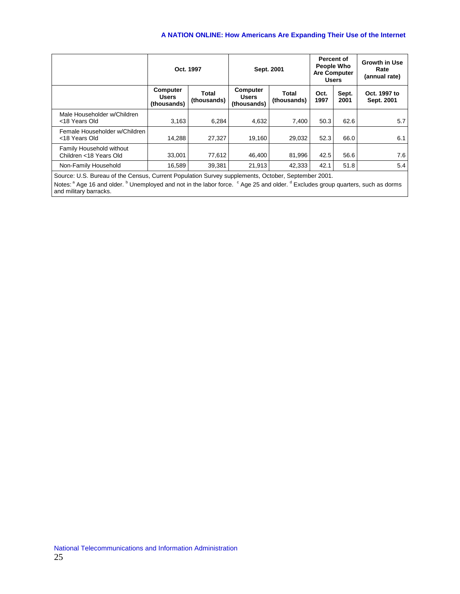|                                                    | Oct. 1997                                                       |        | Sept. 2001                              |                      | People Who<br><b>Users</b> | Percent of<br><b>Are Computer</b> | <b>Growth in Use</b><br>Rate<br>(annual rate) |  |
|----------------------------------------------------|-----------------------------------------------------------------|--------|-----------------------------------------|----------------------|----------------------------|-----------------------------------|-----------------------------------------------|--|
|                                                    | Computer<br>Total<br><b>Users</b><br>(thousands)<br>(thousands) |        | Computer<br><b>Users</b><br>(thousands) | Total<br>(thousands) | Oct.<br>1997               | Sept.<br>2001                     | Oct. 1997 to<br>Sept. 2001                    |  |
| Male Householder w/Children<br><18 Years Old       | 3.163                                                           | 6.284  | 4,632                                   | 7.400                | 50.3                       | 62.6                              | 5.7                                           |  |
| Female Householder w/Children<br><18 Years Old     | 14.288                                                          | 27.327 | 19,160                                  | 29.032               | 52.3                       | 66.0                              | 6.1                                           |  |
| Family Household without<br>Children <18 Years Old | 33.001                                                          | 77.612 | 46.400                                  | 81,996               | 42.5                       | 56.6                              | 7.6                                           |  |
| Non-Family Household                               | 16,589                                                          | 39.381 | 21.913                                  | 42.333               | 42.1                       | 51.8                              | 5.4                                           |  |

Source: U.S. Bureau of the Census, Current Population Survey supplements, October, September 2001.

Notes: <sup>a</sup> Age 16 and older. <sup>b</sup> Unemployed and not in the labor force. <sup>c</sup> Age 25 and older. <sup>d</sup> Excludes group quarters, such as dorms and military barracks.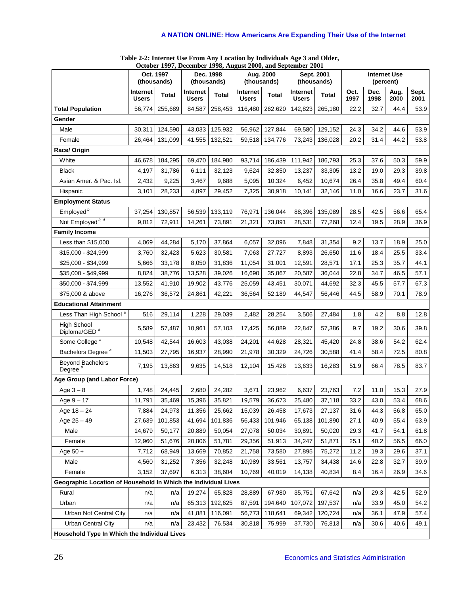|                                                                |                                 |                          | October 1777, December 1770, August 2000, and September 2001 |                          |                          |                          |                           |              |                                  |              |              |               |
|----------------------------------------------------------------|---------------------------------|--------------------------|--------------------------------------------------------------|--------------------------|--------------------------|--------------------------|---------------------------|--------------|----------------------------------|--------------|--------------|---------------|
|                                                                |                                 | Oct. 1997<br>(thousands) |                                                              | Dec. 1998<br>(thousands) |                          | Aug. 2000<br>(thousands) | Sept. 2001<br>(thousands) |              | <b>Internet Use</b><br>(percent) |              |              |               |
|                                                                | <b>Internet</b><br><b>Users</b> | <b>Total</b>             | Internet<br><b>Users</b>                                     | <b>Total</b>             | Internet<br><b>Users</b> | <b>Total</b>             | Internet<br><b>Users</b>  | <b>Total</b> | Oct.<br>1997                     | Dec.<br>1998 | Aug.<br>2000 | Sept.<br>2001 |
| <b>Total Population</b>                                        | 56,774                          | 255,689                  | 84,587                                                       | 258,453                  | 116,480                  | 262,620                  | 142,823                   | 265,180      | 22.2                             | 32.7         | 44.4         | 53.9          |
| Gender                                                         |                                 |                          |                                                              |                          |                          |                          |                           |              |                                  |              |              |               |
| Male                                                           | 30,311                          | 124,590                  | 43,033                                                       | 125,932                  | 56,962                   | 127,844                  | 69,580                    | 129,152      | 24.3                             | 34.2         | 44.6         | 53.9          |
| Female                                                         | 26,464                          | 131,099                  | 41,555                                                       | 132,521                  | 59,518                   | 134,776                  | 73,243                    | 136,028      | 20.2                             | 31.4         | 44.2         | 53.8          |
| Race/ Origin                                                   |                                 |                          |                                                              |                          |                          |                          |                           |              |                                  |              |              |               |
| White                                                          | 46,678                          | 184,295                  | 69,470                                                       | 184,980                  | 93,714                   | 186,439                  | 111,942                   | 186,793      | 25.3                             | 37.6         | 50.3         | 59.9          |
| <b>Black</b>                                                   | 4,197                           | 31,786                   | 6,111                                                        | 32,123                   | 9,624                    | 32,850                   | 13,237                    | 33,305       | 13.2                             | 19.0         | 29.3         | 39.8          |
| Asian Amer. & Pac. Isl.                                        | 2,432                           | 9,225                    | 3,467                                                        | 9,688                    | 5,095                    | 10,324                   | 6,452                     | 10,674       | 26.4                             | 35.8         | 49.4         | 60.4          |
| Hispanic                                                       | 3,101                           | 28,233                   | 4,897                                                        | 29,452                   | 7,325                    | 30,918                   | 10,141                    | 32,146       | 11.0                             | 16.6         | 23.7         | 31.6          |
| <b>Employment Status</b>                                       |                                 |                          |                                                              |                          |                          |                          |                           |              |                                  |              |              |               |
| Employed <sup>b</sup>                                          | 37,254                          | 130,857                  | 56,539                                                       | 133,119                  | 76,971                   | 136,044                  | 88,396                    | 135,089      | 28.5                             | 42.5         | 56.6         | 65.4          |
| Not Employed <sup>b, d</sup>                                   | 9,012                           | 72,911                   | 14,261                                                       | 73,891                   | 21,321                   | 73,891                   | 28,531                    | 77,268       | 12.4                             | 19.5         | 28.9         | 36.9          |
| <b>Family Income</b>                                           |                                 |                          |                                                              |                          |                          |                          |                           |              |                                  |              |              |               |
| Less than \$15,000                                             | 4,069                           | 44,284                   | 5,170                                                        | 37,864                   | 6,057                    | 32,096                   | 7,848                     | 31,354       | 9.2                              | 13.7         | 18.9         | 25.0          |
| \$15,000 - \$24,999                                            | 3,760                           | 32,423                   | 5,623                                                        | 30,581                   | 7,063                    | 27,727                   | 8,893                     | 26,650       | 11.6                             | 18.4         | 25.5         | 33.4          |
| \$25,000 - \$34,999                                            | 5,666                           | 33,178                   | 8,050                                                        | 31,836                   | 11,054                   | 31,001                   | 12,591                    | 28,571       | 17.1                             | 25.3         | 35.7         | 44.1          |
| \$35,000 - \$49,999                                            | 8,824                           | 38,776                   | 13,528                                                       | 39,026                   | 16,690                   | 35,867                   | 20,587                    | 36,044       | 22.8                             | 34.7         | 46.5         | 57.1          |
| \$50,000 - \$74,999                                            | 13,552                          | 41,910                   | 19,902                                                       | 43,776                   | 25,059                   | 43,451                   | 30,071                    | 44,692       | 32.3                             | 45.5         | 57.7         | 67.3          |
| \$75,000 & above                                               | 16,276                          | 36,572                   | 24,861                                                       | 42,221                   | 36,564                   | 52,189                   | 44,547                    | 56,446       | 44.5                             | 58.9         | 70.1         | 78.9          |
| <b>Educational Attainment</b>                                  |                                 |                          |                                                              |                          |                          |                          |                           |              |                                  |              |              |               |
| Less Than High School <sup>a</sup>                             | 516                             | 29,114                   | 1,228                                                        | 29,039                   | 2,482                    | 28,254                   | 3,506                     | 27,484       | 1.8                              | 4.2          | 8.8          | 12.8          |
| <b>High School</b><br>Diploma/GED <sup>a</sup>                 | 5,589                           | 57,487                   | 10,961                                                       | 57,103                   | 17,425                   | 56,889                   | 22,847                    | 57,386       | 9.7                              | 19.2         | 30.6         | 39.8          |
| Some College <sup>a</sup>                                      | 10,548                          | 42,544                   | 16,603                                                       | 43,038                   | 24,201                   | 44,628                   | 28,321                    | 45,420       | 24.8                             | 38.6         | 54.2         | 62.4          |
| Bachelors Degree <sup>a</sup>                                  | 11,503                          | 27,795                   | 16,937                                                       | 28,990                   | 21,978                   | 30,329                   | 24,726                    | 30,588       | 41.4                             | 58.4         | 72.5         | 80.8          |
| <b>Beyond Bachelors</b><br>Degree <sup>a</sup>                 | 7,195                           | 13,863                   | 9,635                                                        | 14,518                   | 12,104                   | 15,426                   | 13,633                    | 16,283       | 51.9                             | 66.4         | 78.5         | 83.7          |
| Age Group (and Labor Force)                                    |                                 |                          |                                                              |                          |                          |                          |                           |              |                                  |              |              |               |
| Age $3-8$                                                      | 1,748                           | 24,445                   | 2,680                                                        | 24,282                   | 3,671                    | 23,962                   | 6,637                     | 23,763       | 7.2                              | 11.0         | 15.3         | 27.9          |
| Age $9 - 17$                                                   | 11,791                          | 35,469                   | 15,396                                                       | 35,821                   | 19,579                   | 36,673                   | 25.480                    | 37,118       | 33.2                             | 43.0         | 53.4         | 68.6          |
| Age $18 - 24$                                                  | 7,884                           | 24,973                   | 11,356                                                       | 25,662                   | 15,039                   | 26,458                   | 17,673                    | 27,137       | 31.6                             | 44.3         | 56.8         | 65.0          |
| Age $25 - 49$                                                  | 27,639                          | 101,853                  | 41,694                                                       | 101,836                  | 56,433                   | 101,946                  | 65,138                    | 101,890      | 27.1                             | 40.9         | 55.4         | 63.9          |
| Male                                                           | 14,679                          | 50,177                   | 20,889                                                       | 50,054                   | 27,078                   | 50,034                   | 30,891                    | 50,020       | 29.3                             | 41.7         | 54.1         | 61.8          |
| Female                                                         | 12,960                          | 51,676                   | 20,806                                                       | 51,781                   | 29,356                   | 51,913                   | 34,247                    | 51,871       | 25.1                             | 40.2         | 56.5         | 66.0          |
| Age $50 +$                                                     | 7,712                           | 68,949                   | 13,669                                                       | 70,852                   | 21,758                   | 73,580                   | 27,895                    | 75,272       | 11.2                             | 19.3         | 29.6         | 37.1          |
| Male                                                           | 4,560                           | 31,252                   | 7,356                                                        | 32,248                   | 10,989                   | 33,561                   | 13,757                    | 34,438       | 14.6                             | 22.8         | 32.7         | 39.9          |
| Female                                                         | 3,152                           | 37,697                   | 6,313                                                        | 38,604                   | 10,769                   | 40,019                   | 14,138                    | 40,834       | 8.4                              | 16.4         | 26.9         | 34.6          |
| Geographic Location of Household In Which the Individual Lives |                                 |                          |                                                              |                          |                          |                          |                           |              |                                  |              |              |               |
| Rural                                                          | n/a                             | n/a                      | 19,274                                                       | 65,828                   | 28,889                   | 67,980                   | 35,751                    | 67,642       | n/a                              | 29.3         | 42.5         | 52.9          |
| Urban                                                          | n/a                             | n/a                      | 65,313                                                       | 192,625                  | 87,591                   | 194,640                  | 107,072                   | 197,537      | n/a                              | 33.9         | 45.0         | 54.2          |
| Urban Not Central City                                         | n/a                             | n/a                      | 41,881                                                       | 116,091                  | 56,773                   | 118,641                  | 69,342                    | 120,724      | n/a                              | 36.1         | 47.9         | 57.4          |
| <b>Urban Central City</b>                                      | n/a                             | n/a                      | 23,432                                                       | 76,534                   | 30,818                   | 75,999                   | 37,730                    | 76,813       | n/a                              | 30.6         | 40.6         | 49.1          |
| Household Type In Which the Individual Lives                   |                                 |                          |                                                              |                          |                          |                          |                           |              |                                  |              |              |               |

**Table 2-2: Internet Use From Any Location by Individuals Age 3 and Older, October 1997, December 1998, August 2000, and September 2001**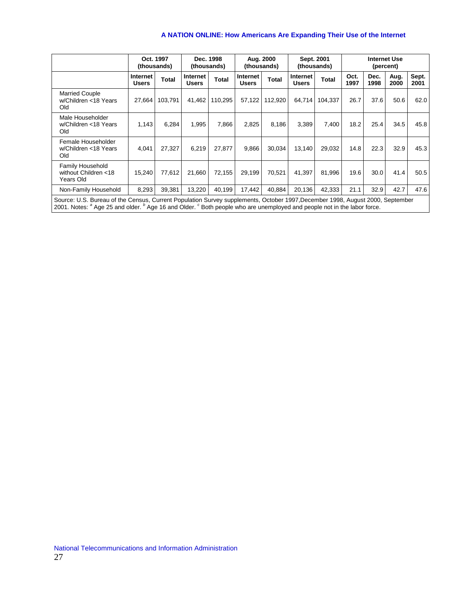|                                                                                                                               | Oct. 1997<br>(thousands) |         | Dec. 1998<br>(thousands) |         | Aug. 2000<br>(thousands) |              | Sept. 2001<br>(thousands) |              | <b>Internet Use</b><br>(percent) |              |              |               |
|-------------------------------------------------------------------------------------------------------------------------------|--------------------------|---------|--------------------------|---------|--------------------------|--------------|---------------------------|--------------|----------------------------------|--------------|--------------|---------------|
|                                                                                                                               | Internet<br><b>Users</b> | Total   | Internet<br><b>Users</b> | Total   | Internet<br><b>Users</b> | <b>Total</b> | Internet<br><b>Users</b>  | <b>Total</b> | Oct.<br>1997                     | Dec.<br>1998 | Aug.<br>2000 | Sept.<br>2001 |
| <b>Married Couple</b><br>w/Children <18 Years<br>Old                                                                          | 27,664                   | 103,791 | 41,462                   | 110,295 | 57,122                   | 112,920      | 64,714                    | 104,337      | 26.7                             | 37.6         | 50.6         | 62.0          |
| Male Householder<br>w/Children <18 Years<br>Old                                                                               | 1,143                    | 6,284   | 1,995                    | 7,866   | 2,825                    | 8,186        | 3.389                     | 7.400        | 18.2                             | 25.4         | 34.5         | 45.8          |
| Female Householder<br>w/Children <18 Years<br>Old                                                                             | 4,041                    | 27,327  | 6,219                    | 27,877  | 9,866                    | 30,034       | 13,140                    | 29,032       | 14.8                             | 22.3         | 32.9         | 45.3          |
| Family Household<br>without Children <18<br>Years Old                                                                         | 15,240                   | 77,612  | 21,660                   | 72,155  | 29,199                   | 70,521       | 41,397                    | 81,996       | 19.6                             | 30.0         | 41.4         | 50.5          |
| Non-Family Household                                                                                                          | 8,293                    | 39,381  | 13,220                   | 40,199  | 17,442                   | 40,884       | 20,136                    | 42,333       | 21.1                             | 32.9         | 42.7         | 47.6          |
| Source: U.S. Bureau of the Census, Current Population Survey supplements, October 1997, December 1998, August 2000, September |                          |         |                          |         |                          |              |                           |              |                                  |              |              |               |

Source: U.S. Bureau of the Census, Current Population Survey supplements, October 1997,December 1998, August 2000, September<br>2001. Notes: <sup>a</sup> Age 25 and older. <sup>b</sup> Age 16 and Older. <sup>c</sup> Both people who are unemployed and p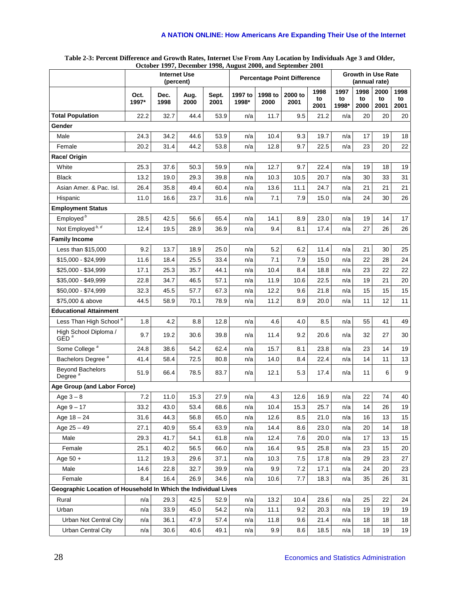#### **Table 2-3: Percent Difference and Growth Rates, Internet Use From Any Location by Individuals Age 3 and Older, October 1997, December 1998, August 2000, and September 2001**

|                                                                | <b>Internet Use</b><br>(percent) |              |              |               | <b>Percentage Point Difference</b> |                 |                 |                    | <b>Growth in Use Rate</b><br>(annual rate) |                    |                    |                    |
|----------------------------------------------------------------|----------------------------------|--------------|--------------|---------------|------------------------------------|-----------------|-----------------|--------------------|--------------------------------------------|--------------------|--------------------|--------------------|
|                                                                | Oct.<br>1997*                    | Dec.<br>1998 | Aug.<br>2000 | Sept.<br>2001 | 1997 to<br>1998*                   | 1998 to<br>2000 | 2000 to<br>2001 | 1998<br>to<br>2001 | 1997<br>to<br>1998*                        | 1998<br>to<br>2000 | 2000<br>to<br>2001 | 1998<br>to<br>2001 |
| <b>Total Population</b>                                        | 22.2                             | 32.7         | 44.4         | 53.9          | n/a                                | 11.7            | 9.5             | 21.2               | n/a                                        | 20                 | 20                 | 20                 |
| Gender                                                         |                                  |              |              |               |                                    |                 |                 |                    |                                            |                    |                    |                    |
| Male                                                           | 24.3                             | 34.2         | 44.6         | 53.9          | n/a                                | 10.4            | 9.3             | 19.7               | n/a                                        | 17                 | 19                 | 18                 |
| Female                                                         | 20.2                             | 31.4         | 44.2         | 53.8          | n/a                                | 12.8            | 9.7             | 22.5               | n/a                                        | 23                 | 20                 | 22                 |
| Race/ Origin                                                   |                                  |              |              |               |                                    |                 |                 |                    |                                            |                    |                    |                    |
| White                                                          | 25.3                             | 37.6         | 50.3         | 59.9          | n/a                                | 12.7            | 9.7             | 22.4               | n/a                                        | 19                 | 18                 | 19                 |
| <b>Black</b>                                                   | 13.2                             | 19.0         | 29.3         | 39.8          | n/a                                | 10.3            | 10.5            | 20.7               | n/a                                        | 30                 | 33                 | 31                 |
| Asian Amer. & Pac. Isl.                                        | 26.4                             | 35.8         | 49.4         | 60.4          | n/a                                | 13.6            | 11.1            | 24.7               | n/a                                        | 21                 | 21                 | 21                 |
| Hispanic                                                       | 11.0                             | 16.6         | 23.7         | 31.6          | n/a                                | 7.1             | 7.9             | 15.0               | n/a                                        | 24                 | 30                 | 26                 |
| <b>Employment Status</b>                                       |                                  |              |              |               |                                    |                 |                 |                    |                                            |                    |                    |                    |
| Employed <sup>b</sup>                                          | 28.5                             | 42.5         | 56.6         | 65.4          | n/a                                | 14.1            | 8.9             | 23.0               | n/a                                        | 19                 | 14                 | 17                 |
| Not Employed <sup>b, d</sup>                                   | 12.4                             | 19.5         | 28.9         | 36.9          | n/a                                | 9.4             | 8.1             | 17.4               | n/a                                        | 27                 | 26                 | 26                 |
| <b>Family Income</b>                                           |                                  |              |              |               |                                    |                 |                 |                    |                                            |                    |                    |                    |
| Less than \$15,000                                             | 9.2                              | 13.7         | 18.9         | 25.0          | n/a                                | 5.2             | 6.2             | 11.4               | n/a                                        | 21                 | 30                 | 25                 |
| \$15,000 - \$24,999                                            | 11.6                             | 18.4         | 25.5         | 33.4          | n/a                                | 7.1             | 7.9             | 15.0               | n/a                                        | 22                 | 28                 | 24                 |
| \$25,000 - \$34,999                                            | 17.1                             | 25.3         | 35.7         | 44.1          | n/a                                | 10.4            | 8.4             | 18.8               | n/a                                        | 23                 | 22                 | 22                 |
| \$35,000 - \$49,999                                            | 22.8                             | 34.7         | 46.5         | 57.1          | n/a                                | 11.9            | 10.6            | 22.5               | n/a                                        | 19                 | 21                 | 20                 |
| \$50,000 - \$74,999                                            | 32.3                             | 45.5         | 57.7         | 67.3          | n/a                                | 12.2            | 9.6             | 21.8               | n/a                                        | 15                 | 15                 | 15                 |
| \$75,000 & above                                               | 44.5                             | 58.9         | 70.1         | 78.9          | n/a                                | 11.2            | 8.9             | 20.0               | n/a                                        | 11                 | 12                 | 11                 |
| <b>Educational Attainment</b>                                  |                                  |              |              |               |                                    |                 |                 |                    |                                            |                    |                    |                    |
| Less Than High School <sup>a</sup>                             | 1.8                              | 4.2          | 8.8          | 12.8          | n/a                                | 4.6             | 4.0             | 8.5                | n/a                                        | 55                 | 41                 | 49                 |
| High School Diploma /<br>GED <sup>a</sup>                      | 9.7                              | 19.2         | 30.6         | 39.8          | n/a                                | 11.4            | 9.2             | 20.6               | n/a                                        | 32                 | 27                 | 30                 |
| Some College <sup>a</sup>                                      | 24.8                             | 38.6         | 54.2         | 62.4          | n/a                                | 15.7            | 8.1             | 23.8               | n/a                                        | 23                 | 14                 | 19                 |
| Bachelors Degree <sup>a</sup>                                  | 41.4                             | 58.4         | 72.5         | 80.8          | n/a                                | 14.0            | 8.4             | 22.4               | n/a                                        | 14                 | 11                 | 13                 |
| <b>Beyond Bachelors</b><br>Degree <sup>a</sup>                 | 51.9                             | 66.4         | 78.5         | 83.7          | n/a                                | 12.1            | 5.3             | 17.4               | n/a                                        | 11                 | 6                  | $9\,$              |
| Age Group (and Labor Force)                                    |                                  |              |              |               |                                    |                 |                 |                    |                                            |                    |                    |                    |
| Age $3 - 8$                                                    | 7.2                              | 11.0         | 15.3         | 27.9          | n/a                                | 4.3             | 12.6            | 16.9               | n/a                                        | 22                 | 74                 | 40                 |
| Age $9 - 17$                                                   | 33.2                             | 43.0         | 53.4         | 68.6          | n/a                                | 10.4            | 15.3            | 25.7               | n/a                                        | 14                 | 26                 | 19                 |
| Age $18 - 24$                                                  | 31.6                             | 44.3         | 56.8         | 65.0          | n/a                                | 12.6            | 8.5             | 21.0               | n/a                                        | 16                 | 13                 | 15                 |
| Age $25 - 49$                                                  | 27.1                             | 40.9         | 55.4         | 63.9          | n/a                                | 14.4            | 8.6             | 23.0               | n/a                                        | 20                 | 14                 | 18                 |
| Male                                                           | 29.3                             | 41.7         | 54.1         | 61.8          | n/a                                | 12.4            | 7.6             | 20.0               | n/a                                        | 17                 | 13                 | 15                 |
| Female                                                         | 25.1                             | 40.2         | 56.5         | 66.0          | n/a                                | 16.4            | 9.5             | 25.8               | n/a                                        | 23                 | 15                 | 20                 |
| Age $50 +$                                                     | 11.2                             | 19.3         | 29.6         | 37.1          | n/a                                | 10.3            | 7.5             | 17.8               | n/a                                        | 29                 | 23                 | 27                 |
| Male                                                           | 14.6                             | 22.8         | 32.7         | 39.9          | n/a                                | 9.9             | 7.2             | 17.1               | n/a                                        | 24                 | 20                 | 23                 |
| Female                                                         | 8.4                              | 16.4         | 26.9         | 34.6          | n/a                                | 10.6            | 7.7             | 18.3               | n/a                                        | 35                 | 26                 | 31                 |
| Geographic Location of Household In Which the Individual Lives |                                  |              |              |               |                                    |                 |                 |                    |                                            |                    |                    |                    |
| Rural                                                          | n/a                              | 29.3         | 42.5         | 52.9          | n/a                                | 13.2            | 10.4            | 23.6               | n/a                                        | 25                 | 22                 | 24                 |
| Urban                                                          | n/a                              | 33.9         | 45.0         | 54.2          | n/a                                | 11.1            | 9.2             | 20.3               | n/a                                        | 19                 | 19                 | 19                 |
| Urban Not Central City                                         | n/a                              | 36.1         | 47.9         | 57.4          | n/a                                | 11.8            | 9.6             | 21.4               | n/a                                        | 18                 | 18                 | 18                 |
| <b>Urban Central City</b>                                      | n/a                              | 30.6         | 40.6         | 49.1          | n/a                                | 9.9             | 8.6             | 18.5               | n/a                                        | 18                 | 19                 | 19                 |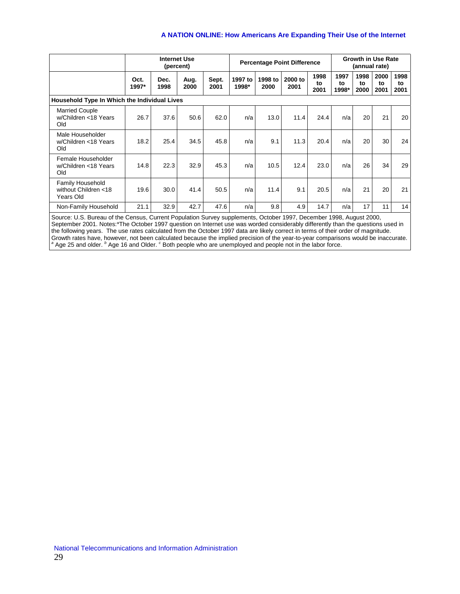|                                                       |                                                                                                                                                                                                                                                                                                                                                                                                                                                                                                                                                                                                                                                                                   | <b>Internet Use</b><br>(percent) |              |               | <b>Percentage Point Difference</b> |                 |                 |                    | <b>Growth in Use Rate</b><br>(annual rate) |                    |                    |                    |
|-------------------------------------------------------|-----------------------------------------------------------------------------------------------------------------------------------------------------------------------------------------------------------------------------------------------------------------------------------------------------------------------------------------------------------------------------------------------------------------------------------------------------------------------------------------------------------------------------------------------------------------------------------------------------------------------------------------------------------------------------------|----------------------------------|--------------|---------------|------------------------------------|-----------------|-----------------|--------------------|--------------------------------------------|--------------------|--------------------|--------------------|
|                                                       | Oct.<br>1997*                                                                                                                                                                                                                                                                                                                                                                                                                                                                                                                                                                                                                                                                     | Dec.<br>1998                     | Aug.<br>2000 | Sept.<br>2001 | 1997 to<br>1998*                   | 1998 to<br>2000 | 2000 to<br>2001 | 1998<br>to<br>2001 | 1997<br>to<br>1998*                        | 1998<br>to<br>2000 | 2000<br>to<br>2001 | 1998<br>to<br>2001 |
| Household Type In Which the Individual Lives          |                                                                                                                                                                                                                                                                                                                                                                                                                                                                                                                                                                                                                                                                                   |                                  |              |               |                                    |                 |                 |                    |                                            |                    |                    |                    |
| <b>Married Couple</b><br>w/Children <18 Years<br>Old  | 26.7                                                                                                                                                                                                                                                                                                                                                                                                                                                                                                                                                                                                                                                                              | 37.6                             | 50.6         | 62.0          | n/a                                | 13.0            | 11.4            | 24.4               | n/a                                        | 20                 | 21                 | 20                 |
| Male Householder<br>w/Children <18 Years<br>Old       | 18.2                                                                                                                                                                                                                                                                                                                                                                                                                                                                                                                                                                                                                                                                              | 25.4                             | 34.5         | 45.8          | n/a                                | 9.1             | 11.3            | 20.4               | n/a                                        | 20                 | 30                 | 24                 |
| Female Householder<br>w/Children <18 Years<br>Old     | 14.8                                                                                                                                                                                                                                                                                                                                                                                                                                                                                                                                                                                                                                                                              | 22.3                             | 32.9         | 45.3          | n/a                                | 10.5            | 12.4            | 23.0               | n/a                                        | 26                 | 34                 | 29                 |
| Family Household<br>without Children <18<br>Years Old | 19.6                                                                                                                                                                                                                                                                                                                                                                                                                                                                                                                                                                                                                                                                              | 30.0                             | 41.4         | 50.5          | n/a                                | 11.4            | 9.1             | 20.5               | n/a                                        | 21                 | 20                 | 21                 |
| Non-Family Household                                  | 21.1                                                                                                                                                                                                                                                                                                                                                                                                                                                                                                                                                                                                                                                                              | 32.9                             | 42.7         | 47.6          | n/a                                | 9.8             | 4.9             | 14.7               | n/a                                        | 17                 | 11                 | 14                 |
|                                                       | Source: U.S. Bureau of the Census, Current Population Survey supplements, October 1997, December 1998, August 2000,<br>September 2001. Notes:*The October 1997 question on Internet use was worded considerably differently than the questions used in<br>the following years. The use rates calculated from the October 1997 data are likely correct in terms of their order of magnitude.<br>Growth rates have, however, not been calculated because the implied precision of the year-to-year comparisons would be inaccurate.<br><sup>a</sup> Age 25 and older. <sup>b</sup> Age 16 and Older. <sup>c</sup> Both people who are unemployed and people not in the labor force. |                                  |              |               |                                    |                 |                 |                    |                                            |                    |                    |                    |

National Telecommunications and Information Administration 29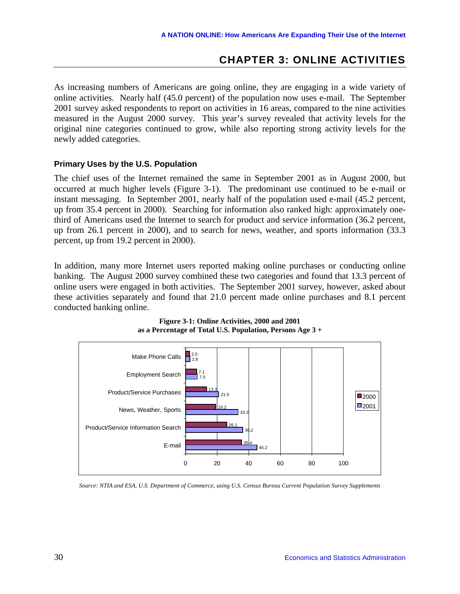#### **CHAPTER 3: ONLINE ACTIVITIES**

<span id="page-35-0"></span>As increasing numbers of Americans are going online, they are engaging in a wide variety of online activities. Nearly half (45.0 percent) of the population now uses e-mail. The September 2001 survey asked respondents to report on activities in 16 areas, compared to the nine activities measured in the August 2000 survey. This year's survey revealed that activity levels for the original nine categories continued to grow, while also reporting strong activity levels for the newly added categories.

#### **Primary Uses by the U.S. Population**

The chief uses of the Internet remained the same in September 2001 as in August 2000, but occurred at much higher levels (Figure 3-1). The predominant use continued to be e-mail or instant messaging. In September 2001, nearly half of the population used e-mail (45.2 percent, up from 35.4 percent in 2000). Searching for information also ranked high: approximately onethird of Americans used the Internet to search for product and service information (36.2 percent, up from 26.1 percent in 2000), and to search for news, weather, and sports information (33.3 percent, up from 19.2 percent in 2000).

In addition, many more Internet users reported making online purchases or conducting online banking. The August 2000 survey combined these two categories and found that 13.3 percent of online users were engaged in both activities. The September 2001 survey, however, asked about these activities separately and found that 21.0 percent made online purchases and 8.1 percent conducted banking online.





*Source: NTIA and ESA, U.S. Department of Commerce, using U.S. Census Bureau Current Population Survey Supplements*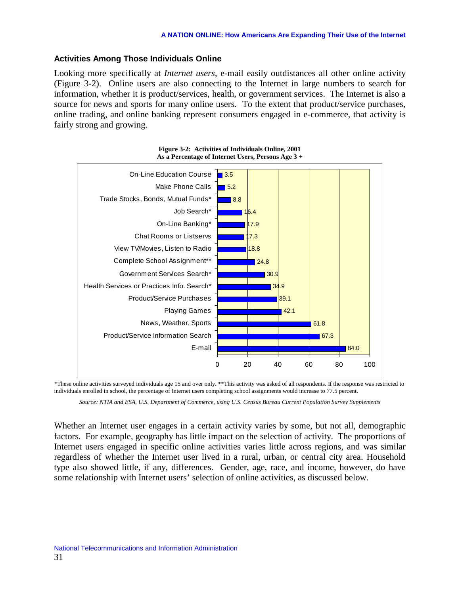## **Activities Among Those Individuals Online**

Looking more specifically at *Internet users*, e-mail easily outdistances all other online activity (Figure 3-2). Online users are also connecting to the Internet in large numbers to search for information, whether it is product/services, health, or government services. The Internet is also a source for news and sports for many online users. To the extent that product/service purchases, online trading, and online banking represent consumers engaged in e-commerce, that activity is fairly strong and growing.



**Figure 3-2: Activities of Individuals Online, 2001 As a Percentage of Internet Users, Persons Age 3 +** 

*\**These online activities surveyed individuals age 15 and over only. \*\*This activity was asked of all respondents. If the response was restricted to individuals enrolled in school, the percentage of Internet users completing school assignments would increase to 77.5 percent.

*Source: NTIA and ESA, U.S. Department of Commerce, using U.S. Census Bureau Current Population Survey Supplements* 

Whether an Internet user engages in a certain activity varies by some, but not all, demographic factors. For example, geography has little impact on the selection of activity. The proportions of Internet users engaged in specific online activities varies little across regions, and was similar regardless of whether the Internet user lived in a rural, urban, or central city area. Household type also showed little, if any, differences. Gender, age, race, and income, however, do have some relationship with Internet users' selection of online activities, as discussed below.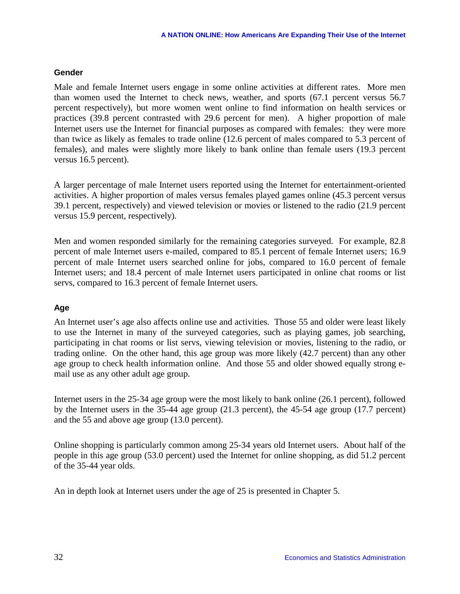## **Gender**

Male and female Internet users engage in some online activities at different rates. More men than women used the Internet to check news, weather, and sports (67.1 percent versus 56.7 percent respectively), but more women went online to find information on health services or practices (39.8 percent contrasted with 29.6 percent for men). A higher proportion of male Internet users use the Internet for financial purposes as compared with females: they were more than twice as likely as females to trade online (12.6 percent of males compared to 5.3 percent of females), and males were slightly more likely to bank online than female users (19.3 percent versus 16.5 percent).

A larger percentage of male Internet users reported using the Internet for entertainment-oriented activities. A higher proportion of males versus females played games online (45.3 percent versus 39.1 percent, respectively) and viewed television or movies or listened to the radio (21.9 percent versus 15.9 percent, respectively).

Men and women responded similarly for the remaining categories surveyed. For example, 82.8 percent of male Internet users e-mailed, compared to 85.1 percent of female Internet users; 16.9 percent of male Internet users searched online for jobs, compared to 16.0 percent of female Internet users; and 18.4 percent of male Internet users participated in online chat rooms or list servs, compared to 16.3 percent of female Internet users.

# **Age**

An Internet user's age also affects online use and activities. Those 55 and older were least likely to use the Internet in many of the surveyed categories, such as playing games, job searching, participating in chat rooms or list servs, viewing television or movies, listening to the radio, or trading online. On the other hand, this age group was more likely (42.7 percent) than any other age group to check health information online. And those 55 and older showed equally strong email use as any other adult age group.

Internet users in the 25-34 age group were the most likely to bank online (26.1 percent), followed by the Internet users in the 35-44 age group (21.3 percent), the 45-54 age group (17.7 percent) and the 55 and above age group (13.0 percent).

Online shopping is particularly common among 25-34 years old Internet users. About half of the people in this age group (53.0 percent) used the Internet for online shopping, as did 51.2 percent of the 35-44 year olds.

An in depth look at Internet users under the age of 25 is presented in Chapter 5.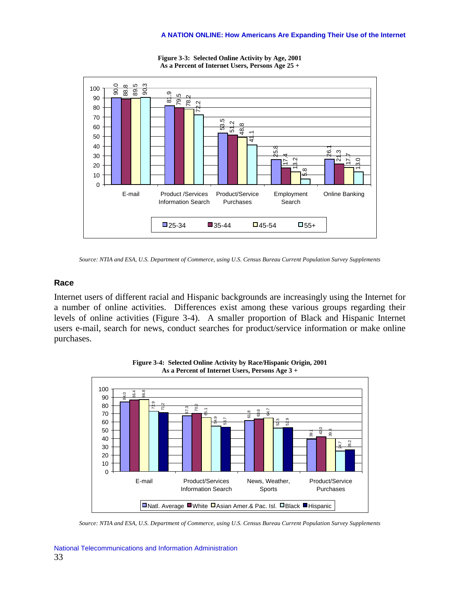

**Figure 3-3: Selected Online Activity by Age, 2001 As a Percent of Internet Users, Persons Age 25 +** 

## **Race**

Internet users of different racial and Hispanic backgrounds are increasingly using the Internet for a number of online activities. Differences exist among these various groups regarding their levels of online activities (Figure 3-4). A smaller proportion of Black and Hispanic Internet users e-mail, search for news, conduct searches for product/service information or make online purchases.



**Figure 3-4: Selected Online Activity by Race/Hispanic Origin, 2001 As a Percent of Internet Users, Persons Age 3 +** 

*Source: NTIA and ESA, U.S. Department of Commerce, using U.S. Census Bureau Current Population Survey Supplements* 

*Source: NTIA and ESA, U.S. Department of Commerce, using U.S. Census Bureau Current Population Survey Supplements*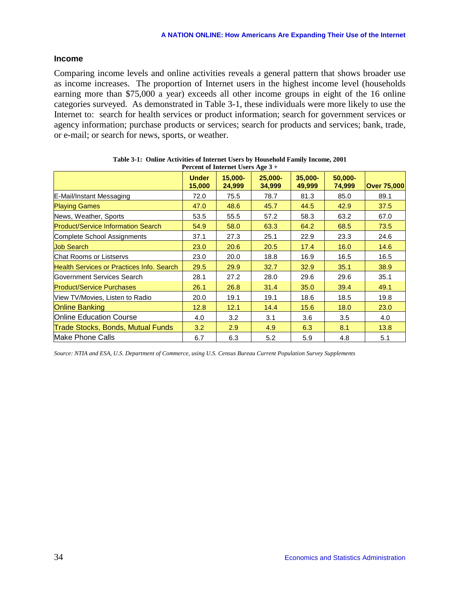### **Income**

Comparing income levels and online activities reveals a general pattern that shows broader use as income increases. The proportion of Internet users in the highest income level (households earning more than \$75,000 a year) exceeds all other income groups in eight of the 16 online categories surveyed. As demonstrated in Table 3-1, these individuals were more likely to use the Internet to: search for health services or product information; search for government services or agency information; purchase products or services; search for products and services; bank, trade, or e-mail; or search for news, sports, or weather.

|                                           |                        | Percent of Internet Users Age 5 + |                   |                   |                   |                    |
|-------------------------------------------|------------------------|-----------------------------------|-------------------|-------------------|-------------------|--------------------|
|                                           | <b>Under</b><br>15,000 | $15.000 -$<br>24,999              | 25.000-<br>34,999 | 35.000-<br>49,999 | 50,000-<br>74,999 | <b>Over 75,000</b> |
| E-Mail/Instant Messaging                  | 72.0                   | 75.5                              | 78.7              | 81.3              | 85.0              | 89.1               |
| <b>Playing Games</b>                      | 47.0                   | 48.6                              | 45.7              | 44.5              | 42.9              | 37.5               |
| News, Weather, Sports                     | 53.5                   | 55.5                              | 57.2              | 58.3              | 63.2              | 67.0               |
| <b>Product/Service Information Search</b> | 54.9                   | 58.0                              | 63.3              | 64.2              | 68.5              | 73.5               |
| Complete School Assignments               | 37.1                   | 27.3                              | 25.1              | 22.9              | 23.3              | 24.6               |
| <b>Job Search</b>                         | 23.0                   | 20.6                              | 20.5              | 17.4              | 16.0              | 14.6               |
| <b>IChat Rooms or Listservs</b>           | 23.0                   | 20.0                              | 18.8              | 16.9              | 16.5              | 16.5               |
| Health Services or Practices Info. Search | 29.5                   | 29.9                              | 32.7              | 32.9              | 35.1              | 38.9               |
| <b>Government Services Search</b>         | 28.1                   | 27.2                              | 28.0              | 29.6              | 29.6              | 35.1               |
| <b>Product/Service Purchases</b>          | 26.1                   | 26.8                              | 31.4              | 35.0              | 39.4              | 49.1               |
| View TV/Movies, Listen to Radio           | 20.0                   | 19.1                              | 19.1              | 18.6              | 18.5              | 19.8               |
| <b>Online Banking</b>                     | 12.8                   | 12.1                              | 14.4              | 15.6              | 18.0              | 23.0               |
| <b>Online Education Course</b>            | 4.0                    | 3.2                               | 3.1               | 3.6               | 3.5               | 4.0                |
| Trade Stocks, Bonds, Mutual Funds         | 3.2                    | 2.9                               | 4.9               | 6.3               | 8.1               | 13.8               |
| lMake Phone Calls                         | 6.7                    | 6.3                               | 5.2               | 5.9               | 4.8               | 5.1                |

**Table 3-1: Online Activities of Internet Users by Household Family Income, 2001 Percent of Internet of Internet of Internet Users Age 3** 

*Source: NTIA and ESA, U.S. Department of Commerce, using U.S. Census Bureau Current Population Survey Supplements*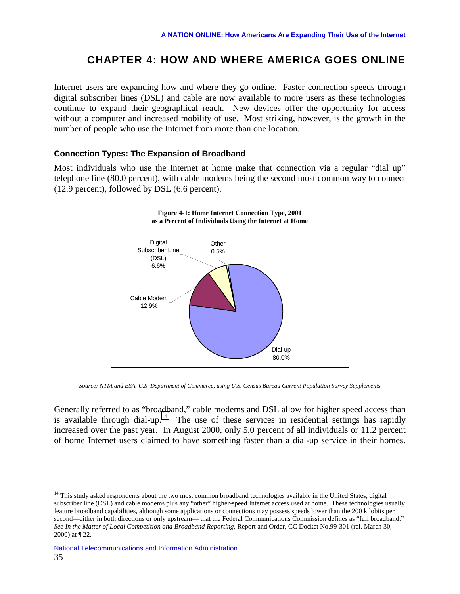# **CHAPTER 4: HOW AND WHERE AMERICA GOES ONLINE**

Internet users are expanding how and where they go online. Faster connection speeds through digital subscriber lines (DSL) and cable are now available to more users as these technologies continue to expand their geographical reach. New devices offer the opportunity for access without a computer and increased mobility of use. Most striking, however, is the growth in the number of people who use the Internet from more than one location.

## **Connection Types: The Expansion of Broadband**

Most individuals who use the Internet at home make that connection via a regular "dial up" telephone line (80.0 percent), with cable modems being the second most common way to connect (12.9 percent), followed by DSL (6.6 percent).



*Source: NTIA and ESA, U.S. Department of Commerce, using U.S. Census Bureau Current Population Survey Supplements* 

Generally referred to as "broadband," cable modems and DSL allow for higher speed access than is available through dial-up.<sup>14</sup> The use of these services in residential settings has rapidly increased over the past year. In August 2000, only 5.0 percent of all individuals or 11.2 percent of home Internet users claimed to have something faster than a dial-up service in their homes.

1

<sup>&</sup>lt;sup>14</sup> This study asked respondents about the two most common broadband technologies available in the United States, digital subscriber line (DSL) and cable modems plus any "other" higher-speed Internet access used at home. These technologies usually feature broadband capabilities, although some applications or connections may possess speeds lower than the 200 kilobits per second—either in both directions or only upstream— that the Federal Communications Commission defines as "full broadband." *See In the Matter of Local Competition and Broadband Reporting,* Report and Order, CC Docket No.99-301 (rel. March 30, 2000) at ¶ 22.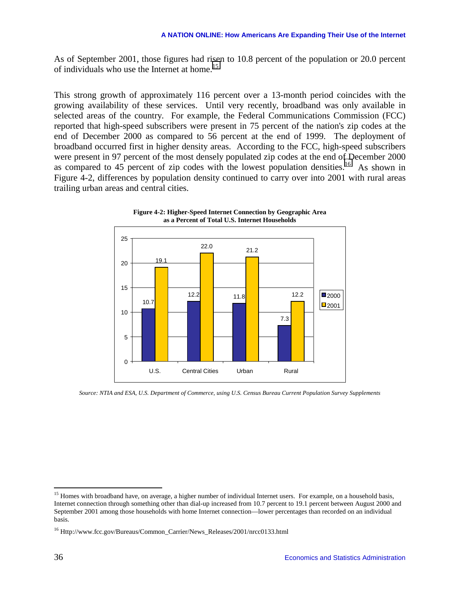As of September 2001, those figures had risen to 10.8 percent of the population or 20.0 percent of individuals who use the Internet at home.<sup>15</sup>

This strong growth of approximately 116 percent over a 13-month period coincides with the growing availability of these services. Until very recently, broadband was only available in selected areas of the country. For example, the Federal Communications Commission (FCC) reported that high-speed subscribers were present in 75 percent of the nation's zip codes at the end of December 2000 as compared to 56 percent at the end of 1999. The deployment of broadband occurred first in higher density areas. According to the FCC, high-speed subscribers were present in 97 percent of the most densely populated zip codes at the end of December 2000 as compared to  $45$  percent of zip codes with the lowest population densities.<sup>16</sup> As shown in Figure 4-2, differences by population density continued to carry over into 2001 with rural areas trailing urban areas and central cities.





*Source: NTIA and ESA, U.S. Department of Commerce, using U.S. Census Bureau Current Population Survey Supplements* 

<sup>&</sup>lt;sup>15</sup> Homes with broadband have, on average, a higher number of individual Internet users. For example, on a household basis, Internet connection through something other than dial-up increased from 10.7 percent to 19.1 percent between August 2000 and September 2001 among those households with home Internet connection—lower percentages than recorded on an individual basis.

<sup>&</sup>lt;sup>16</sup> Http://www.fcc.gov/Bureaus/Common\_Carrier/News\_Releases/2001/nrcc0133.html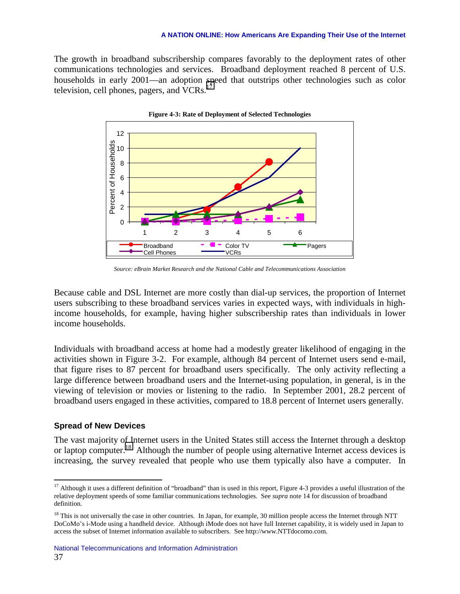#### **A NATION ONLINE: How Americans Are Expanding Their Use of the Internet**

The growth in broadband subscribership compares favorably to the deployment rates of other communications technologies and services. Broadband deployment reached 8 percent of U.S. households in early 2001—an adoption speed that outstrips other technologies such as color television, cell phones, pagers, and VCRs.<sup>1</sup>



*Source: eBrain Market Research and the National Cable and Telecommunications Association* 

Because cable and DSL Internet are more costly than dial-up services, the proportion of Internet users subscribing to these broadband services varies in expected ways, with individuals in highincome households, for example, having higher subscribership rates than individuals in lower income households.

Individuals with broadband access at home had a modestly greater likelihood of engaging in the activities shown in Figure 3-2. For example, although 84 percent of Internet users send e-mail, that figure rises to 87 percent for broadband users specifically. The only activity reflecting a large difference between broadband users and the Internet-using population, in general, is in the viewing of television or movies or listening to the radio. In September 2001, 28.2 percent of broadband users engaged in these activities, compared to 18.8 percent of Internet users generally.

### **Spread of New Devices**

<u>.</u>

The vast majority of Internet users in the United States still access the Internet through a desktop or laptop computer.<sup>18</sup> Although the number of people using alternative Internet access devices is increasing, the survey revealed that people who use them typically also have a computer. In

 $17$  Although it uses a different definition of "broadband" than is used in this report, Figure 4-3 provides a useful illustration of the relative deployment speeds of some familiar communications technologies. See *supra* note 14 for discussion of broadband definition.

 $18$  This is not universally the case in other countries. In Japan, for example, 30 million people access the Internet through NTT DoCoMo's i-Mode using a handheld device. Although iMode does not have full Internet capability, it is widely used in Japan to access the subset of Internet information available to subscribers. See http://www.NTTdocomo.com.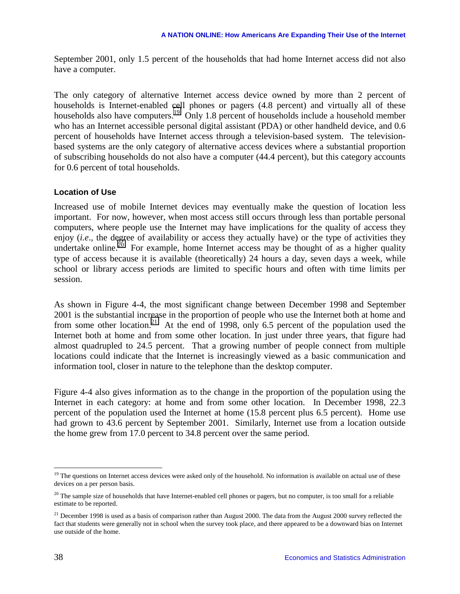September 2001, only 1.5 percent of the households that had home Internet access did not also have a computer.

The only category of alternative Internet access device owned by more than 2 percent of households is Internet-enabled cell phones or pagers (4.8 percent) and virtually all of these households also have computers.<sup>19</sup> Only 1.8 percent of households include a household member who has an Internet accessible personal digital assistant (PDA) or other handheld device, and 0.6 percent of households have Internet access through a television-based system. The televisionbased systems are the only category of alternative access devices where a substantial proportion of subscribing households do not also have a computer (44.4 percent), but this category accounts for 0.6 percent of total households.

## **Location of Use**

Increased use of mobile Internet devices may eventually make the question of location less important. For now, however, when most access still occurs through less than portable personal computers, where people use the Internet may have implications for the quality of access they enjoy *(i.e.*, the degree of availability or access they actually have) or the type of activities they undertake online.<sup>20</sup> For example, home Internet access may be thought of as a higher quality type of access because it is available (theoretically) 24 hours a day, seven days a week, while school or library access periods are limited to specific hours and often with time limits per session.

As shown in Figure 4-4, the most significant change between December 1998 and September 2001 is the substantial increase in the proportion of people who use the Internet both at home and from some other location.<sup>21</sup> At the end of 1998, only 6.5 percent of the population used the Internet both at home and from some other location. In just under three years, that figure had almost quadrupled to 24.5 percent. That a growing number of people connect from multiple locations could indicate that the Internet is increasingly viewed as a basic communication and information tool, closer in nature to the telephone than the desktop computer.

Figure 4-4 also gives information as to the change in the proportion of the population using the Internet in each category: at home and from some other location. In December 1998, 22.3 percent of the population used the Internet at home (15.8 percent plus 6.5 percent). Home use had grown to 43.6 percent by September 2001. Similarly, Internet use from a location outside the home grew from 17.0 percent to 34.8 percent over the same period.

 $19$  The questions on Internet access devices were asked only of the household. No information is available on actual use of these devices on a per person basis.

<sup>&</sup>lt;sup>20</sup> The sample size of households that have Internet-enabled cell phones or pagers, but no computer, is too small for a reliable estimate to be reported.

 $21$  December 1998 is used as a basis of comparison rather than August 2000. The data from the August 2000 survey reflected the fact that students were generally not in school when the survey took place, and there appeared to be a downward bias on Internet use outside of the home.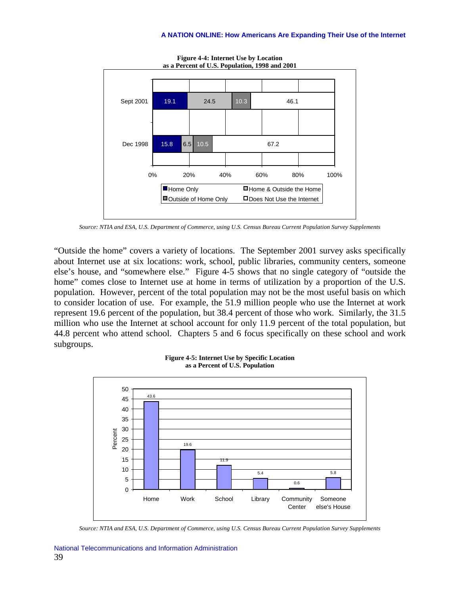

**Figure 4-4: Internet Use by Location as a Percent of U.S. Population, 1998 and 2001** 

*Source: NTIA and ESA, U.S. Department of Commerce, using U.S. Census Bureau Current Population Survey Supplements* 

"Outside the home" covers a variety of locations. The September 2001 survey asks specifically about Internet use at six locations: work, school, public libraries, community centers, someone else's house, and "somewhere else." Figure 4-5 shows that no single category of "outside the home" comes close to Internet use at home in terms of utilization by a proportion of the U.S. population. However, percent of the total population may not be the most useful basis on which to consider location of use. For example, the 51.9 million people who use the Internet at work represent 19.6 percent of the population, but 38.4 percent of those who work. Similarly, the 31.5 million who use the Internet at school account for only 11.9 percent of the total population, but 44.8 percent who attend school. Chapters 5 and 6 focus specifically on these school and work subgroups.



**Figure 4-5: Internet Use by Specific Location as a Percent of U.S. Population** 

*Source: NTIA and ESA, U.S. Department of Commerce, using U.S. Census Bureau Current Population Survey Supplements*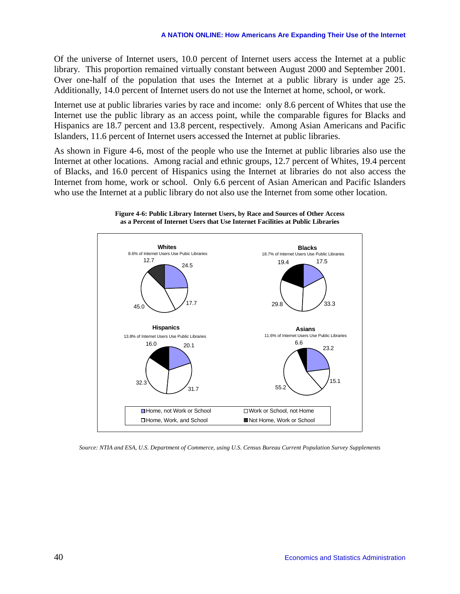Of the universe of Internet users, 10.0 percent of Internet users access the Internet at a public library. This proportion remained virtually constant between August 2000 and September 2001. Over one-half of the population that uses the Internet at a public library is under age 25. Additionally, 14.0 percent of Internet users do not use the Internet at home, school, or work.

Internet use at public libraries varies by race and income: only 8.6 percent of Whites that use the Internet use the public library as an access point, while the comparable figures for Blacks and Hispanics are 18.7 percent and 13.8 percent, respectively. Among Asian Americans and Pacific Islanders, 11.6 percent of Internet users accessed the Internet at public libraries.

As shown in Figure 4-6, most of the people who use the Internet at public libraries also use the Internet at other locations. Among racial and ethnic groups, 12.7 percent of Whites, 19.4 percent of Blacks, and 16.0 percent of Hispanics using the Internet at libraries do not also access the Internet from home, work or school. Only 6.6 percent of Asian American and Pacific Islanders who use the Internet at a public library do not also use the Internet from some other location.





*Source: NTIA and ESA, U.S. Department of Commerce, using U.S. Census Bureau Current Population Survey Supplements*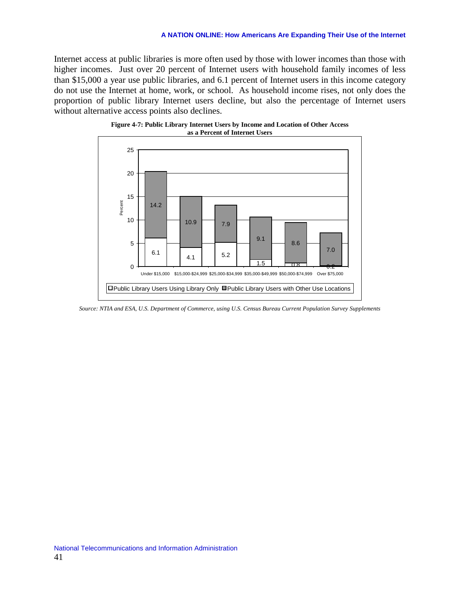#### **A NATION ONLINE: How Americans Are Expanding Their Use of the Internet**

Internet access at public libraries is more often used by those with lower incomes than those with higher incomes. Just over 20 percent of Internet users with household family incomes of less than \$15,000 a year use public libraries, and 6.1 percent of Internet users in this income category do not use the Internet at home, work, or school. As household income rises, not only does the proportion of public library Internet users decline, but also the percentage of Internet users without alternative access points also declines.





*Source: NTIA and ESA, U.S. Department of Commerce, using U.S. Census Bureau Current Population Survey Supplements*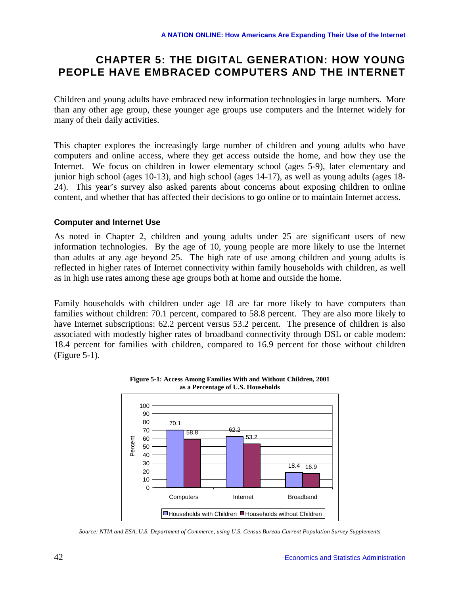# **CHAPTER 5: THE DIGITAL GENERATION: HOW YOUNG PEOPLE HAVE EMBRACED COMPUTERS AND THE INTERNET**

Children and young adults have embraced new information technologies in large numbers. More than any other age group, these younger age groups use computers and the Internet widely for many of their daily activities.

This chapter explores the increasingly large number of children and young adults who have computers and online access, where they get access outside the home, and how they use the Internet. We focus on children in lower elementary school (ages 5-9), later elementary and junior high school (ages 10-13), and high school (ages 14-17), as well as young adults (ages 18- 24). This year's survey also asked parents about concerns about exposing children to online content, and whether that has affected their decisions to go online or to maintain Internet access.

## **Computer and Internet Use**

As noted in Chapter 2, children and young adults under 25 are significant users of new information technologies. By the age of 10, young people are more likely to use the Internet than adults at any age beyond 25. The high rate of use among children and young adults is reflected in higher rates of Internet connectivity within family households with children, as well as in high use rates among these age groups both at home and outside the home.

Family households with children under age 18 are far more likely to have computers than families without children: 70.1 percent, compared to 58.8 percent. They are also more likely to have Internet subscriptions: 62.2 percent versus 53.2 percent. The presence of children is also associated with modestly higher rates of broadband connectivity through DSL or cable modem: 18.4 percent for families with children, compared to 16.9 percent for those without children (Figure 5-1).



**Figure 5-1: Access Among Families With and Without Children, 2001 as a Percentage of U.S. Households** 

*Source: NTIA and ESA, U.S. Department of Commerce, using U.S. Census Bureau Current Population Survey Supplements*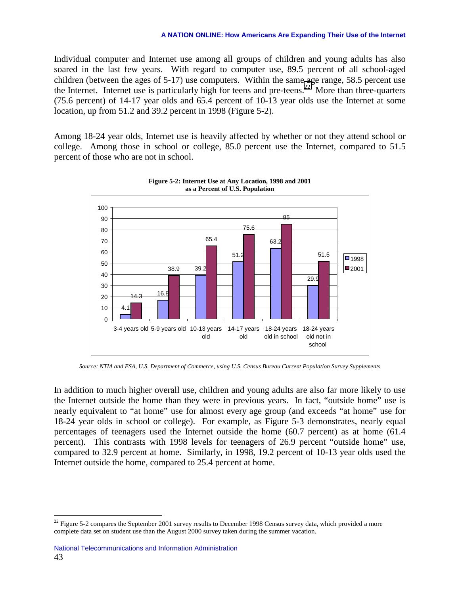Individual computer and Internet use among all groups of children and young adults has also soared in the last few years. With regard to computer use, 89.5 percent of all school-aged children (between the ages of 5-17) use computers. Within the same age range, 58.5 percent use the Internet. Internet use is particularly high for teens and pre-teens.<sup>22</sup> More than three-quarters (75.6 percent) of 14-17 year olds and 65.4 percent of 10-13 year olds use the Internet at some location, up from 51.2 and 39.2 percent in 1998 (Figure 5-2).

Among 18-24 year olds, Internet use is heavily affected by whether or not they attend school or college. Among those in school or college, 85.0 percent use the Internet, compared to 51.5 percent of those who are not in school.





*Source: NTIA and ESA, U.S. Department of Commerce, using U.S. Census Bureau Current Population Survey Supplements* 

In addition to much higher overall use, children and young adults are also far more likely to use the Internet outside the home than they were in previous years. In fact, "outside home" use is nearly equivalent to "at home" use for almost every age group (and exceeds "at home" use for 18-24 year olds in school or college). For example, as Figure 5-3 demonstrates, nearly equal percentages of teenagers used the Internet outside the home (60.7 percent) as at home (61.4 percent). This contrasts with 1998 levels for teenagers of 26.9 percent "outside home" use, compared to 32.9 percent at home. Similarly, in 1998, 19.2 percent of 10-13 year olds used the Internet outside the home, compared to 25.4 percent at home.

<sup>&</sup>lt;sup>22</sup> Figure 5-2 compares the September 2001 survey results to December 1998 Census survey data, which provided a more complete data set on student use than the August 2000 survey taken during the summer vacation.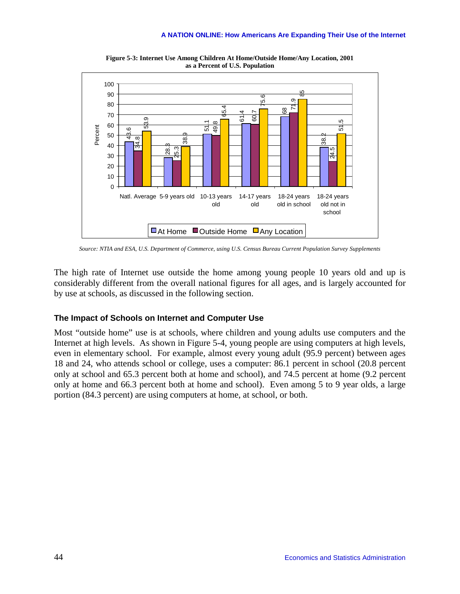

**Figure 5-3: Internet Use Among Children At Home/Outside Home/Any Location, 2001 as a Percent of U.S. Population** 

*Source: NTIA and ESA, U.S. Department of Commerce, using U.S. Census Bureau Current Population Survey Supplements* 

The high rate of Internet use outside the home among young people 10 years old and up is considerably different from the overall national figures for all ages, and is largely accounted for by use at schools, as discussed in the following section.

### **The Impact of Schools on Internet and Computer Use**

Most "outside home" use is at schools, where children and young adults use computers and the Internet at high levels. As shown in Figure 5-4, young people are using computers at high levels, even in elementary school. For example, almost every young adult (95.9 percent) between ages 18 and 24, who attends school or college, uses a computer: 86.1 percent in school (20.8 percent only at school and 65.3 percent both at home and school), and 74.5 percent at home (9.2 percent only at home and 66.3 percent both at home and school). Even among 5 to 9 year olds, a large portion (84.3 percent) are using computers at home, at school, or both.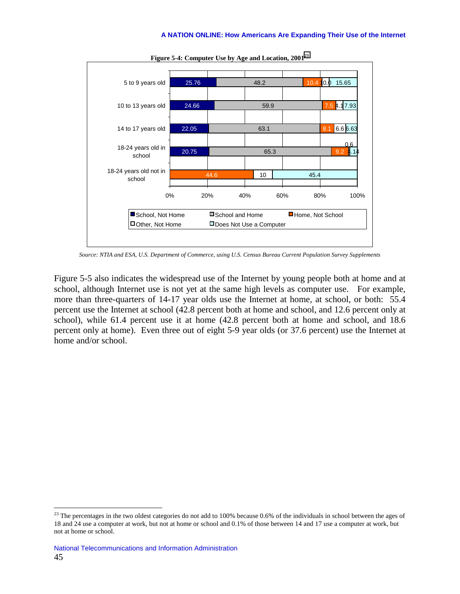

**Figure 5-4: Computer Use by Age and Location, 2001<sup>23</sup>**

*Source: NTIA and ESA, U.S. Department of Commerce, using U.S. Census Bureau Current Population Survey Supplements* 

Figure 5-5 also indicates the widespread use of the Internet by young people both at home and at school, although Internet use is not yet at the same high levels as computer use. For example, more than three-quarters of 14-17 year olds use the Internet at home, at school, or both: 55.4 percent use the Internet at school (42.8 percent both at home and school, and 12.6 percent only at school), while 61.4 percent use it at home (42.8 percent both at home and school, and 18.6 percent only at home). Even three out of eight 5-9 year olds (or 37.6 percent) use the Internet at home and/or school.

 $^{23}$  The percentages in the two oldest categories do not add to 100% because 0.6% of the individuals in school between the ages of 18 and 24 use a computer at work, but not at home or school and 0.1% of those between 14 and 17 use a computer at work, but not at home or school.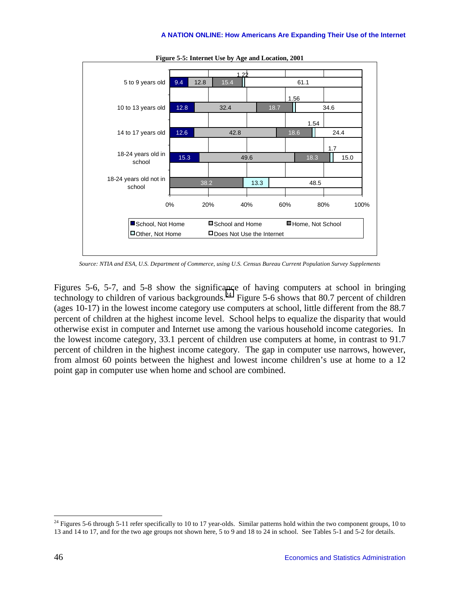

**Figure 5-5: Internet Use by Age and Location, 2001** 

*Source: NTIA and ESA, U.S. Department of Commerce, using U.S. Census Bureau Current Population Survey Supplements* 

Figures 5-6, 5-7, and 5-8 show the significance of having computers at school in bringing technology to children of various backgrounds.<sup>24</sup> Figure 5-6 shows that 80.7 percent of children (ages 10-17) in the lowest income category use computers at school, little different from the 88.7 percent of children at the highest income level. School helps to equalize the disparity that would otherwise exist in computer and Internet use among the various household income categories. In the lowest income category, 33.1 percent of children use computers at home, in contrast to 91.7 percent of children in the highest income category. The gap in computer use narrows, however, from almost 60 points between the highest and lowest income children's use at home to a 12 point gap in computer use when home and school are combined.

 $^{24}$  Figures 5-6 through 5-11 refer specifically to 10 to 17 year-olds. Similar patterns hold within the two component groups, 10 to 13 and 14 to 17, and for the two age groups not shown here, 5 to 9 and 18 to 24 in school. See Tables 5-1 and 5-2 for details.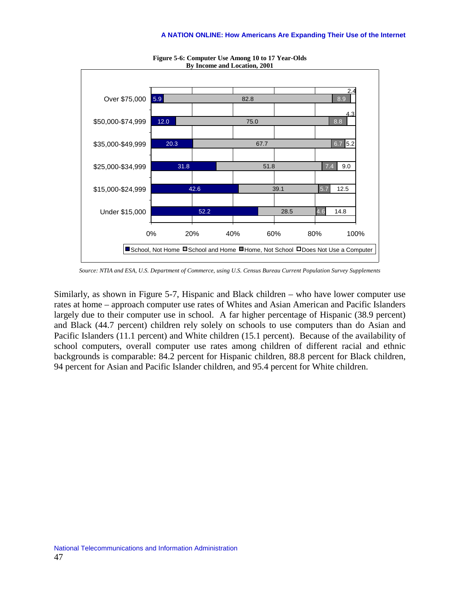

**Figure 5-6: Computer Use Among 10 to 17 Year-Olds By Income and Location, 2001** 

*Source: NTIA and ESA, U.S. Department of Commerce, using U.S. Census Bureau Current Population Survey Supplements* 

Similarly, as shown in Figure 5-7, Hispanic and Black children – who have lower computer use rates at home – approach computer use rates of Whites and Asian American and Pacific Islanders largely due to their computer use in school. A far higher percentage of Hispanic (38.9 percent) and Black (44.7 percent) children rely solely on schools to use computers than do Asian and Pacific Islanders (11.1 percent) and White children (15.1 percent). Because of the availability of school computers, overall computer use rates among children of different racial and ethnic backgrounds is comparable: 84.2 percent for Hispanic children, 88.8 percent for Black children, 94 percent for Asian and Pacific Islander children, and 95.4 percent for White children.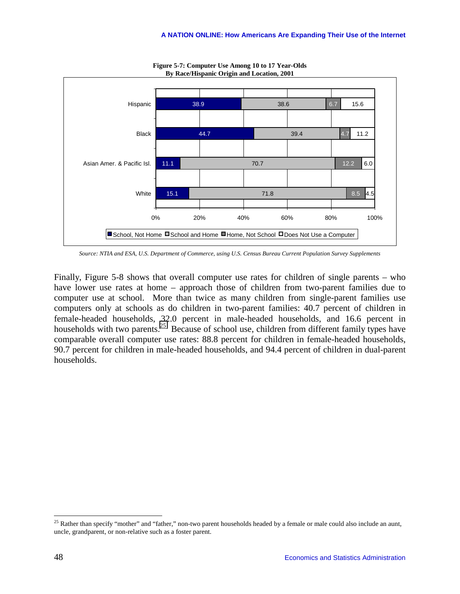

**Figure 5-7: Computer Use Among 10 to 17 Year-Olds By Race/Hispanic Origin and Location, 2001** 

*Source: NTIA and ESA, U.S. Department of Commerce, using U.S. Census Bureau Current Population Survey Supplements* 

Finally, Figure 5-8 shows that overall computer use rates for children of single parents – who have lower use rates at home – approach those of children from two-parent families due to computer use at school. More than twice as many children from single-parent families use computers only at schools as do children in two-parent families: 40.7 percent of children in female-headed households, 32.0 percent in male-headed households, and 16.6 percent in households with two parents.<sup>25</sup> Because of school use, children from different family types have comparable overall computer use rates: 88.8 percent for children in female-headed households, 90.7 percent for children in male-headed households, and 94.4 percent of children in dual-parent households.

<sup>&</sup>lt;sup>25</sup> Rather than specify "mother" and "father," non-two parent households headed by a female or male could also include an aunt, uncle, grandparent, or non-relative such as a foster parent.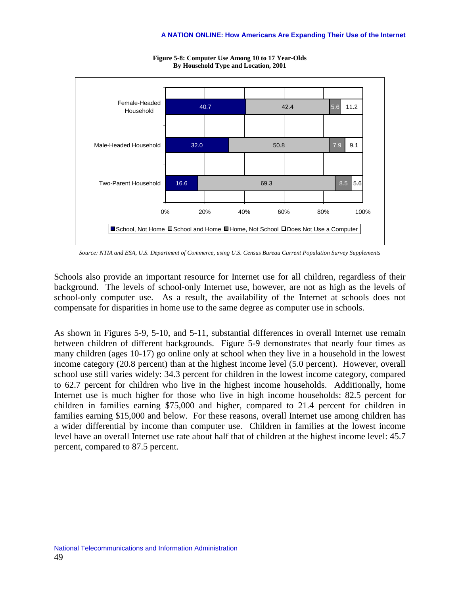

**Figure 5-8: Computer Use Among 10 to 17 Year-Olds By Household Type and Location, 2001** 

*Source: NTIA and ESA, U.S. Department of Commerce, using U.S. Census Bureau Current Population Survey Supplements* 

Schools also provide an important resource for Internet use for all children, regardless of their background. The levels of school-only Internet use, however, are not as high as the levels of school-only computer use. As a result, the availability of the Internet at schools does not compensate for disparities in home use to the same degree as computer use in schools.

As shown in Figures 5-9, 5-10, and 5-11, substantial differences in overall Internet use remain between children of different backgrounds. Figure 5-9 demonstrates that nearly four times as many children (ages 10-17) go online only at school when they live in a household in the lowest income category (20.8 percent) than at the highest income level (5.0 percent). However, overall school use still varies widely: 34.3 percent for children in the lowest income category, compared to 62.7 percent for children who live in the highest income households. Additionally, home Internet use is much higher for those who live in high income households: 82.5 percent for children in families earning \$75,000 and higher, compared to 21.4 percent for children in families earning \$15,000 and below. For these reasons, overall Internet use among children has a wider differential by income than computer use. Children in families at the lowest income level have an overall Internet use rate about half that of children at the highest income level: 45.7 percent, compared to 87.5 percent.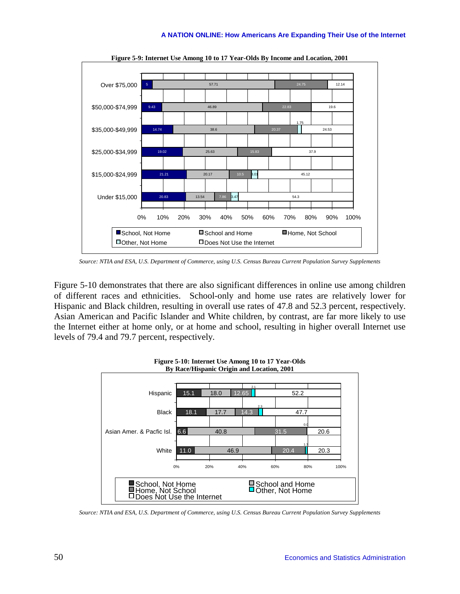

**Figure 5-9: Internet Use Among 10 to 17 Year-Olds By Income and Location, 2001** 

*Source: NTIA and ESA, U.S. Department of Commerce, using U.S. Census Bureau Current Population Survey Supplements* 

Figure 5-10 demonstrates that there are also significant differences in online use among children of different races and ethnicities. School-only and home use rates are relatively lower for Hispanic and Black children, resulting in overall use rates of 47.8 and 52.3 percent, respectively. Asian American and Pacific Islander and White children, by contrast, are far more likely to use the Internet either at home only, or at home and school, resulting in higher overall Internet use levels of 79.4 and 79.7 percent, respectively.



**Figure 5-10: Internet Use Among 10 to 17 Year-Olds** 

*Source: NTIA and ESA, U.S. Department of Commerce, using U.S. Census Bureau Current Population Survey Supplements*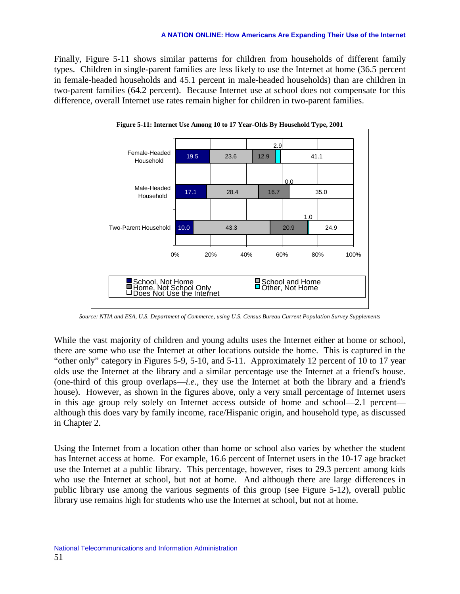Finally, Figure 5-11 shows similar patterns for children from households of different family types. Children in single-parent families are less likely to use the Internet at home (36.5 percent in female-headed households and 45.1 percent in male-headed households) than are children in two-parent families (64.2 percent). Because Internet use at school does not compensate for this difference, overall Internet use rates remain higher for children in two-parent families.



**Figure 5-11: Internet Use Among 10 to 17 Year-Olds By Household Type, 2001** 

*Source: NTIA and ESA, U.S. Department of Commerce, using U.S. Census Bureau Current Population Survey Supplements* 

While the vast majority of children and young adults uses the Internet either at home or school, there are some who use the Internet at other locations outside the home. This is captured in the "other only" category in Figures 5-9, 5-10, and 5-11. Approximately 12 percent of 10 to 17 year olds use the Internet at the library and a similar percentage use the Internet at a friend's house. (one-third of this group overlaps—*i.e*., they use the Internet at both the library and a friend's house). However, as shown in the figures above, only a very small percentage of Internet users in this age group rely solely on Internet access outside of home and school—2.1 percent although this does vary by family income, race/Hispanic origin, and household type, as discussed in Chapter 2.

Using the Internet from a location other than home or school also varies by whether the student has Internet access at home. For example, 16.6 percent of Internet users in the 10-17 age bracket use the Internet at a public library. This percentage, however, rises to 29.3 percent among kids who use the Internet at school, but not at home. And although there are large differences in public library use among the various segments of this group (see Figure 5-12), overall public library use remains high for students who use the Internet at school, but not at home.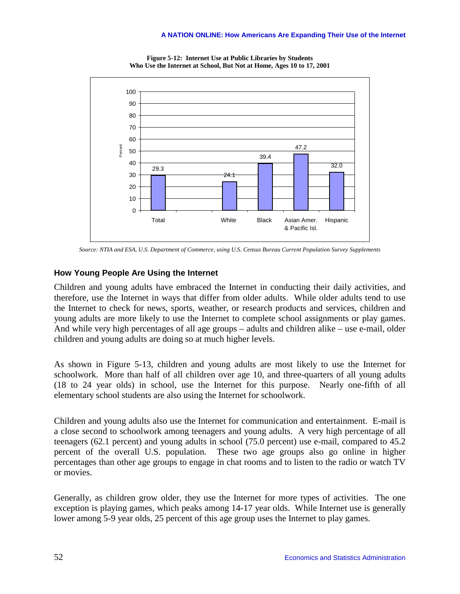

**Figure 5-12: Internet Use at Public Libraries by Students Who Use the Internet at School, But Not at Home, Ages 10 to 17, 2001** 

*Source: NTIA and ESA, U.S. Department of Commerce, using U.S. Census Bureau Current Population Survey Supplements* 

# **How Young People Are Using the Internet**

Children and young adults have embraced the Internet in conducting their daily activities, and therefore, use the Internet in ways that differ from older adults. While older adults tend to use the Internet to check for news, sports, weather, or research products and services, children and young adults are more likely to use the Internet to complete school assignments or play games. And while very high percentages of all age groups – adults and children alike – use e-mail, older children and young adults are doing so at much higher levels.

As shown in Figure 5-13, children and young adults are most likely to use the Internet for schoolwork. More than half of all children over age 10, and three-quarters of all young adults (18 to 24 year olds) in school, use the Internet for this purpose. Nearly one-fifth of all elementary school students are also using the Internet for schoolwork.

Children and young adults also use the Internet for communication and entertainment. E-mail is a close second to schoolwork among teenagers and young adults. A very high percentage of all teenagers (62.1 percent) and young adults in school (75.0 percent) use e-mail, compared to 45.2 percent of the overall U.S. population. These two age groups also go online in higher percentages than other age groups to engage in chat rooms and to listen to the radio or watch TV or movies.

Generally, as children grow older, they use the Internet for more types of activities. The one exception is playing games, which peaks among 14-17 year olds. While Internet use is generally lower among 5-9 year olds, 25 percent of this age group uses the Internet to play games.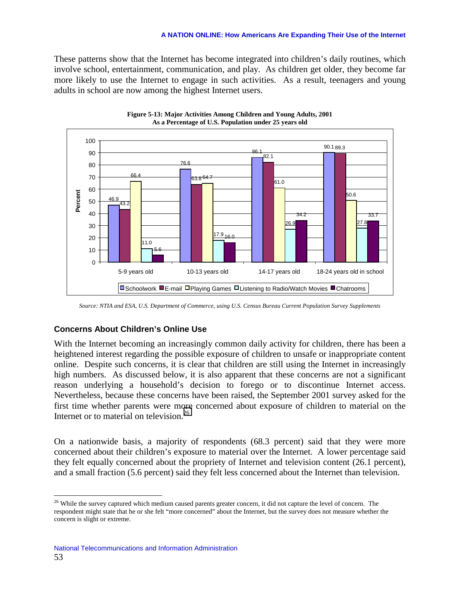#### **A NATION ONLINE: How Americans Are Expanding Their Use of the Internet**

These patterns show that the Internet has become integrated into children's daily routines, which involve school, entertainment, communication, and play. As children get older, they become far more likely to use the Internet to engage in such activities. As a result, teenagers and young adults in school are now among the highest Internet users.





*Source: NTIA and ESA, U.S. Department of Commerce, using U.S. Census Bureau Current Population Survey Supplements* 

## **Concerns About Children's Online Use**

With the Internet becoming an increasingly common daily activity for children, there has been a heightened interest regarding the possible exposure of children to unsafe or inappropriate content online. Despite such concerns, it is clear that children are still using the Internet in increasingly high numbers. As discussed below, it is also apparent that these concerns are not a significant reason underlying a household's decision to forego or to discontinue Internet access. Nevertheless, because these concerns have been raised, the September 2001 survey asked for the first time whether parents were more concerned about exposure of children to material on the Internet or to material on television.<sup>26</sup>

On a nationwide basis, a majority of respondents (68.3 percent) said that they were more concerned about their children's exposure to material over the Internet. A lower percentage said they felt equally concerned about the propriety of Internet and television content (26.1 percent), and a small fraction (5.6 percent) said they felt less concerned about the Internet than television.

<sup>&</sup>lt;sup>26</sup> While the survey captured which medium caused parents greater concern, it did not capture the level of concern. The respondent might state that he or she felt "more concerned" about the Internet, but the survey does not measure whether the concern is slight or extreme.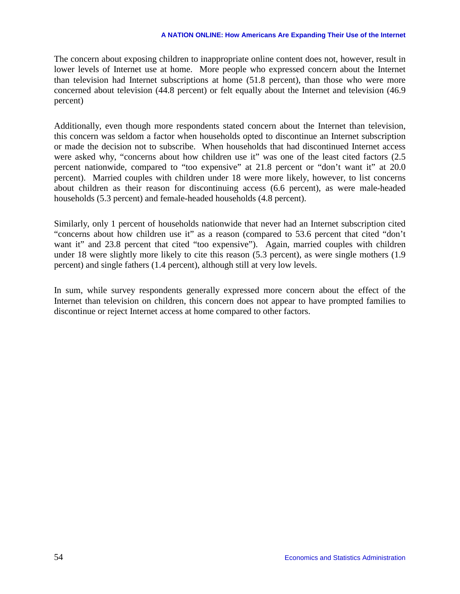#### **A NATION ONLINE: How Americans Are Expanding Their Use of the Internet**

The concern about exposing children to inappropriate online content does not, however, result in lower levels of Internet use at home. More people who expressed concern about the Internet than television had Internet subscriptions at home (51.8 percent), than those who were more concerned about television (44.8 percent) or felt equally about the Internet and television (46.9 percent)

Additionally, even though more respondents stated concern about the Internet than television, this concern was seldom a factor when households opted to discontinue an Internet subscription or made the decision not to subscribe. When households that had discontinued Internet access were asked why, "concerns about how children use it" was one of the least cited factors (2.5 percent nationwide, compared to "too expensive" at 21.8 percent or "don't want it" at 20.0 percent). Married couples with children under 18 were more likely, however, to list concerns about children as their reason for discontinuing access (6.6 percent), as were male-headed households (5.3 percent) and female-headed households (4.8 percent).

Similarly, only 1 percent of households nationwide that never had an Internet subscription cited "concerns about how children use it" as a reason (compared to 53.6 percent that cited "don't want it" and 23.8 percent that cited "too expensive"). Again, married couples with children under 18 were slightly more likely to cite this reason (5.3 percent), as were single mothers (1.9 percent) and single fathers (1.4 percent), although still at very low levels.

In sum, while survey respondents generally expressed more concern about the effect of the Internet than television on children, this concern does not appear to have prompted families to discontinue or reject Internet access at home compared to other factors.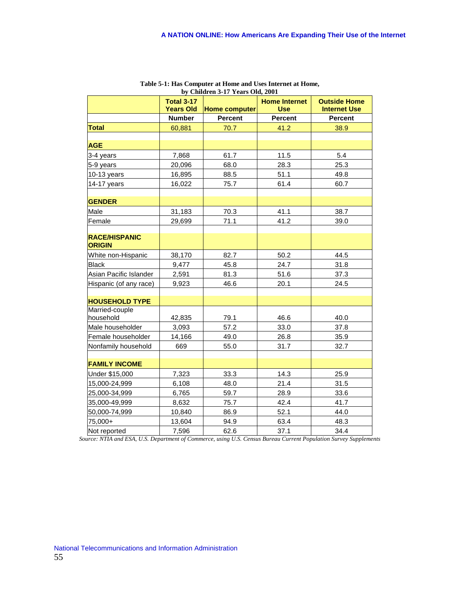|                                       |                   | by Children 3-17 Years Old, 2001 |                      |                     |
|---------------------------------------|-------------------|----------------------------------|----------------------|---------------------|
|                                       | <b>Total 3-17</b> |                                  | <b>Home Internet</b> | <b>Outside Home</b> |
|                                       | <b>Years Old</b>  | <b>Home computer</b>             | <b>Use</b>           | <b>Internet Use</b> |
|                                       | <b>Number</b>     | Percent                          | Percent              | Percent             |
| <b>Total</b>                          | 60,881            | 70.7                             | 41.2                 | 38.9                |
|                                       |                   |                                  |                      |                     |
| <b>AGE</b>                            |                   |                                  |                      |                     |
| 3-4 years                             | 7,868             | 61.7                             | 11.5                 | 5.4                 |
| 5-9 years                             | 20,096            | 68.0                             | 28.3                 | 25.3                |
| 10-13 years                           | 16,895            | 88.5                             | 51.1                 | 49.8                |
| 14-17 years                           | 16,022            | 75.7                             | 61.4                 | 60.7                |
|                                       |                   |                                  |                      |                     |
| <b>GENDER</b>                         |                   |                                  |                      |                     |
| Male                                  | 31,183            | 70.3                             | 41.1                 | 38.7                |
| Female                                | 29,699            | 71.1                             | 41.2                 | 39.0                |
|                                       |                   |                                  |                      |                     |
| <b>RACE/HISPANIC</b><br><b>ORIGIN</b> |                   |                                  |                      |                     |
| White non-Hispanic                    | 38,170            | 82.7                             | 50.2                 | 44.5                |
| <b>Black</b>                          | 9,477             | 45.8                             | 24.7                 | 31.8                |
| Asian Pacific Islander                | 2,591             | 81.3                             | 51.6                 | 37.3                |
| Hispanic (of any race)                | 9,923             | 46.6                             | 20.1                 | 24.5                |
|                                       |                   |                                  |                      |                     |
| <b>HOUSEHOLD TYPE</b>                 |                   |                                  |                      |                     |
| Married-couple<br>household           | 42,835            | 79.1                             | 46.6                 | 40.0                |
| Male householder                      | 3,093             | 57.2                             | 33.0                 | 37.8                |
| Female householder                    | 14,166            | 49.0                             | 26.8                 | 35.9                |
| Nonfamily household                   | 669               | 55.0                             | 31.7                 | 32.7                |
|                                       |                   |                                  |                      |                     |
| <b>FAMILY INCOME</b>                  |                   |                                  |                      |                     |
| Under \$15,000                        | 7,323             | 33.3                             | 14.3                 | 25.9                |
| 15,000-24,999                         | 6,108             | 48.0                             | 21.4                 | 31.5                |
| 25,000-34,999                         | 6,765             | 59.7                             | 28.9                 | 33.6                |
| 35,000-49,999                         | 8,632             | 75.7                             | 42.4                 | 41.7                |
| 50,000-74,999                         | 10,840            | 86.9                             | 52.1                 | 44.0                |
| 75,000+                               | 13,604            | 94.9                             | 63.4                 | 48.3                |
| Not reported                          | 7,596             | 62.6                             | 37.1                 | 34.4                |

**Table 5-1: Has Computer at Home and Uses Internet at Home, by Children 3-17 Years Old, 2001** 

*Source: NTIA and ESA, U.S. Department of Commerce, using U.S. Census Bureau Current Population Survey Supplements*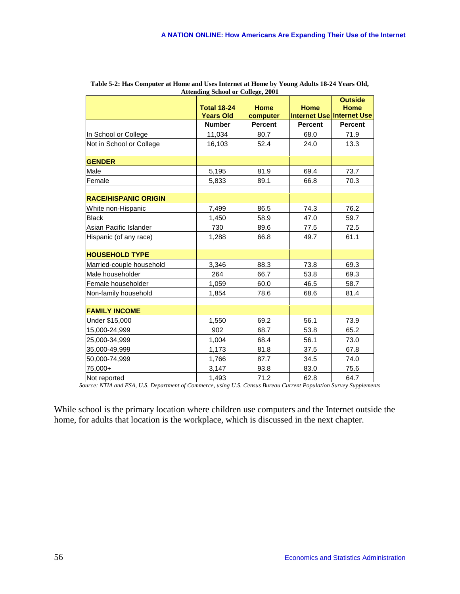|                             | Attenung senoor or Conege, 2001 |                |                |                               |
|-----------------------------|---------------------------------|----------------|----------------|-------------------------------|
|                             | <b>Total 18-24</b>              | <b>Home</b>    | <b>Home</b>    | <b>Outside</b><br><b>Home</b> |
|                             | <b>Years Old</b>                | computer       |                | Internet Use Internet Use     |
|                             | <b>Number</b>                   | <b>Percent</b> | <b>Percent</b> | <b>Percent</b>                |
| In School or College        | 11,034                          | 80.7           | 68.0           | 71.9                          |
| Not in School or College    | 16,103                          | 52.4           | 24.0           | 13.3                          |
|                             |                                 |                |                |                               |
| <b>GENDER</b>               |                                 |                |                |                               |
| Male                        | 5,195                           | 81.9           | 69.4           | 73.7                          |
| Female                      | 5,833                           | 89.1           | 66.8           | 70.3                          |
| <b>RACE/HISPANIC ORIGIN</b> |                                 |                |                |                               |
| White non-Hispanic          | 7,499                           | 86.5           | 74.3           | 76.2                          |
| <b>Black</b>                | 1,450                           | 58.9           | 47.0           | 59.7                          |
| Asian Pacific Islander      | 730                             | 89.6           | 77.5           | 72.5                          |
| Hispanic (of any race)      | 1,288                           | 66.8           | 49.7           | 61.1                          |
|                             |                                 |                |                |                               |
| <b>HOUSEHOLD TYPE</b>       |                                 |                |                |                               |
| Married-couple household    | 3,346                           | 88.3           | 73.8           | 69.3                          |
| Male householder            | 264                             | 66.7           | 53.8           | 69.3                          |
| Female householder          | 1,059                           | 60.0           | 46.5           | 58.7                          |
| Non-family household        | 1,854                           | 78.6           | 68.6           | 81.4                          |
| <b>FAMILY INCOME</b>        |                                 |                |                |                               |
| Under \$15,000              | 1,550                           | 69.2           | 56.1           | 73.9                          |
| 15,000-24,999               | 902                             | 68.7           | 53.8           | 65.2                          |
| 25,000-34,999               | 1,004                           | 68.4           | 56.1           | 73.0                          |
| 35,000-49,999               | 1,173                           | 81.8           | 37.5           | 67.8                          |
| 50,000-74,999               | 1,766                           | 87.7           | 34.5           | 74.0                          |
| 75,000+                     | 3,147                           | 93.8           | 83.0           | 75.6                          |
| Not reported                | 1,493                           | 71.2           | 62.8           | 64.7                          |

| Table 5-2: Has Computer at Home and Uses Internet at Home by Young Adults 18-24 Years Old, |
|--------------------------------------------------------------------------------------------|
| <b>Attending School or College, 2001</b>                                                   |

*Source: NTIA and ESA, U.S. Department of Commerce, using U.S. Census Bureau Current Population Survey Supplements* 

While school is the primary location where children use computers and the Internet outside the home, for adults that location is the workplace, which is discussed in the next chapter.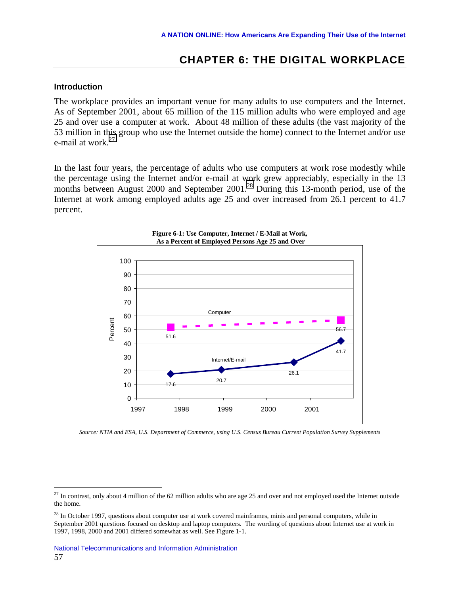# **CHAPTER 6: THE DIGITAL WORKPLACE**

#### **Introduction**

 $\overline{a}$ 

The workplace provides an important venue for many adults to use computers and the Internet. As of September 2001, about 65 million of the 115 million adults who were employed and age 25 and over use a computer at work. About 48 million of these adults (the vast majority of the 53 million in this group who use the Internet outside the home) connect to the Internet and/or use e-mail at work. $27$ 

In the last four years, the percentage of adults who use computers at work rose modestly while the percentage using the Internet and/or e-mail at work grew appreciably, especially in the 13 months between August 2000 and September 2001.<sup>28</sup> During this 13-month period, use of the Internet at work among employed adults age 25 and over increased from 26.1 percent to 41.7 percent.



**Figure 6-1: Use Computer, Internet / E-Mail at Work, As a Percent of Employed Persons Age 25 and Over** 

*Source: NTIA and ESA, U.S. Department of Commerce, using U.S. Census Bureau Current Population Survey Supplements* 

 $^{27}$  In contrast, only about 4 million of the 62 million adults who are age 25 and over and not employed used the Internet outside the home.

 $28$  In October 1997, questions about computer use at work covered mainframes, minis and personal computers, while in September 2001 questions focused on desktop and laptop computers. The wording of questions about Internet use at work in 1997, 1998, 2000 and 2001 differed somewhat as well. See Figure 1-1.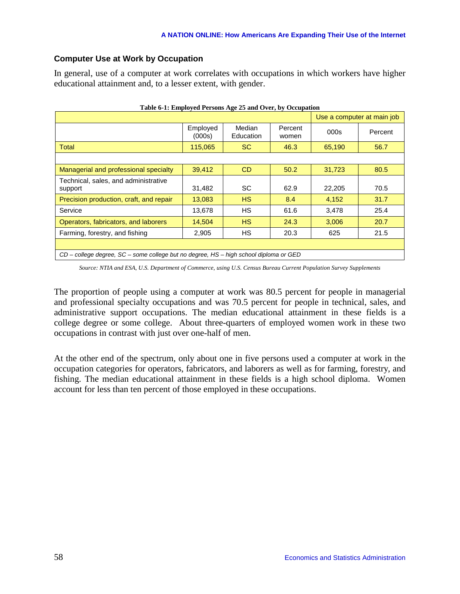## **Computer Use at Work by Occupation**

In general, use of a computer at work correlates with occupations in which workers have higher educational attainment and, to a lesser extent, with gender.

| Table 6-1: Employed Persons Age 25 and Over, by Occupation                            |                            |                     |                  |        |         |  |  |
|---------------------------------------------------------------------------------------|----------------------------|---------------------|------------------|--------|---------|--|--|
|                                                                                       | Use a computer at main job |                     |                  |        |         |  |  |
|                                                                                       | Employed<br>(000s)         | Median<br>Education | Percent<br>women | 000s   | Percent |  |  |
| Total                                                                                 | 115,065                    | <sub>SC</sub>       | 46.3             | 65,190 | 56.7    |  |  |
|                                                                                       |                            |                     |                  |        |         |  |  |
| Managerial and professional specialty                                                 | 39,412                     | C <sub>D</sub>      | 50.2             | 31,723 | 80.5    |  |  |
| Technical, sales, and administrative<br>support                                       | 31,482                     | <b>SC</b>           | 62.9             | 22,205 | 70.5    |  |  |
| Precision production, craft, and repair                                               | 13,083                     | <b>HS</b>           | 8.4              | 4,152  | 31.7    |  |  |
| Service                                                                               | 13,678                     | <b>HS</b>           | 61.6             | 3.478  | 25.4    |  |  |
| Operators, fabricators, and laborers                                                  | 14,504                     | <b>HS</b>           | 24.3             | 3,006  | 20.7    |  |  |
| Farming, forestry, and fishing                                                        | 2,905                      | НS                  | 20.3             | 625    | 21.5    |  |  |
|                                                                                       |                            |                     |                  |        |         |  |  |
| CD – college degree, SC – some college but no degree, HS – high school diploma or GED |                            |                     |                  |        |         |  |  |

*Source: NTIA and ESA, U.S. Department of Commerce, using U.S. Census Bureau Current Population Survey Supplements* 

The proportion of people using a computer at work was 80.5 percent for people in managerial and professional specialty occupations and was 70.5 percent for people in technical, sales, and administrative support occupations. The median educational attainment in these fields is a college degree or some college. About three-quarters of employed women work in these two occupations in contrast with just over one-half of men.

At the other end of the spectrum, only about one in five persons used a computer at work in the occupation categories for operators, fabricators, and laborers as well as for farming, forestry, and fishing. The median educational attainment in these fields is a high school diploma. Women account for less than ten percent of those employed in these occupations.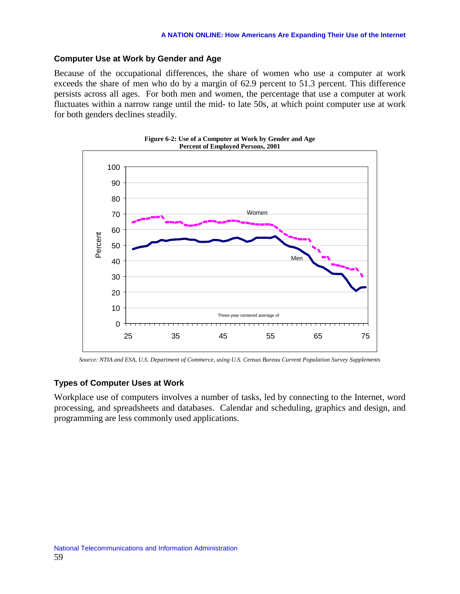## **Computer Use at Work by Gender and Age**

Because of the occupational differences, the share of women who use a computer at work exceeds the share of men who do by a margin of 62.9 percent to 51.3 percent. This difference persists across all ages. For both men and women, the percentage that use a computer at work fluctuates within a narrow range until the mid- to late 50s, at which point computer use at work for both genders declines steadily.



*Source: NTIA and ESA, U.S. Department of Commerce, using U.S. Census Bureau Current Population Survey Supplements* 

## **Types of Computer Uses at Work**

Workplace use of computers involves a number of tasks, led by connecting to the Internet, word processing, and spreadsheets and databases. Calendar and scheduling, graphics and design, and programming are less commonly used applications.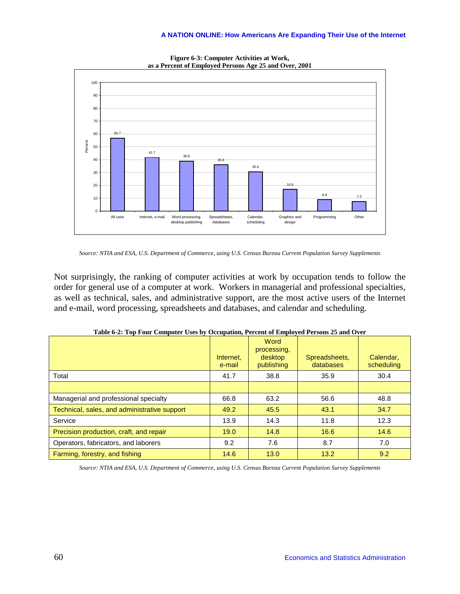

**Figure 6-3: Computer Activities at Work, as a Percent of Employed Persons Age 25 and Over, 2001** 

*Source: NTIA and ESA, U.S. Department of Commerce, using U.S. Census Bureau Current Population Survey Supplements* 

Not surprisingly, the ranking of computer activities at work by occupation tends to follow the order for general use of a computer at work. Workers in managerial and professional specialties, as well as technical, sales, and administrative support, are the most active users of the Internet and e-mail, word processing, spreadsheets and databases, and calendar and scheduling.

|                                              | Internet.<br>e-mail | Word<br>processing,<br>desktop<br>publishing | Spreadsheets,<br>databases | Calendar,<br>scheduling |
|----------------------------------------------|---------------------|----------------------------------------------|----------------------------|-------------------------|
| Total                                        | 41.7                | 38.8                                         | 35.9                       | 30.4                    |
|                                              |                     |                                              |                            |                         |
| Managerial and professional specialty        | 66.8                | 63.2                                         | 56.6                       | 48.8                    |
| Technical, sales, and administrative support | 49.2                | 45.5                                         | 43.1                       | 34.7                    |
| Service                                      | 13.9                | 14.3                                         | 11.8                       | 12.3                    |
| Precision production, craft, and repair      | 19.0                | 14.8                                         | 16.6                       | 14.6                    |
| Operators, fabricators, and laborers         | 9.2                 | 7.6                                          | 8.7                        | 7.0                     |
| Farming, forestry, and fishing               | 14.6                | 13.0                                         | 13.2                       | 9.2                     |

|  |  | Table 6-2: Top Four Computer Uses by Occupation, Percent of Employed Persons 25 and Over |
|--|--|------------------------------------------------------------------------------------------|
|  |  |                                                                                          |

*Source: NTIA and ESA, U.S. Department of Commerce, using U.S. Census Bureau Current Population Survey Supplements*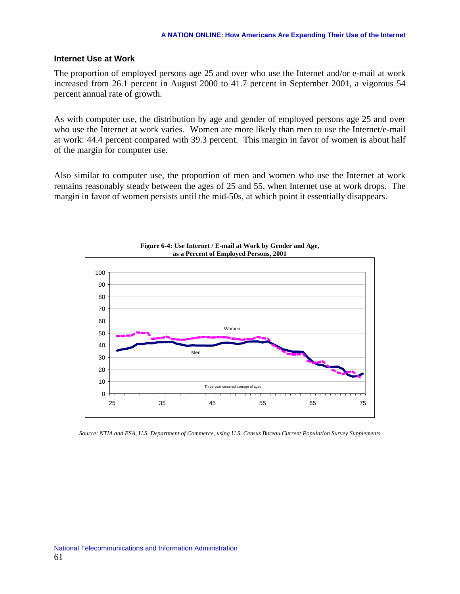### **Internet Use at Work**

The proportion of employed persons age 25 and over who use the Internet and/or e-mail at work increased from 26.1 percent in August 2000 to 41.7 percent in September 2001, a vigorous 54 percent annual rate of growth.

As with computer use, the distribution by age and gender of employed persons age 25 and over who use the Internet at work varies. Women are more likely than men to use the Internet/e-mail at work: 44.4 percent compared with 39.3 percent. This margin in favor of women is about half of the margin for computer use.

Also similar to computer use, the proportion of men and women who use the Internet at work remains reasonably steady between the ages of 25 and 55, when Internet use at work drops. The margin in favor of women persists until the mid-50s, at which point it essentially disappears.



**Figure 6-4: Use Internet / E-mail at Work by Gender and Age, as a Percent of Employed Persons, 2001** 

*Source: NTIA and ESA, U.S. Department of Commerce, using U.S. Census Bureau Current Population Survey Supplements*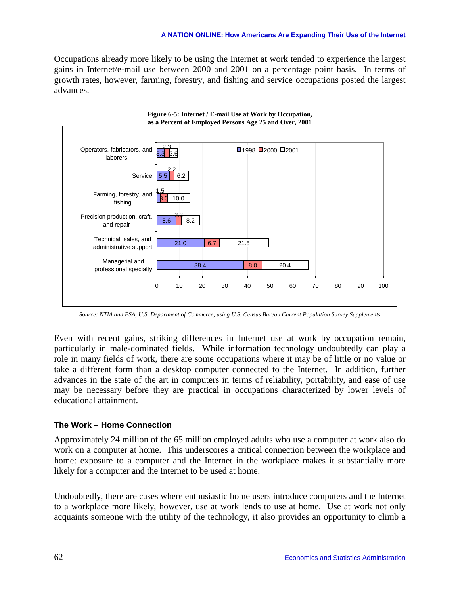#### **A NATION ONLINE: How Americans Are Expanding Their Use of the Internet**

Occupations already more likely to be using the Internet at work tended to experience the largest gains in Internet/e-mail use between 2000 and 2001 on a percentage point basis. In terms of growth rates, however, farming, forestry, and fishing and service occupations posted the largest advances.



*Source: NTIA and ESA, U.S. Department of Commerce, using U.S. Census Bureau Current Population Survey Supplements* 

Even with recent gains, striking differences in Internet use at work by occupation remain, particularly in male-dominated fields. While information technology undoubtedly can play a role in many fields of work, there are some occupations where it may be of little or no value or take a different form than a desktop computer connected to the Internet. In addition, further advances in the state of the art in computers in terms of reliability, portability, and ease of use may be necessary before they are practical in occupations characterized by lower levels of educational attainment.

### **The Work – Home Connection**

Approximately 24 million of the 65 million employed adults who use a computer at work also do work on a computer at home. This underscores a critical connection between the workplace and home: exposure to a computer and the Internet in the workplace makes it substantially more likely for a computer and the Internet to be used at home.

Undoubtedly, there are cases where enthusiastic home users introduce computers and the Internet to a workplace more likely, however, use at work lends to use at home. Use at work not only acquaints someone with the utility of the technology, it also provides an opportunity to climb a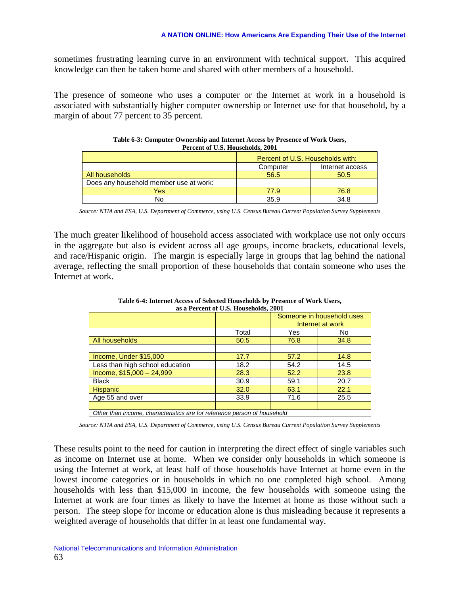sometimes frustrating learning curve in an environment with technical support. This acquired knowledge can then be taken home and shared with other members of a household.

The presence of someone who uses a computer or the Internet at work in a household is associated with substantially higher computer ownership or Internet use for that household, by a margin of about 77 percent to 35 percent.

| Percent of U.S. Households, 2001       |                                  |      |  |  |  |  |
|----------------------------------------|----------------------------------|------|--|--|--|--|
|                                        | Percent of U.S. Households with: |      |  |  |  |  |
| Internet access<br>Computer            |                                  |      |  |  |  |  |
| All households                         | 56.5                             | 50.5 |  |  |  |  |
| Does any household member use at work: |                                  |      |  |  |  |  |
| Yes                                    | 77.9                             | 76.8 |  |  |  |  |
| No                                     | 35.9                             | 34.8 |  |  |  |  |

| Table 6-3: Computer Ownership and Internet Access by Presence of Work Users, |
|------------------------------------------------------------------------------|
| Percent of U.S. Households, 2001                                             |

*Source: NTIA and ESA, U.S. Department of Commerce, using U.S. Census Bureau Current Population Survey Supplements* 

The much greater likelihood of household access associated with workplace use not only occurs in the aggregate but also is evident across all age groups, income brackets, educational levels, and race/Hispanic origin. The margin is especially large in groups that lag behind the national average, reflecting the small proportion of these households that contain someone who uses the Internet at work.

| as a Percent of U.S. Households, 2001                                    |       |                           |      |  |  |  |
|--------------------------------------------------------------------------|-------|---------------------------|------|--|--|--|
|                                                                          |       | Someone in household uses |      |  |  |  |
|                                                                          |       | Internet at work          |      |  |  |  |
|                                                                          | Total | Yes                       | No.  |  |  |  |
| All households                                                           | 50.5  | 76.8                      | 34.8 |  |  |  |
|                                                                          |       |                           |      |  |  |  |
| Income, Under \$15,000                                                   | 17.7  | 57.2                      | 14.8 |  |  |  |
| Less than high school education                                          | 18.2  | 54.2                      | 14.5 |  |  |  |
| Income, $$15,000 - 24,999$                                               | 28.3  | 52.2                      | 23.8 |  |  |  |
| <b>Black</b>                                                             | 30.9  | 59.1                      | 20.7 |  |  |  |
| <b>Hispanic</b>                                                          | 32.0  | 63.1                      | 22.1 |  |  |  |
| Age 55 and over                                                          | 33.9  | 71.6                      | 25.5 |  |  |  |
|                                                                          |       |                           |      |  |  |  |
| Other than income, characteristics are for reference person of household |       |                           |      |  |  |  |

**Table 6-4: Internet Access of Selected Households by Presence of Work Users, as a Percent of U.S. Households, 2001** 

*Source: NTIA and ESA, U.S. Department of Commerce, using U.S. Census Bureau Current Population Survey Supplements* 

These results point to the need for caution in interpreting the direct effect of single variables such as income on Internet use at home. When we consider only households in which someone is using the Internet at work, at least half of those households have Internet at home even in the lowest income categories or in households in which no one completed high school. Among households with less than \$15,000 in income, the few households with someone using the Internet at work are four times as likely to have the Internet at home as those without such a person. The steep slope for income or education alone is thus misleading because it represents a weighted average of households that differ in at least one fundamental way.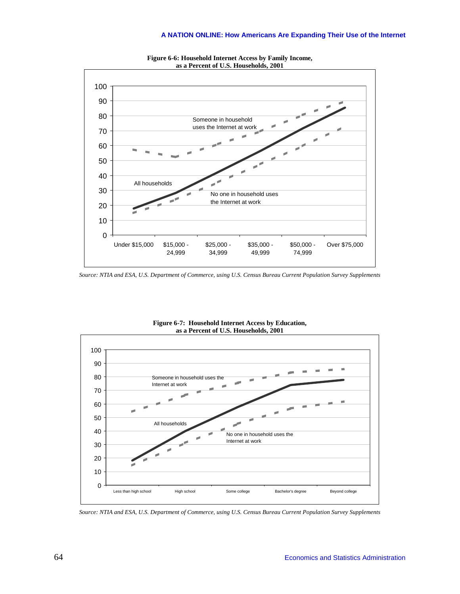

**Figure 6-6: Household Internet Access by Family Income, as a Percent of U.S. Households, 2001** 

*Source: NTIA and ESA, U.S. Department of Commerce, using U.S. Census Bureau Current Population Survey Supplements* 



**Figure 6-7: Household Internet Access by Education, as a Percent of U.S. Households, 2001** 

*Source: NTIA and ESA, U.S. Department of Commerce, using U.S. Census Bureau Current Population Survey Supplements*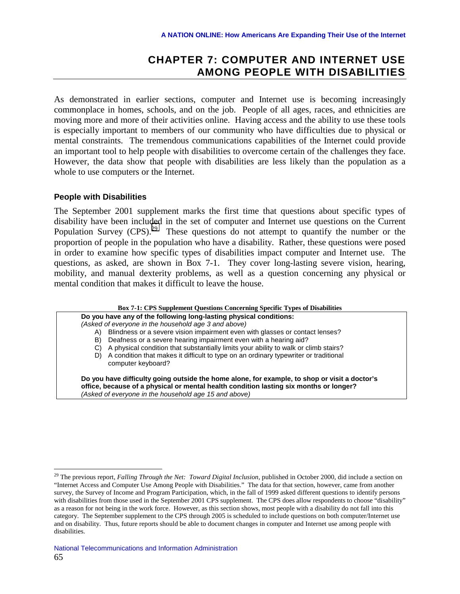# **CHAPTER 7: COMPUTER AND INTERNET USE AMONG PEOPLE WITH DISABILITIES**

As demonstrated in earlier sections, computer and Internet use is becoming increasingly commonplace in homes, schools, and on the job. People of all ages, races, and ethnicities are moving more and more of their activities online. Having access and the ability to use these tools is especially important to members of our community who have difficulties due to physical or mental constraints. The tremendous communications capabilities of the Internet could provide an important tool to help people with disabilities to overcome certain of the challenges they face. However, the data show that people with disabilities are less likely than the population as a whole to use computers or the Internet.

### **People with Disabilities**

 $\overline{a}$ 

The September 2001 supplement marks the first time that questions about specific types of disability have been included in the set of computer and Internet use questions on the Current Population Survey (CPS).<sup>29</sup> These questions do not attempt to quantify the number or the proportion of people in the population who have a disability. Rather, these questions were posed in order to examine how specific types of disabilities impact computer and Internet use. The questions, as asked, are shown in Box 7-1. They cover long-lasting severe vision, hearing, mobility, and manual dexterity problems, as well as a question concerning any physical or mental condition that makes it difficult to leave the house.

#### **Box 7-1: CPS Supplement Questions Concerning Specific Types of Disabilities**

**Do you have any of the following long-lasting physical conditions:** 

*(Asked of everyone in the household age 3 and above)* 

A) Blindness or a severe vision impairment even with glasses or contact lenses?

- B) Deafness or a severe hearing impairment even with a hearing aid?
- C) A physical condition that substantially limits your ability to walk or climb stairs?
- D) A condition that makes it difficult to type on an ordinary typewriter or traditional computer keyboard?

**Do you have difficulty going outside the home alone, for example, to shop or visit a doctor's office, because of a physical or mental health condition lasting six months or longer?**  *(Asked of everyone in the household age 15 and above)*

<sup>29</sup> The previous report, *Falling Through the Net: Toward Digital Inclusion*, published in October 2000, did include a section on "Internet Access and Computer Use Among People with Disabilities." The data for that section, however, came from another survey, the Survey of Income and Program Participation, which, in the fall of 1999 asked different questions to identify persons with disabilities from those used in the September 2001 CPS supplement. The CPS does allow respondents to choose "disability" as a reason for not being in the work force. However, as this section shows, most people with a disability do not fall into this category. The September supplement to the CPS through 2005 is scheduled to include questions on both computer/Internet use and on disability. Thus, future reports should be able to document changes in computer and Internet use among people with disabilities.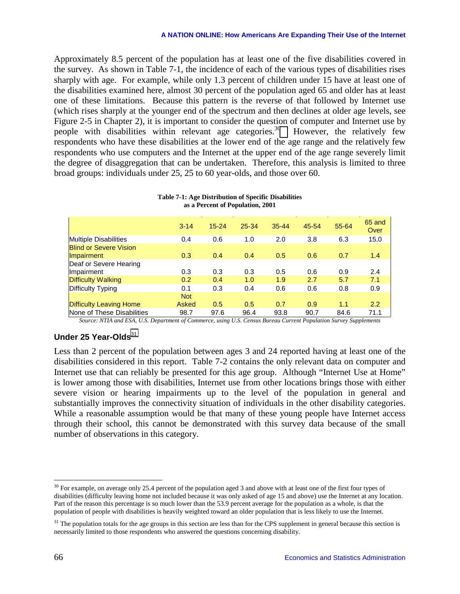Approximately 8.5 percent of the population has at least one of the five disabilities covered in the survey. As shown in Table 7-1, the incidence of each of the various types of disabilities rises sharply with age. For example, while only 1.3 percent of children under 15 have at least one of the disabilities examined here, almost 30 percent of the population aged 65 and older has at least one of these limitations. Because this pattern is the reverse of that followed by Internet use (which rises sharply at the younger end of the spectrum and then declines at older age levels, see Figure 2-5 in Chapter 2), it is important to consider the question of computer and Internet use by people with disabilities within relevant age categories.<sup>30</sup> However, the relatively few respondents who have these disabilities at the lower end of the age range and the relatively few respondents who use computers and the Internet at the upper end of the age range severely limit the degree of disaggregation that can be undertaken. Therefore, this analysis is limited to three broad groups: individuals under 25, 25 to 60 year-olds, and those over 60.

|                                             | $3 - 14$   | $15 - 24$ | 25-34 | $35 - 44$ | 45-54 | 55-64 | 65 and<br>Over |
|---------------------------------------------|------------|-----------|-------|-----------|-------|-------|----------------|
| <b>Multiple Disabilities</b>                | 0.4        | 0.6       | 1.0   | 2.0       | 3.8   | 6.3   | 15.0           |
| <b>Blind or Severe Vision</b><br>Impairment | 0.3        | 0.4       | 0.4   | 0.5       | 0.6   | 0.7   | 1.4            |
| Deaf or Severe Hearing<br>Impairment        | 0.3        | 0.3       | 0.3   | 0.5       | 0.6   | 0.9   | 2.4            |
| <b>Difficulty Walking</b>                   | 0.2        | 0.4       | 1.0   | 1.9       | 2.7   | 5.7   | 7.1            |
| Difficulty Typing                           | 0.1        | 0.3       | 0.4   | 0.6       | 0.6   | 0.8   | 0.9            |
|                                             | <b>Not</b> |           |       |           |       |       |                |
| <b>Difficulty Leaving Home</b>              | Asked      | 0.5       | 0.5   | 0.7       | 0.9   | 1.1   | 2.2            |
| None of These Disabilities                  | 98.7       | 97.6      | 96.4  | 93.8      | 90.7  | 84.6  | 71.1           |

**Table 7-1: Age Distribution of Specific Disabilities as a Percent of Population, 2001** 

*Source: NTIA and ESA, U.S. Department of Commerce, using U.S. Census Bureau Current Population Survey Supplements* 

# **Under 25 Year-Olds**<sup>31</sup>

Less than 2 percent of the population between ages 3 and 24 reported having at least one of the disabilities considered in this report. Table 7-2 contains the only relevant data on computer and Internet use that can reliably be presented for this age group. Although "Internet Use at Home" is lower among those with disabilities, Internet use from other locations brings those with either severe vision or hearing impairments up to the level of the population in general and substantially improves the connectivity situation of individuals in the other disability categories. While a reasonable assumption would be that many of these young people have Internet access through their school, this cannot be demonstrated with this survey data because of the small number of observations in this category.

<sup>&</sup>lt;sup>30</sup> For example, on average only 25.4 percent of the population aged 3 and above with at least one of the first four types of disabilities (difficulty leaving home not included because it was only asked of age 15 and above) use the Internet at any location. Part of the reason this percentage is so much lower than the 53.9 percent average for the population as a whole, is that the population of people with disabilities is heavily weighted toward an older population that is less likely to use the Internet.

 $31$  The population totals for the age groups in this section are less than for the CPS supplement in general because this section is necessarily limited to those respondents who answered the questions concerning disability.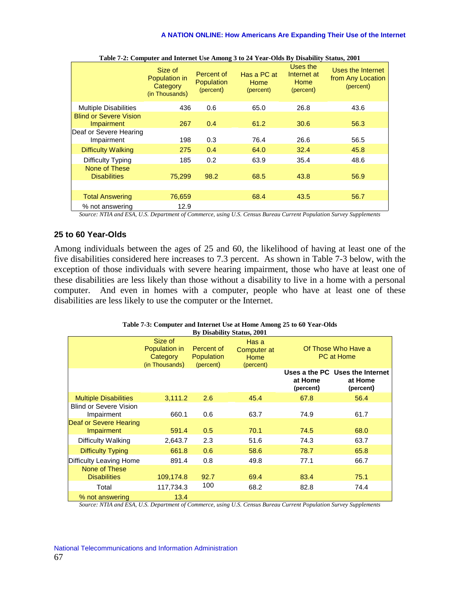|                                             | Size of<br>Population in<br>Category<br>(in Thousands) | Percent of<br>Population<br>(percent) | Has a PC at<br><b>Home</b><br>(percent) | Uses the<br>Internet at<br>Home<br>(percent) | Uses the Internet<br>from Any Location<br>(percent) |
|---------------------------------------------|--------------------------------------------------------|---------------------------------------|-----------------------------------------|----------------------------------------------|-----------------------------------------------------|
| <b>Multiple Disabilities</b>                | 436                                                    | 0.6                                   | 65.0                                    | 26.8                                         | 43.6                                                |
| <b>Blind or Severe Vision</b><br>Impairment | 267                                                    | 0.4                                   | 61.2                                    | 30.6                                         | 56.3                                                |
| Deaf or Severe Hearing<br>Impairment        | 198                                                    | 0.3                                   | 76.4                                    | 26.6                                         | 56.5                                                |
| <b>Difficulty Walking</b>                   | 275                                                    | 0.4                                   | 64.0                                    | 32.4                                         | 45.8                                                |
| Difficulty Typing                           | 185                                                    | 0.2                                   | 63.9                                    | 35.4                                         | 48.6                                                |
| None of These<br><b>Disabilities</b>        | 75,299                                                 | 98.2                                  | 68.5                                    | 43.8                                         | 56.9                                                |
|                                             |                                                        |                                       |                                         |                                              |                                                     |
| <b>Total Answering</b>                      | 76,659                                                 |                                       | 68.4                                    | 43.5                                         | 56.7                                                |
| % not answering                             | 12.9                                                   |                                       |                                         |                                              |                                                     |

**Table 7-2: Computer and Internet Use Among 3 to 24 Year-Olds By Disability Status, 2001** 

*Source: NTIA and ESA, U.S. Department of Commerce, using U.S. Census Bureau Current Population Survey Supplements* 

# **25 to 60 Year-Olds**

Among individuals between the ages of 25 and 60, the likelihood of having at least one of the five disabilities considered here increases to 7.3 percent. As shown in Table 7-3 below, with the exception of those individuals with severe hearing impairment, those who have at least one of these disabilities are less likely than those without a disability to live in a home with a personal computer. And even in homes with a computer, people who have at least one of these disabilities are less likely to use the computer or the Internet.

| Table 7-3: Computer and Internet Use at Home Among 25 to 60 Year-Olds |
|-----------------------------------------------------------------------|
| <b>By Disability Status, 2001</b>                                     |

|                                             | Size of<br>Population in<br>Category<br>(in Thousands) | Percent of<br><b>Population</b><br>(percent) | Has a<br>Computer at<br>Home<br>(percent) |                      | Of Those Who Have a<br><b>PC at Home</b>                |
|---------------------------------------------|--------------------------------------------------------|----------------------------------------------|-------------------------------------------|----------------------|---------------------------------------------------------|
|                                             |                                                        |                                              |                                           | at Home<br>(percent) | Uses a the PC Uses the Internet<br>at Home<br>(percent) |
| <b>Multiple Disabilities</b>                | 3,111.2                                                | 2.6                                          | 45.4                                      | 67.8                 | 56.4                                                    |
| <b>Blind or Severe Vision</b><br>Impairment | 660.1                                                  | 0.6                                          | 63.7                                      | 74.9                 | 61.7                                                    |
| Deaf or Severe Hearing<br><b>Impairment</b> | 591.4                                                  | 0.5                                          | 70.1                                      | 74.5                 | 68.0                                                    |
| Difficulty Walking                          | 2,643.7                                                | 2.3                                          | 51.6                                      | 74.3                 | 63.7                                                    |
| <b>Difficulty Typing</b>                    | 661.8                                                  | 0.6                                          | 58.6                                      | 78.7                 | 65.8                                                    |
| Difficulty Leaving Home                     | 891.4                                                  | 0.8                                          | 49.8                                      | 77.1                 | 66.7                                                    |
| None of These<br><b>Disabilities</b>        | 109,174.8                                              | 92.7                                         | 69.4                                      | 83.4                 | 75.1                                                    |
| Total                                       | 117,734.3                                              | 100                                          | 68.2                                      | 82.8                 | 74.4                                                    |
| % not answering                             | 13.4                                                   |                                              |                                           |                      |                                                         |

*Source: NTIA and ESA, U.S. Department of Commerce, using U.S. Census Bureau Current Population Survey Supplements*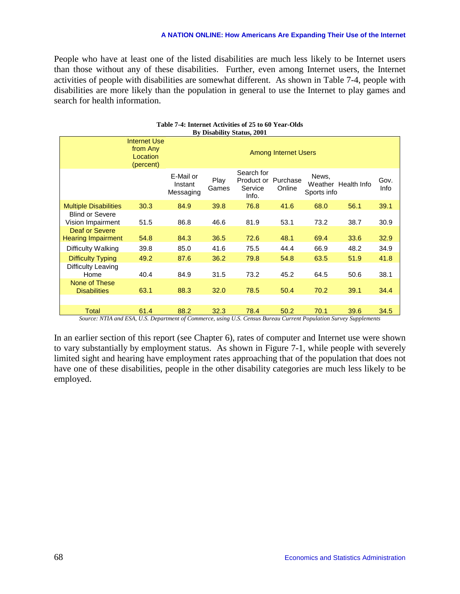People who have at least one of the listed disabilities are much less likely to be Internet users than those without any of these disabilities. Further, even among Internet users, the Internet activities of people with disabilities are somewhat different. As shown in Table 7-4, people with disabilities are more likely than the population in general to use the Internet to play games and search for health information.

|                                             | <b>Internet Use</b><br>from Any<br>Location<br>(percent) |                                   | <b>Among Internet Users</b> |                                              |                    |                      |                     |              |  |  |  |  |
|---------------------------------------------|----------------------------------------------------------|-----------------------------------|-----------------------------|----------------------------------------------|--------------------|----------------------|---------------------|--------------|--|--|--|--|
|                                             |                                                          | E-Mail or<br>Instant<br>Messaging | Play<br>Games               | Search for<br>Product or<br>Service<br>Info. | Purchase<br>Online | News,<br>Sports info | Weather Health Info | Gov.<br>Info |  |  |  |  |
| <b>Multiple Disabilities</b>                | 30.3                                                     | 84.9                              | 39.8                        | 76.8                                         | 41.6               | 68.0                 | 56.1                | 39.1         |  |  |  |  |
| <b>Blind or Severe</b><br>Vision Impairment | 51.5                                                     | 86.8                              | 46.6                        | 81.9                                         | 53.1               | 73.2                 | 38.7                | 30.9         |  |  |  |  |
| Deaf or Severe<br><b>Hearing Impairment</b> | 54.8                                                     | 84.3                              | 36.5                        | 72.6                                         | 48.1               | 69.4                 | 33.6                | 32.9         |  |  |  |  |
| Difficulty Walking                          | 39.8                                                     | 85.0                              | 41.6                        | 75.5                                         | 44.4               | 66.9                 | 48.2                | 34.9         |  |  |  |  |
| Difficulty Typing                           | 49.2                                                     | 87.6                              | 36.2                        | 79.8                                         | 54.8               | 63.5                 | 51.9                | 41.8         |  |  |  |  |
| Difficulty Leaving<br>Home                  | 40.4                                                     | 84.9                              | 31.5                        | 73.2                                         | 45.2               | 64.5                 | 50.6                | 38.1         |  |  |  |  |
| None of These<br><b>Disabilities</b>        | 63.1                                                     | 88.3                              | 32.0                        | 78.5                                         | 50.4               | 70.2                 | 39.1                | 34.4         |  |  |  |  |
|                                             |                                                          |                                   |                             |                                              |                    |                      |                     |              |  |  |  |  |
| Total                                       | 61.4                                                     | 88.2                              | 32.3                        | 78.4                                         | 50.2               | 70.1                 | 39.6                | 34.5         |  |  |  |  |

#### **Table 7-4: Internet Activities of 25 to 60 Year-Olds By Disability Status, 2001**

*Source: NTIA and ESA, U.S. Department of Commerce, using U.S. Census Bureau Current Population Survey Supplements*

In an earlier section of this report (see Chapter 6), rates of computer and Internet use were shown to vary substantially by employment status. As shown in Figure 7-1, while people with severely limited sight and hearing have employment rates approaching that of the population that does not have one of these disabilities, people in the other disability categories are much less likely to be employed.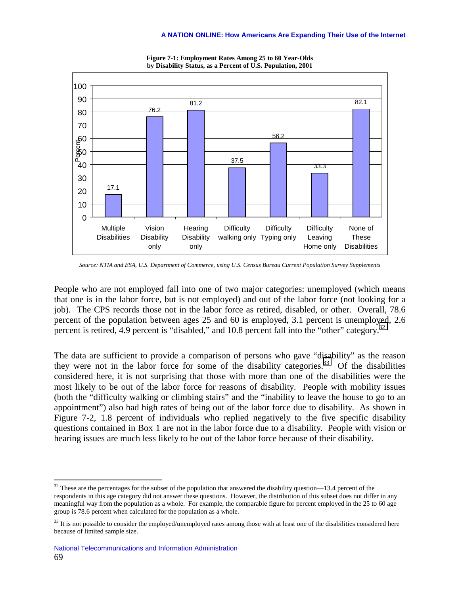

**Figure 7-1: Employment Rates Among 25 to 60 Year-Olds by Disability Status, as a Percent of U.S. Population, 2001** 

*Source: NTIA and ESA, U.S. Department of Commerce, using U.S. Census Bureau Current Population Survey Supplements* 

People who are not employed fall into one of two major categories: unemployed (which means that one is in the labor force, but is not employed) and out of the labor force (not looking for a job). The CPS records those not in the labor force as retired, disabled, or other. Overall, 78.6 percent of the population between ages 25 and 60 is employed, 3.1 percent is unemployed, 2.6 percent is retired, 4.9 percent is "disabled," and 10.8 percent fall into the "other" category.<sup>32</sup>

The data are sufficient to provide a comparison of persons who gave "disability" as the reason they were not in the labor force for some of the disability categories.<sup>33</sup> Of the disabilities considered here, it is not surprising that those with more than one of the disabilities were the most likely to be out of the labor force for reasons of disability. People with mobility issues (both the "difficulty walking or climbing stairs" and the "inability to leave the house to go to an appointment") also had high rates of being out of the labor force due to disability. As shown in Figure 7-2, 1.8 percent of individuals who replied negatively to the five specific disability questions contained in Box 1 are not in the labor force due to a disability. People with vision or hearing issues are much less likely to be out of the labor force because of their disability.

 $\overline{a}$ 

 $32$  These are the percentages for the subset of the population that answered the disability question—13.4 percent of the respondents in this age category did not answer these questions. However, the distribution of this subset does not differ in any meaningful way from the population as a whole. For example, the comparable figure for percent employed in the 25 to 60 age group is 78.6 percent when calculated for the population as a whole.

<sup>&</sup>lt;sup>33</sup> It is not possible to consider the employed/unemployed rates among those with at least one of the disabilities considered here because of limited sample size.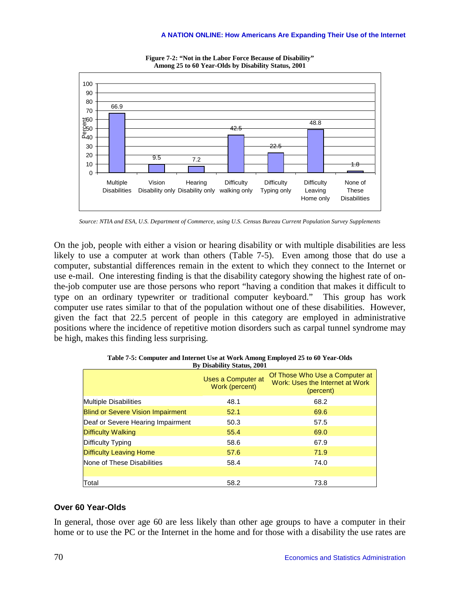

**Figure 7-2: "Not in the Labor Force Because of Disability" Among 25 to 60 Year-Olds by Disability Status, 2001** 

*Source: NTIA and ESA, U.S. Department of Commerce, using U.S. Census Bureau Current Population Survey Supplements* 

On the job, people with either a vision or hearing disability or with multiple disabilities are less likely to use a computer at work than others (Table 7-5). Even among those that do use a computer, substantial differences remain in the extent to which they connect to the Internet or use e-mail. One interesting finding is that the disability category showing the highest rate of onthe-job computer use are those persons who report "having a condition that makes it difficult to type on an ordinary typewriter or traditional computer keyboard." This group has work computer use rates similar to that of the population without one of these disabilities. However, given the fact that 22.5 percent of people in this category are employed in administrative positions where the incidence of repetitive motion disorders such as carpal tunnel syndrome may be high, makes this finding less surprising.

|                                          | Uses a Computer at<br>Work (percent) | Of Those Who Use a Computer at<br>Work: Uses the Internet at Work<br>(percent) |
|------------------------------------------|--------------------------------------|--------------------------------------------------------------------------------|
| <b>Multiple Disabilities</b>             | 48.1                                 | 68.2                                                                           |
| <b>Blind or Severe Vision Impairment</b> | 52.1                                 | 69.6                                                                           |
| Deaf or Severe Hearing Impairment        | 50.3                                 | 57.5                                                                           |
| <b>Difficulty Walking</b>                | 55.4                                 | 69.0                                                                           |
| Difficulty Typing                        | 58.6                                 | 67.9                                                                           |
| <b>Difficulty Leaving Home</b>           | 57.6                                 | 71.9                                                                           |
| None of These Disabilities               | 58.4                                 | 74.0                                                                           |
|                                          |                                      |                                                                                |
| Total                                    | 58.2                                 | 73.8                                                                           |

**Table 7-5: Computer and Internet Use at Work Among Employed 25 to 60 Year-Olds By Disability Status, 2001** 

## **Over 60 Year-Olds**

In general, those over age 60 are less likely than other age groups to have a computer in their home or to use the PC or the Internet in the home and for those with a disability the use rates are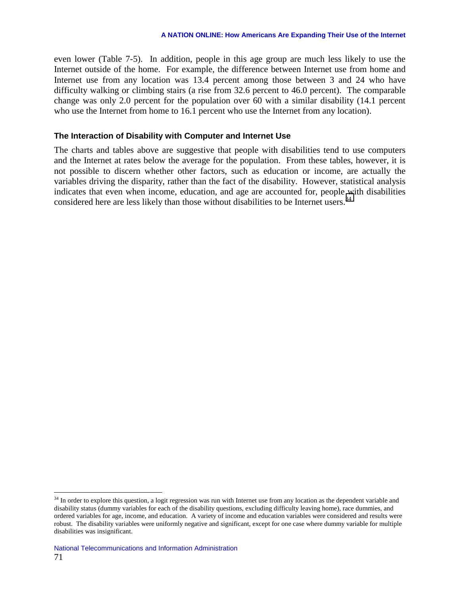even lower (Table 7-5). In addition, people in this age group are much less likely to use the Internet outside of the home. For example, the difference between Internet use from home and Internet use from any location was 13.4 percent among those between 3 and 24 who have difficulty walking or climbing stairs (a rise from 32.6 percent to 46.0 percent). The comparable change was only 2.0 percent for the population over 60 with a similar disability (14.1 percent who use the Internet from home to 16.1 percent who use the Internet from any location).

### **The Interaction of Disability with Computer and Internet Use**

The charts and tables above are suggestive that people with disabilities tend to use computers and the Internet at rates below the average for the population. From these tables, however, it is not possible to discern whether other factors, such as education or income, are actually the variables driving the disparity, rather than the fact of the disability. However, statistical analysis indicates that even when income, education, and age are accounted for, people with disabilities considered here are less likely than those without disabilities to be Internet users.<sup>34</sup>

 $\overline{a}$ 

 $34$  In order to explore this question, a logit regression was run with Internet use from any location as the dependent variable and disability status (dummy variables for each of the disability questions, excluding difficulty leaving home), race dummies, and ordered variables for age, income, and education. A variety of income and education variables were considered and results were robust. The disability variables were uniformly negative and significant, except for one case where dummy variable for multiple disabilities was insignificant.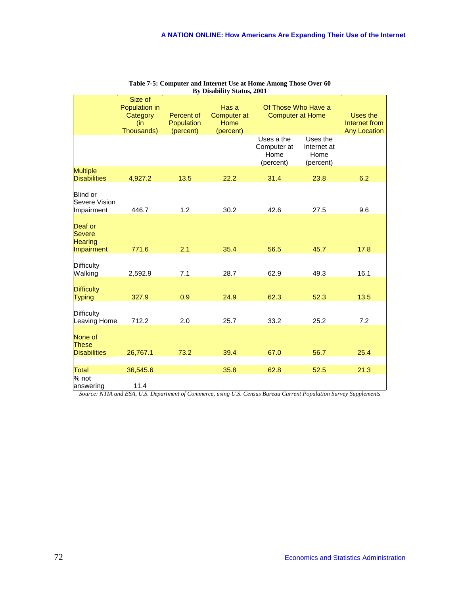|                                                | Size of<br>Population in<br>Category<br>(in<br>Thousands) | Percent of<br>Population<br>(percent) | Has a<br><b>Computer at</b><br>Home<br>(percent) | Of Those Who Have a<br><b>Computer at Home</b> |                                              | Uses the<br>Internet from<br><b>Any Location</b> |
|------------------------------------------------|-----------------------------------------------------------|---------------------------------------|--------------------------------------------------|------------------------------------------------|----------------------------------------------|--------------------------------------------------|
|                                                |                                                           |                                       |                                                  | Uses a the<br>Computer at<br>Home<br>(percent) | Uses the<br>Internet at<br>Home<br>(percent) |                                                  |
| <b>Multiple</b><br><b>Disabilities</b>         | 4,927.2                                                   | 13.5                                  | 22.2                                             | 31.4                                           | 23.8                                         | 6.2                                              |
| <b>Blind or</b><br>Severe Vision<br>Impairment | 446.7                                                     | 1.2                                   | 30.2                                             | 42.6                                           | 27.5                                         | 9.6                                              |
| Deaf or<br><b>Severe</b><br><b>Hearing</b>     |                                                           |                                       |                                                  |                                                |                                              |                                                  |
| Impairment                                     | 771.6                                                     | 2.1                                   | 35.4                                             | 56.5                                           | 45.7                                         | 17.8                                             |
| <b>Difficulty</b><br>Walking                   | 2,592.9                                                   | 7.1                                   | 28.7                                             | 62.9                                           | 49.3                                         | 16.1                                             |
| <b>Difficulty</b><br><b>Typing</b>             | 327.9                                                     | 0.9                                   | 24.9                                             | 62.3                                           | 52.3                                         | 13.5                                             |
| <b>Difficulty</b><br>Leaving Home              | 712.2                                                     | 2.0                                   | 25.7                                             | 33.2                                           | 25.2                                         | 7.2                                              |
| None of<br><b>These</b>                        |                                                           |                                       |                                                  |                                                |                                              |                                                  |
| <b>Disabilities</b>                            | 26,767.1                                                  | 73.2                                  | 39.4                                             | 67.0                                           | 56.7                                         | 25.4                                             |
| <b>Total</b><br>$%$ not                        | 36,545.6                                                  |                                       | 35.8                                             | 62.8                                           | 52.5                                         | 21.3                                             |
| answering                                      | 11.4                                                      |                                       |                                                  |                                                |                                              |                                                  |

| Table 7-5: Computer and Internet Use at Home Among Those Over 60 |  |
|------------------------------------------------------------------|--|
| By Disability Status, 2001                                       |  |

*Source: NTIA and ESA, U.S. Department of Commerce, using U.S. Census Bureau Current Population Survey Supplements*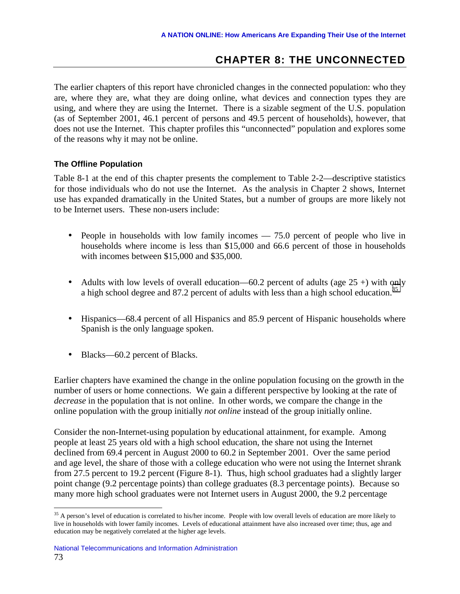# **CHAPTER 8: THE UNCONNECTED**

The earlier chapters of this report have chronicled changes in the connected population: who they are, where they are, what they are doing online, what devices and connection types they are using, and where they are using the Internet. There is a sizable segment of the U.S. population (as of September 2001, 46.1 percent of persons and 49.5 percent of households), however, that does not use the Internet. This chapter profiles this "unconnected" population and explores some of the reasons why it may not be online.

# **The Offline Population**

Table 8-1 at the end of this chapter presents the complement to Table 2-2—descriptive statistics for those individuals who do not use the Internet. As the analysis in Chapter 2 shows, Internet use has expanded dramatically in the United States, but a number of groups are more likely not to be Internet users. These non-users include:

- People in households with low family incomes 75.0 percent of people who live in households where income is less than \$15,000 and 66.6 percent of those in households with incomes between \$15,000 and \$35,000.
- Adults with low levels of overall education—60.2 percent of adults (age  $25 +$ ) with only a high school degree and 87.2 percent of adults with less than a high school education.<sup>35</sup>
- Hispanics—68.4 percent of all Hispanics and 85.9 percent of Hispanic households where Spanish is the only language spoken.
- Blacks—60.2 percent of Blacks.

Earlier chapters have examined the change in the online population focusing on the growth in the number of users or home connections. We gain a different perspective by looking at the rate of *decrease* in the population that is not online. In other words, we compare the change in the online population with the group initially *not online* instead of the group initially online.

Consider the non-Internet-using population by educational attainment, for example. Among people at least 25 years old with a high school education, the share not using the Internet declined from 69.4 percent in August 2000 to 60.2 in September 2001. Over the same period and age level, the share of those with a college education who were not using the Internet shrank from 27.5 percent to 19.2 percent (Figure 8-1). Thus, high school graduates had a slightly larger point change (9.2 percentage points) than college graduates (8.3 percentage points). Because so many more high school graduates were not Internet users in August 2000, the 9.2 percentage

<u>.</u>

<sup>&</sup>lt;sup>35</sup> A person's level of education is correlated to his/her income. People with low overall levels of education are more likely to live in households with lower family incomes. Levels of educational attainment have also increased over time; thus, age and education may be negatively correlated at the higher age levels.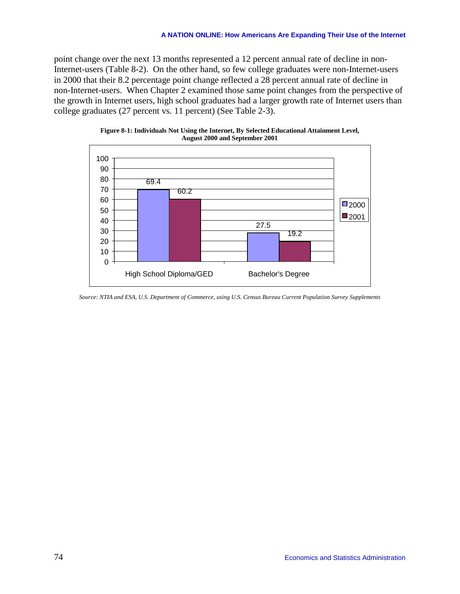point change over the next 13 months represented a 12 percent annual rate of decline in non-Internet-users (Table 8-2). On the other hand, so few college graduates were non-Internet-users in 2000 that their 8.2 percentage point change reflected a 28 percent annual rate of decline in non-Internet-users. When Chapter 2 examined those same point changes from the perspective of the growth in Internet users, high school graduates had a larger growth rate of Internet users than college graduates (27 percent vs. 11 percent) (See Table 2-3).



**Figure 8-1: Individuals Not Using the Internet, By Selected Educational Attainment Level, August 2000 and September 2001** 

*Source: NTIA and ESA, U.S. Department of Commerce, using U.S. Census Bureau Current Population Survey Supplements*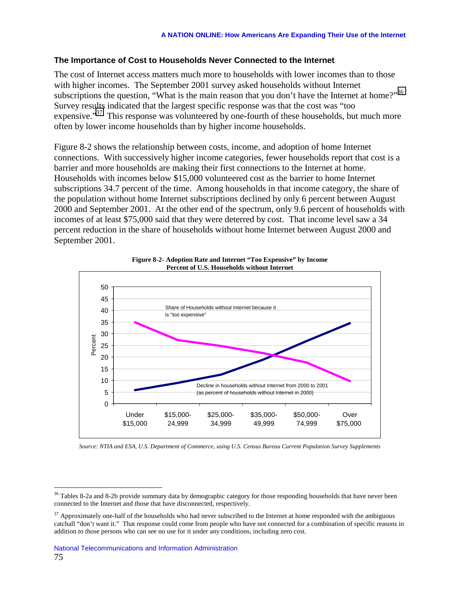# **The Importance of Cost to Households Never Connected to the Internet**

The cost of Internet access matters much more to households with lower incomes than to those with higher incomes. The September 2001 survey asked households without Internet subscriptions the question, "What is the main reason that you don't have the Internet at home?"<sup>36</sup> Survey results indicated that the largest specific response was that the cost was "too expensive."<sup>37</sup> This response was volunteered by one-fourth of these households, but much more often by lower income households than by higher income households.

Figure 8-2 shows the relationship between costs, income, and adoption of home Internet connections. With successively higher income categories, fewer households report that cost is a barrier and more households are making their first connections to the Internet at home. Households with incomes below \$15,000 volunteered cost as the barrier to home Internet subscriptions 34.7 percent of the time. Among households in that income category, the share of the population without home Internet subscriptions declined by only 6 percent between August 2000 and September 2001. At the other end of the spectrum, only 9.6 percent of households with incomes of at least \$75,000 said that they were deterred by cost. That income level saw a 34 percent reduction in the share of households without home Internet between August 2000 and September 2001.





*Source: NTIA and ESA, U.S. Department of Commerce, using U.S. Census Bureau Current Population Survey Supplements* 

 $\overline{a}$ 

 $36$  Tables 8-2a and 8-2b provide summary data by demographic category for those responding households that have never been connected to the Internet and those that have disconnected, respectively.

 $37$  Approximately one-half of the households who had never subscribed to the Internet at home responded with the ambiguous catchall "don't want it." That response could come from people who have not connected for a combination of specific reasons in addition to those persons who can see no use for it under any conditions, including zero cost.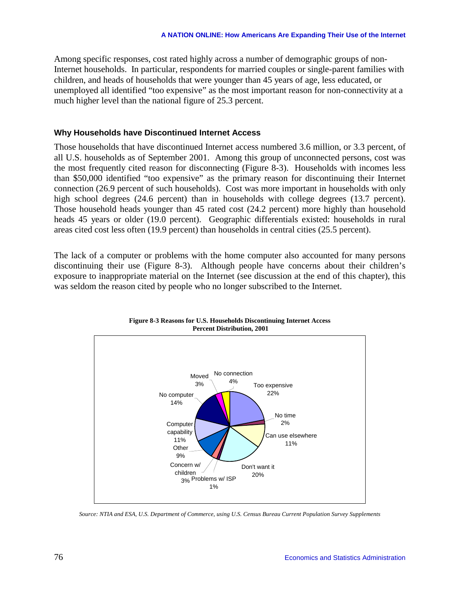Among specific responses, cost rated highly across a number of demographic groups of non-Internet households. In particular, respondents for married couples or single-parent families with children, and heads of households that were younger than 45 years of age, less educated, or unemployed all identified "too expensive" as the most important reason for non-connectivity at a much higher level than the national figure of 25.3 percent.

### **Why Households have Discontinued Internet Access**

Those households that have discontinued Internet access numbered 3.6 million, or 3.3 percent, of all U.S. households as of September 2001. Among this group of unconnected persons, cost was the most frequently cited reason for disconnecting (Figure 8-3). Households with incomes less than \$50,000 identified "too expensive" as the primary reason for discontinuing their Internet connection (26.9 percent of such households). Cost was more important in households with only high school degrees (24.6 percent) than in households with college degrees (13.7 percent). Those household heads younger than 45 rated cost (24.2 percent) more highly than household heads 45 years or older (19.0 percent). Geographic differentials existed: households in rural areas cited cost less often (19.9 percent) than households in central cities (25.5 percent).

The lack of a computer or problems with the home computer also accounted for many persons discontinuing their use (Figure 8-3). Although people have concerns about their children's exposure to inappropriate material on the Internet (see discussion at the end of this chapter), this was seldom the reason cited by people who no longer subscribed to the Internet.





*Source: NTIA and ESA, U.S. Department of Commerce, using U.S. Census Bureau Current Population Survey Supplements*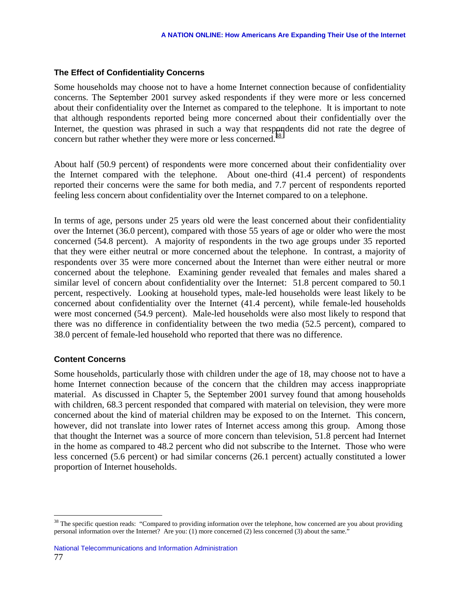### **The Effect of Confidentiality Concerns**

Some households may choose not to have a home Internet connection because of confidentiality concerns. The September 2001 survey asked respondents if they were more or less concerned about their confidentiality over the Internet as compared to the telephone. It is important to note that although respondents reported being more concerned about their confidentially over the Internet, the question was phrased in such a way that respondents did not rate the degree of concern but rather whether they were more or less concerned.<sup>38</sup>

About half (50.9 percent) of respondents were more concerned about their confidentiality over the Internet compared with the telephone. About one-third (41.4 percent) of respondents reported their concerns were the same for both media, and 7.7 percent of respondents reported feeling less concern about confidentiality over the Internet compared to on a telephone.

In terms of age, persons under 25 years old were the least concerned about their confidentiality over the Internet (36.0 percent), compared with those 55 years of age or older who were the most concerned (54.8 percent). A majority of respondents in the two age groups under 35 reported that they were either neutral or more concerned about the telephone. In contrast, a majority of respondents over 35 were more concerned about the Internet than were either neutral or more concerned about the telephone. Examining gender revealed that females and males shared a similar level of concern about confidentiality over the Internet: 51.8 percent compared to 50.1 percent, respectively. Looking at household types, male-led households were least likely to be concerned about confidentiality over the Internet (41.4 percent), while female-led households were most concerned (54.9 percent). Male-led households were also most likely to respond that there was no difference in confidentiality between the two media (52.5 percent), compared to 38.0 percent of female-led household who reported that there was no difference.

## **Content Concerns**

 $\overline{a}$ 

Some households, particularly those with children under the age of 18, may choose not to have a home Internet connection because of the concern that the children may access inappropriate material. As discussed in Chapter 5, the September 2001 survey found that among households with children, 68.3 percent responded that compared with material on television, they were more concerned about the kind of material children may be exposed to on the Internet. This concern, however, did not translate into lower rates of Internet access among this group. Among those that thought the Internet was a source of more concern than television, 51.8 percent had Internet in the home as compared to 48.2 percent who did not subscribe to the Internet. Those who were less concerned (5.6 percent) or had similar concerns (26.1 percent) actually constituted a lower proportion of Internet households.

<sup>&</sup>lt;sup>38</sup> The specific question reads: "Compared to providing information over the telephone, how concerned are you about providing personal information over the Internet? Are you: (1) more concerned (2) less concerned (3) about the same."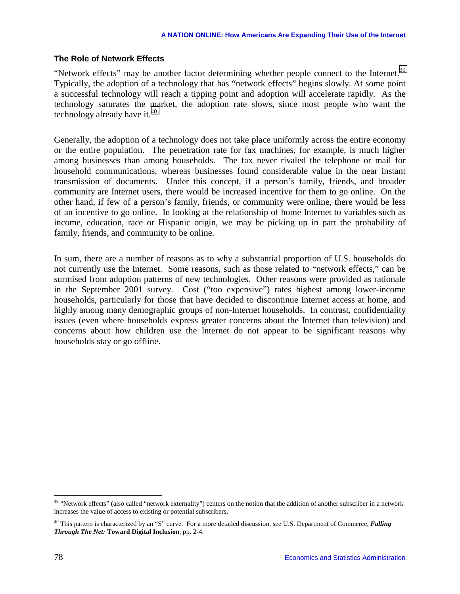## **The Role of Network Effects**

"Network effects" may be another factor determining whether people connect to the Internet.<sup>39</sup> Typically, the adoption of a technology that has "network effects" begins slowly. At some point a successful technology will reach a tipping point and adoption will accelerate rapidly. As the technology saturates the market, the adoption rate slows, since most people who want the technology already have it. $40$ 

Generally, the adoption of a technology does not take place uniformly across the entire economy or the entire population. The penetration rate for fax machines, for example, is much higher among businesses than among households. The fax never rivaled the telephone or mail for household communications, whereas businesses found considerable value in the near instant transmission of documents. Under this concept, if a person's family, friends, and broader community are Internet users, there would be increased incentive for them to go online. On the other hand, if few of a person's family, friends, or community were online, there would be less of an incentive to go online. In looking at the relationship of home Internet to variables such as income, education, race or Hispanic origin, we may be picking up in part the probability of family, friends, and community to be online.

In sum, there are a number of reasons as to why a substantial proportion of U.S. households do not currently use the Internet. Some reasons, such as those related to "network effects," can be surmised from adoption patterns of new technologies. Other reasons were provided as rationale in the September 2001 survey. Cost ("too expensive") rates highest among lower-income households, particularly for those that have decided to discontinue Internet access at home, and highly among many demographic groups of non-Internet households. In contrast, confidentiality issues (even where households express greater concerns about the Internet than television) and concerns about how children use the Internet do not appear to be significant reasons why households stay or go offline.

1

<sup>&</sup>lt;sup>39</sup> "Network effects" (also called "network externality") centers on the notion that the addition of another subscriber in a network increases the value of access to existing or potential subscribers,

<sup>40</sup> This pattern is characterized by an "S" curve. For a more detailed discussion, see U.S. Department of Commerce, *Falling Through The Net:* **Toward Digital Inclusion**, pp. 2-4.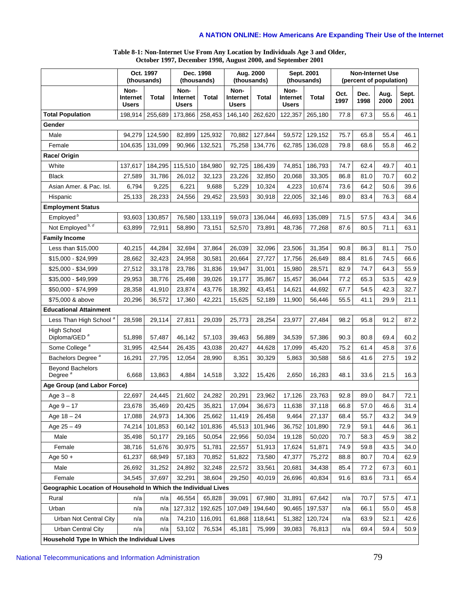#### **Table 8-1: Non-Internet Use From Any Location by Individuals Age 3 and Older, October 1997, December 1998, August 2000, and September 2001**

|                                                                |                                  | Oct. 1997<br>(thousands) |                                  | Dec. 1998<br>(thousands) |                                  | Aug. 2000<br>(thousands) |                                  | Sept. 2001<br>(thousands) |              | <b>Non-Internet Use</b><br>(percent of population) |              |               |
|----------------------------------------------------------------|----------------------------------|--------------------------|----------------------------------|--------------------------|----------------------------------|--------------------------|----------------------------------|---------------------------|--------------|----------------------------------------------------|--------------|---------------|
|                                                                | Non-<br>Internet<br><b>Users</b> | Total                    | Non-<br>Internet<br><b>Users</b> | <b>Total</b>             | Non-<br>Internet<br><b>Users</b> | <b>Total</b>             | Non-<br>Internet<br><b>Users</b> | <b>Total</b>              | Oct.<br>1997 | Dec.<br>1998                                       | Aug.<br>2000 | Sept.<br>2001 |
| <b>Total Population</b>                                        | 198,914                          | 255,689                  | 173,866                          | 258,453                  | 146,140                          | 262,620                  | 122,357                          | 265,180                   | 77.8         | 67.3                                               | 55.6         | 46.1          |
| Gender                                                         |                                  |                          |                                  |                          |                                  |                          |                                  |                           |              |                                                    |              |               |
| Male                                                           | 94,279                           | 124,590                  | 82,899                           | 125,932                  | 70,882                           | 127,844                  | 59,572                           | 129,152                   | 75.7         | 65.8                                               | 55.4         | 46.1          |
| Female                                                         | 104,635                          | 131.099                  | 90,966                           | 132,521                  | 75,258                           | 134,776                  | 62,785                           | 136,028                   | 79.8         | 68.6                                               | 55.8         | 46.2          |
| Race/ Origin                                                   |                                  |                          |                                  |                          |                                  |                          |                                  |                           |              |                                                    |              |               |
| White                                                          | 137,617                          | 184,295                  | 115,510                          | 184,980                  | 92,725                           | 186,439                  | 74,851                           | 186,793                   | 74.7         | 62.4                                               | 49.7         | 40.1          |
| <b>Black</b>                                                   | 27,589                           | 31,786                   | 26,012                           | 32,123                   | 23,226                           | 32,850                   | 20,068                           | 33,305                    | 86.8         | 81.0                                               | 70.7         | 60.2          |
| Asian Amer. & Pac. Isl.                                        | 6,794                            | 9,225                    | 6,221                            | 9,688                    | 5,229                            | 10,324                   | 4,223                            | 10,674                    | 73.6         | 64.2                                               | 50.6         | 39.6          |
| Hispanic                                                       | 25,133                           | 28,233                   | 24,556                           | 29,452                   | 23,593                           | 30,918                   | 22,005                           | 32,146                    | 89.0         | 83.4                                               | 76.3         | 68.4          |
| <b>Employment Status</b>                                       |                                  |                          |                                  |                          |                                  |                          |                                  |                           |              |                                                    |              |               |
| Employed <sup>b</sup>                                          | 93,603                           | 130,857                  | 76,580                           | 133,119                  | 59,073                           | 136,044                  | 46,693                           | 135,089                   | 71.5         | 57.5                                               | 43.4         | 34.6          |
| Not Employed b, d                                              | 63,899                           | 72,911                   | 58,890                           | 73,151                   | 52,570                           | 73,891                   | 48,736                           | 77,268                    | 87.6         | 80.5                                               | 71.1         | 63.1          |
| <b>Family Income</b>                                           |                                  |                          |                                  |                          |                                  |                          |                                  |                           |              |                                                    |              |               |
| Less than \$15,000                                             | 40,215                           | 44,284                   | 32,694                           | 37,864                   | 26,039                           | 32,096                   | 23,506                           | 31,354                    | 90.8         | 86.3                                               | 81.1         | 75.0          |
| \$15,000 - \$24,999                                            | 28,662                           | 32,423                   | 24,958                           | 30,581                   | 20,664                           | 27,727                   | 17,756                           | 26,649                    | 88.4         | 81.6                                               | 74.5         | 66.6          |
| \$25,000 - \$34,999                                            | 27,512                           | 33,178                   | 23,786                           | 31,836                   | 19,947                           | 31,001                   | 15,980                           | 28,571                    | 82.9         | 74.7                                               | 64.3         | 55.9          |
| \$35,000 - \$49,999                                            | 29,953                           | 38,776                   | 25,498                           | 39,026                   | 19,177                           | 35,867                   | 15,457                           | 36,044                    | 77.2         | 65.3                                               | 53.5         | 42.9          |
| \$50,000 - \$74,999                                            | 28,358                           | 41,910                   | 23,874                           | 43,776                   | 18,392                           | 43,451                   | 14,621                           | 44,692                    | 67.7         | 54.5                                               | 42.3         | 32.7          |
| \$75,000 & above                                               | 20,296                           | 36,572                   | 17,360                           | 42,221                   | 15,625                           | 52,189                   | 11,900                           | 56,446                    | 55.5         | 41.1                                               | 29.9         | 21.1          |
| <b>Educational Attainment</b>                                  |                                  |                          |                                  |                          |                                  |                          |                                  |                           |              |                                                    |              |               |
| Less Than High School <sup>a</sup>                             | 28,598                           | 29,114                   | 27,811                           | 29,039                   | 25,773                           | 28,254                   | 23,977                           | 27,484                    | 98.2         | 95.8                                               | 91.2         | 87.2          |
| <b>High School</b><br>Diploma/GED <sup>a</sup>                 | 51,898                           | 57,487                   | 46,142                           | 57,103                   | 39,463                           | 56,889                   | 34,539                           | 57,386                    | 90.3         | 80.8                                               | 69.4         | 60.2          |
| Some College <sup>a</sup>                                      | 31,995                           | 42,544                   | 26,435                           | 43,038                   | 20,427                           | 44,628                   | 17,099                           | 45,420                    | 75.2         | 61.4                                               | 45.8         | 37.6          |
| Bachelors Degree <sup>a</sup>                                  | 16,291                           | 27,795                   | 12,054                           | 28,990                   | 8,351                            | 30,329                   | 5,863                            | 30,588                    | 58.6         | 41.6                                               | 27.5         | 19.2          |
| <b>Beyond Bachelors</b><br>Degree <sup>a</sup>                 | 6,668                            | 13,863                   | 4,884                            | 14,518                   | 3,322                            | 15,426                   | 2,650                            | 16,283                    | 48.1         | 33.6                                               | 21.5         | 16.3          |
| Age Group (and Labor Force)                                    |                                  |                          |                                  |                          |                                  |                          |                                  |                           |              |                                                    |              |               |
| Age $3-8$                                                      | 22,697                           | 24,445                   | 21,602                           | 24,282                   | 20,291                           | 23,962                   | 17,126                           | 23,763                    | 92.8         | 89.0                                               | 84.7         | 72.1          |
| Age $9 - 17$                                                   | 23,678                           | 35,469                   | 20,425                           | 35,821                   | 17,094                           | 36,673                   | 11,638                           | 37,118                    | 66.8         | 57.0                                               | 46.6         | 31.4          |
| Age $18 - 24$                                                  | 17,088                           | 24,973                   | 14,306                           | 25,662                   | 11,419                           | 26,458                   | 9,464                            | 27,137                    | 68.4         | 55.7                                               | 43.2         | 34.9          |
| Age $25 - 49$                                                  | 74,214                           | 101,853                  | 60,142                           | 101,836                  | 45,513                           | 101,946                  | 36,752                           | 101,890                   | 72.9         | 59.1                                               | 44.6         | 36.1          |
| Male                                                           | 35,498                           | 50,177                   | 29,165                           | 50,054                   | 22,956                           | 50,034                   | 19,128                           | 50,020                    | 70.7         | 58.3                                               | 45.9         | 38.2          |
| Female                                                         | 38,716                           | 51,676                   | 30,975                           | 51,781                   | 22,557                           | 51,913                   | 17,624                           | 51,871                    | 74.9         | 59.8                                               | 43.5         | 34.0          |
| Age 50 +                                                       | 61,237                           | 68,949                   | 57,183                           | 70,852                   | 51,822                           | 73,580                   | 47,377                           | 75,272                    | 88.8         | 80.7                                               | 70.4         | 62.9          |
| Male                                                           | 26,692                           | 31,252                   | 24,892                           | 32,248                   | 22,572                           | 33,561                   | 20,681                           | 34,438                    | 85.4         | 77.2                                               | 67.3         | 60.1          |
| Female                                                         | 34,545                           | 37,697                   | 32,291                           | 38,604                   | 29,250                           | 40,019                   | 26,696                           | 40,834                    | 91.6         | 83.6                                               | 73.1         | 65.4          |
| Geographic Location of Household In Which the Individual Lives |                                  |                          |                                  |                          |                                  |                          |                                  |                           |              |                                                    |              |               |
| Rural                                                          | n/a                              | n/a                      | 46,554                           | 65,828                   | 39,091                           | 67,980                   | 31,891                           | 67,642                    | n/a          | 70.7                                               | 57.5         | 47.1          |
| Urban                                                          | n/a                              | n/a                      | 127,312                          | 192,625                  | 107,049                          | 194,640                  | 90,465                           | 197,537                   | n/a          | 66.1                                               | 55.0         | 45.8          |
| Urban Not Central City                                         | n/a                              | n/a                      | 74,210                           | 116,091                  | 61,868                           | 118,641                  | 51,382                           | 120,724                   | n/a          | 63.9                                               | 52.1         | 42.6          |
| <b>Urban Central City</b>                                      | n/a                              | n/a                      | 53,102                           | 76,534                   | 45,181                           | 75,999                   | 39,083                           | 76,813                    | n/a          | 69.4                                               | 59.4         | 50.9          |
| Household Type In Which the Individual Lives                   |                                  |                          |                                  |                          |                                  |                          |                                  |                           |              |                                                    |              |               |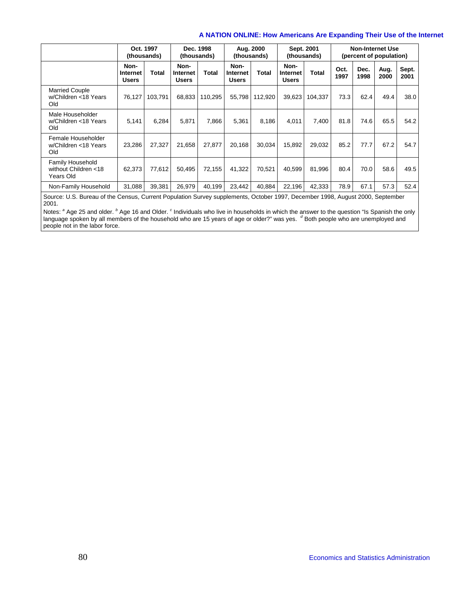|                                                       | Oct. 1997<br>Dec. 1998<br>(thousands)<br>(thousands) |         |                                  |         | Aug. 2000<br>(thousands)                |         |                                  | Sept. 2001<br>(thousands) |              | <b>Non-Internet Use</b><br>(percent of population) |              |               |
|-------------------------------------------------------|------------------------------------------------------|---------|----------------------------------|---------|-----------------------------------------|---------|----------------------------------|---------------------------|--------------|----------------------------------------------------|--------------|---------------|
|                                                       | Non-<br>Internet<br><b>Users</b>                     | Total   | Non-<br>Internet<br><b>Users</b> | Total   | Non-<br><b>Internet</b><br><b>Users</b> | Total   | Non-<br>Internet<br><b>Users</b> | Total                     | Oct.<br>1997 | Dec.<br>1998                                       | Aug.<br>2000 | Sept.<br>2001 |
| <b>Married Couple</b><br>w/Children <18 Years<br>Old  | 76,127                                               | 103,791 | 68,833                           | 110,295 | 55,798                                  | 112,920 | 39,623                           | 104.337                   | 73.3         | 62.4                                               | 49.4         | 38.0          |
| Male Householder<br>w/Children <18 Years<br>Old       | 5,141                                                | 6,284   | 5,871                            | 7,866   | 5,361                                   | 8,186   | 4,011                            | 7,400                     | 81.8         | 74.6                                               | 65.5         | 54.2          |
| Female Householder<br>w/Children <18 Years<br>Old     | 23,286                                               | 27.327  | 21,658                           | 27.877  | 20,168                                  | 30,034  | 15,892                           | 29,032                    | 85.2         | 77.7                                               | 67.2         | 54.7          |
| Family Household<br>without Children <18<br>Years Old | 62,373                                               | 77,612  | 50,495                           | 72.155  | 41,322                                  | 70,521  | 40,599                           | 81,996                    | 80.4         | 70.0                                               | 58.6         | 49.5          |
| Non-Family Household                                  | 31,088                                               | 39,381  | 26,979                           | 40,199  | 23,442                                  | 40,884  | 22,196                           | 42,333                    | 78.9         | 67.1                                               | 57.3         | 52.4          |

Source: U.S. Bureau of the Census, Current Population Survey supplements, October 1997, December 1998, August 2000, September 2001.

Notes: <sup>a</sup> Age 25 and older. <sup>b</sup> Age 16 and Older. <sup>c</sup> Individuals who live in households in which the answer to the question "Is Spanish the only<br>language spoken by all members of the household who are 15 years of age or people not in the labor force.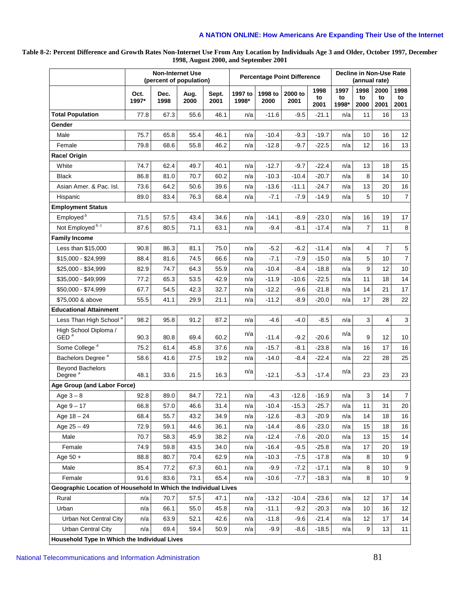**Table 8-2: Percent Difference and Growth Rates Non-Internet Use From Any Location by Individuals Age 3 and Older, October 1997, December 1998, August 2000, and September 2001** 

|                                                                |               | <b>Non-Internet Use</b><br>(percent of population) |              |               |                  | <b>Percentage Point Difference</b> |                 |                    | Decline in Non-Use Rate<br>(annual rate) |                    |                    |                         |
|----------------------------------------------------------------|---------------|----------------------------------------------------|--------------|---------------|------------------|------------------------------------|-----------------|--------------------|------------------------------------------|--------------------|--------------------|-------------------------|
|                                                                | Oct.<br>1997* | Dec.<br>1998                                       | Aug.<br>2000 | Sept.<br>2001 | 1997 to<br>1998* | 1998 to<br>2000                    | 2000 to<br>2001 | 1998<br>to<br>2001 | 1997<br>to<br>1998*                      | 1998<br>to<br>2000 | 2000<br>to<br>2001 | 1998<br>to<br>2001      |
| <b>Total Population</b>                                        | 77.8          | 67.3                                               | 55.6         | 46.1          | n/a              | $-11.6$                            | $-9.5$          | $-21.1$            | n/a                                      | 11                 | 16                 | 13                      |
| Gender                                                         |               |                                                    |              |               |                  |                                    |                 |                    |                                          |                    |                    |                         |
| Male                                                           | 75.7          | 65.8                                               | 55.4         | 46.1          | n/a              | $-10.4$                            | $-9.3$          | $-19.7$            | n/a                                      | 10                 | 16                 | 12                      |
| Female                                                         | 79.8          | 68.6                                               | 55.8         | 46.2          | n/a              | $-12.8$                            | $-9.7$          | $-22.5$            | n/a                                      | 12                 | 16                 | 13                      |
| Race/ Origin                                                   |               |                                                    |              |               |                  |                                    |                 |                    |                                          |                    |                    |                         |
| White                                                          | 74.7          | 62.4                                               | 49.7         | 40.1          | n/a              | $-12.7$                            | $-9.7$          | $-22.4$            | n/a                                      | 13                 | 18                 | 15                      |
| <b>Black</b>                                                   | 86.8          | 81.0                                               | 70.7         | 60.2          | n/a              | $-10.3$                            | $-10.4$         | $-20.7$            | n/a                                      | 8                  | 14                 | 10                      |
| Asian Amer. & Pac. Isl.                                        | 73.6          | 64.2                                               | 50.6         | 39.6          | n/a              | $-13.6$                            | $-11.1$         | $-24.7$            | n/a                                      | 13                 | 20                 | 16                      |
| Hispanic                                                       | 89.0          | 83.4                                               | 76.3         | 68.4          | n/a              | $-7.1$                             | $-7.9$          | $-14.9$            | n/a                                      | 5                  | 10                 | $\overline{7}$          |
| <b>Employment Status</b>                                       |               |                                                    |              |               |                  |                                    |                 |                    |                                          |                    |                    |                         |
| Employed <sup>b</sup>                                          | 71.5          | 57.5                                               | 43.4         | 34.6          | n/a              | $-14.1$                            | $-8.9$          | $-23.0$            | n/a                                      | 16                 | 19                 | 17                      |
| Not Employed <sup>b, c</sup>                                   | 87.6          | 80.5                                               | 71.1         | 63.1          | n/a              | $-9.4$                             | $-8.1$          | $-17.4$            | n/a                                      | $\overline{7}$     | 11                 | 8                       |
| <b>Family Income</b>                                           |               |                                                    |              |               |                  |                                    |                 |                    |                                          |                    |                    |                         |
| Less than \$15,000                                             | 90.8          | 86.3                                               | 81.1         | 75.0          | n/a              | $-5.2$                             | $-6.2$          | $-11.4$            | n/a                                      | 4                  | $\overline{7}$     | 5                       |
| \$15,000 - \$24,999                                            | 88.4          | 81.6                                               | 74.5         | 66.6          | n/a              | $-7.1$                             | $-7.9$          | $-15.0$            | n/a                                      | 5                  | 10                 | $\overline{7}$          |
| \$25,000 - \$34,999                                            | 82.9          | 74.7                                               | 64.3         | 55.9          | n/a              | $-10.4$                            | $-8.4$          | $-18.8$            | n/a                                      | 9                  | 12                 | 10                      |
| \$35.000 - \$49.999                                            | 77.2          | 65.3                                               | 53.5         | 42.9          | n/a              | $-11.9$                            | $-10.6$         | $-22.5$            | n/a                                      | 11                 | 18                 | 14                      |
| \$50,000 - \$74,999                                            | 67.7          | 54.5                                               | 42.3         | 32.7          | n/a              | $-12.2$                            | $-9.6$          | $-21.8$            | n/a                                      | 14                 | 21                 | 17                      |
| \$75,000 & above                                               | 55.5          | 41.1                                               | 29.9         | 21.1          | n/a              | $-11.2$                            | $-8.9$          | $-20.0$            | n/a                                      | 17                 | 28                 | 22                      |
| <b>Educational Attainment</b>                                  |               |                                                    |              |               |                  |                                    |                 |                    |                                          |                    |                    |                         |
| Less Than High School <sup>a</sup>                             | 98.2          | 95.8                                               | 91.2         | 87.2          | n/a              | $-4.6$                             | $-4.0$          | $-8.5$             | n/a                                      | 3                  | 4                  | 3                       |
| High School Diploma /<br>GED <sup>a</sup>                      | 90.3          | 80.8                                               | 69.4         | 60.2          | n/a              | $-11.4$                            | $-9.2$          | $-20.6$            | n/a                                      | 9                  | 12                 | 10                      |
| Some College <sup>a</sup>                                      | 75.2          | 61.4                                               | 45.8         | 37.6          | n/a              | $-15.7$                            | $-8.1$          | $-23.8$            | n/a                                      | 16                 | 17                 | 16                      |
| Bachelors Degree <sup>a</sup>                                  | 58.6          | 41.6                                               | 27.5         | 19.2          | n/a              | $-14.0$                            | $-8.4$          | $-22.4$            | n/a                                      | 22                 | 28                 | 25                      |
| <b>Beyond Bachelors</b><br>Degree $a$                          | 48.1          | 33.6                                               | 21.5         | 16.3          | n/a              | $-12.1$                            | $-5.3$          | $-17.4$            | n/a                                      | 23                 | 23                 | 23                      |
| Age Group (and Labor Force)                                    |               |                                                    |              |               |                  |                                    |                 |                    |                                          |                    |                    |                         |
| Age $3-8$                                                      | 92.8          | 89.0                                               | 84.7         | 72.1          | n/a              | $-4.3$                             | $-12.6$         | $-16.9$            | n/a                                      | 3                  | 14                 | $\overline{\mathbf{7}}$ |
| Age $9 - 17$                                                   | 66.8          | 57.0                                               | 46.6         | 31.4          | n/a              | $-10.4$                            | $-15.3$         | $-25.7$            | n/a                                      | 11                 | 31                 | 20                      |
| Age $18 - 24$                                                  | 68.4          | 55.7                                               | 43.2         | 34.9          | n/a              | $-12.6$                            | $-8.3$          | $-20.9$            | n/a                                      | 14                 | 18                 | 16                      |
| Age $25 - 49$                                                  | 72.9          | 59.1                                               | 44.6         | 36.1          | n/a              | $-14.4$                            | $-8.6$          | $-23.0$            | n/a                                      | 15                 | 18                 | 16                      |
| Male                                                           | 70.7          | 58.3                                               | 45.9         | 38.2          | n/a              | $-12.4$                            | $-7.6$          | $-20.0$            | n/a                                      | 13                 | 15                 | 14                      |
| Female                                                         | 74.9          | 59.8                                               | 43.5         | 34.0          | n/a              | $-16.4$                            | $-9.5$          | $-25.8$            | n/a                                      | 17                 | 20                 | 19                      |
| Age $50 +$                                                     | 88.8          | 80.7                                               | 70.4         | 62.9          | n/a              | $-10.3$                            | $-7.5$          | $-17.8$            | n/a                                      | 8                  | 10                 | 9                       |
| Male                                                           | 85.4          | 77.2                                               | 67.3         | 60.1          | n/a              | $-9.9$                             | $-7.2$          | $-17.1$            | n/a                                      | 8                  | 10                 | $\boldsymbol{9}$        |
| Female                                                         | 91.6          | 83.6                                               | 73.1         | 65.4          | n/a              | $-10.6$                            | $-7.7$          | $-18.3$            | n/a                                      | 8                  | 10                 | 9                       |
| Geographic Location of Household In Which the Individual Lives |               |                                                    |              |               |                  |                                    |                 |                    |                                          |                    |                    |                         |
| Rural                                                          | n/a           | 70.7                                               | 57.5         | 47.1          | n/a              | $-13.2$                            | $-10.4$         | $-23.6$            | n/a                                      | 12                 | 17                 | 14                      |
| Urban                                                          | n/a           | 66.1                                               | 55.0         | 45.8          | n/a              | $-11.1$                            | $-9.2$          | $-20.3$            | n/a                                      | 10                 | 16                 | 12                      |
| Urban Not Central City                                         | n/a           | 63.9                                               | 52.1         | 42.6          | n/a              | $-11.8$                            | $-9.6$          | $-21.4$            | n/a                                      | 12                 | 17                 | 14                      |
| <b>Urban Central City</b>                                      | n/a           | 69.4                                               | 59.4         | 50.9          | n/a              | $-9.9$                             | $-8.6$          | $-18.5$            | n/a                                      | 9                  | 13                 | 11                      |
| Household Type In Which the Individual Lives                   |               |                                                    |              |               |                  |                                    |                 |                    |                                          |                    |                    |                         |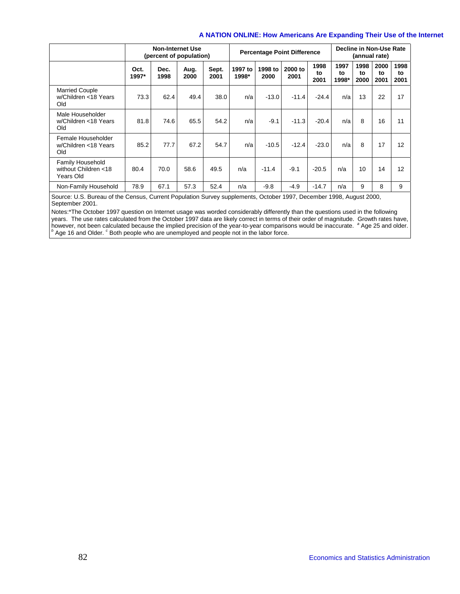|                                                              | <b>Non-Internet Use</b><br>(percent of population) |              |              | <b>Percentage Point Difference</b> | Decline in Non-Use Rate<br>(annual rate) |                 |                 |                    |                     |                    |                    |                    |
|--------------------------------------------------------------|----------------------------------------------------|--------------|--------------|------------------------------------|------------------------------------------|-----------------|-----------------|--------------------|---------------------|--------------------|--------------------|--------------------|
|                                                              | Oct.<br>1997*                                      | Dec.<br>1998 | Aug.<br>2000 | Sept.<br>2001                      | 1997 to<br>1998*                         | 1998 to<br>2000 | 2000 to<br>2001 | 1998<br>to<br>2001 | 1997<br>to<br>1998* | 1998<br>to<br>2000 | 2000<br>to<br>2001 | 1998<br>to<br>2001 |
| <b>Married Couple</b><br>w/Children <18 Years<br>Old         | 73.3                                               | 62.4         | 49.4         | 38.0                               | n/a                                      | $-13.0$         | $-11.4$         | $-24.4$            | n/a                 | 13                 | 22                 | 17                 |
| Male Householder<br>w/Children <18 Years<br>Old              | 81.8                                               | 74.6         | 65.5         | 54.2                               | n/a                                      | $-9.1$          | $-11.3$         | $-20.4$            | n/a                 | 8                  | 16                 | 11                 |
| Female Householder<br>w/Children <18 Years<br>Old            | 85.2                                               | 77.7         | 67.2         | 54.7                               | n/a                                      | $-10.5$         | $-12.4$         | $-23.0$            | n/a                 | 8                  | 17                 | 12                 |
| <b>Family Household</b><br>without Children <18<br>Years Old | 80.4                                               | 70.0         | 58.6         | 49.5                               | n/a                                      | $-11.4$         | $-9.1$          | $-20.5$            | n/a                 | 10                 | 14                 | 12                 |
| Non-Family Household                                         | 78.9                                               | 67.1         | 57.3         | 52.4                               | n/a                                      | $-9.8$          | $-4.9$          | $-14.7$            | n/a                 | 9                  | 8                  | 9                  |

Source: U.S. Bureau of the Census, Current Population Survey supplements, October 1997, December 1998, August 2000, September 2001.

Notes:\*The October 1997 question on Internet usage was worded considerably differently than the questions used in the following years. The use rates calculated from the October 1997 data are likely correct in terms of their order of magnitude. Growth rates have,<br>however, not been calculated because the implied precision of the year-to-year comparis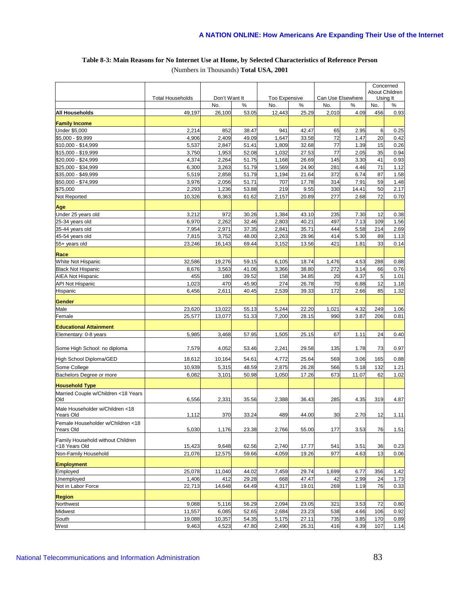### **Table 8-3: Main Reasons for No Internet Use at Home, by Selected Characteristics of Reference Person**  (Numbers in Thousands) **Total USA, 2001**

|                                            |                         |                      |                |                      |                |             |                           |            | Concerned        |
|--------------------------------------------|-------------------------|----------------------|----------------|----------------------|----------------|-------------|---------------------------|------------|------------------|
|                                            |                         |                      |                |                      |                |             |                           |            | About Children   |
|                                            | <b>Total Households</b> | Don't Want It<br>No. | %              | Too Expensive<br>No. | %              | No.         | Can Use Elsewhere<br>$\%$ | No.        | Using It<br>$\%$ |
| All Households                             | 49,197                  | 26,100               | 53.05          | 12,443               | 25.29          | 2,010       | 4.09                      | 456        | 0.93             |
|                                            |                         |                      |                |                      |                |             |                           |            |                  |
| <b>Family Income</b>                       |                         |                      |                |                      |                |             |                           |            |                  |
| Under \$5,000                              | 2,214                   | 852                  | 38.47          | 941                  | 42.47          | 65          | 2.95                      | 6          | 0.25             |
| \$5,000 - \$9,999                          | 4,906                   | 2,409                | 49.09          | 1,647                | 33.58          | 72          | 1.47                      | 20         | 0.42             |
| \$10,000 - \$14,999<br>\$15,000 - \$19,999 | 5,537<br>3,750          | 2,847<br>1,953       | 51.41<br>52.08 | 1,809<br>1,032       | 32.68<br>27.53 | 77<br>77    | 1.39<br>2.05              | 15<br>35   | 0.26<br>0.94     |
| \$20,000 - \$24,999                        | 4,374                   | 2,264                | 51.75          | 1,168                | 26.69          | 145         | 3.30                      | 41         | 0.93             |
| \$25,000 - \$34,999                        | 6,300                   | 3,263                | 51.79          | 1,569                | 24.90          | 281         | 4.46                      | 71         | 1.12             |
| \$35,000 - \$49,999                        | 5,519                   | 2,858                | 51.79          | 1,194                | 21.64          | 372         | 6.74                      | 87         | 1.58             |
| \$50,000 - \$74,999                        | 3,976                   | 2,056                | 51.71          | 707                  | 17.78          | 314         | 7.91                      | 59         | 1.48             |
| \$75,000                                   | 2,293                   | 1,236                | 53.88          | 219                  | 9.55           | 330         | 14.41                     | 50         | 2.17             |
| Not Reported                               | 10,326                  | 6,363                | 61.62          | 2,157                | 20.89          | 277         | 2.68                      | 72         | 0.70             |
|                                            |                         |                      |                |                      |                |             |                           |            |                  |
| Age                                        |                         |                      |                |                      |                |             |                           |            |                  |
| Under 25 years old                         | 3,212                   | 972                  | 30.26          | 1,384                | 43.10          | 235         | 7.30                      | 12         | 0.38             |
| 25-34 years old<br>35-44 years old         | 6,970<br>7,954          | 2,262<br>2,971       | 32.46<br>37.35 | 2,803<br>2,841       | 40.21<br>35.71 | 497<br>444  | 7.13<br>5.58              | 109<br>214 | 1.56<br>2.69     |
| 45-54 years old                            | 7,815                   | 3,752                | 48.00          | 2,263                | 28.96          | 414         | 5.30                      | 89         | 1.13             |
| 55+ years old                              | 23,246                  | 16,143               | 69.44          | 3,152                | 13.56          | 421         | 1.81                      | 33         | 0.14             |
|                                            |                         |                      |                |                      |                |             |                           |            |                  |
| Race                                       |                         |                      |                |                      |                |             |                           |            |                  |
| White Not Hispanic                         | 32,586                  | 19,276               | 59.15          | 6,105                | 18.74          | 1,476       | 4.53                      | 288        | 0.88             |
| <b>Black Not Hispanic</b>                  | 8,676                   | 3,563                | 41.06          | 3,366                | 38.80          | 272         | 3.14                      | 66         | 0.76             |
| <b>AIEA Not Hispanic</b>                   | 455                     | 180                  | 39.52          | 158                  | 34.85          | 20          | 4.37                      | 5          | 1.01             |
| API Not Hispanic                           | 1,023                   | 470                  | 45.90          | 274                  | 26.78          | 70          | 6.88                      | 12         | 1.18             |
| Hispanic                                   | 6,456                   | 2,611                | 40.45          | 2,539                | 39.33          | 172         | 2.66                      | 85         | 1.32             |
| Gender                                     |                         |                      |                |                      |                |             |                           |            |                  |
| Male                                       | 23,620                  | 13,022               | 55.13          | 5,244                | 22.20          | 1,021       | 4.32                      | 249        | 1.06             |
| Female                                     | 25,577                  | 13,077               | 51.33          | 7,200                | 28.15          | 990         | 3.87                      | 206        | 0.81             |
| <b>Educational Attainment</b>              |                         |                      |                |                      |                |             |                           |            |                  |
| Elementary: 0-8 years                      | 5,985                   | 3,468                | 57.95          | 1,505                | 25.15          | 67          | 1.11                      | 24         | 0.40             |
|                                            |                         |                      |                |                      |                |             |                           |            |                  |
| Some High School: no diploma               | 7,579                   | 4,052                | 53.46          | 2,241                | 29.58          | 135         | 1.78                      | 73         | 0.97             |
| High School Diploma/GED                    | 18,612                  | 10,164               | 54.61          | 4,772                | 25.64          | 569         | 3.06                      | 165        | 0.88             |
| Some College                               | 10,939                  | 5,315                | 48.59          | 2,875                | 26.28          | 566         | 5.18                      | 132        | 1.21             |
| Bachelors Degree or more                   | 6,082                   | 3,101                | 50.98          | 1,050                | 17.26          | 673         | 11.07                     | 62         | 1.02             |
| <b>Household Type</b>                      |                         |                      |                |                      |                |             |                           |            |                  |
| Married Couple w/Children <18 Years        |                         |                      |                |                      |                |             |                           |            |                  |
| Old                                        | 6,556                   | 2,331                | 35.56          | 2,388                | 36.43          | 285         | 4.35                      | 319        | 4.87             |
| Male Householder w/Children <18            |                         |                      |                |                      |                |             |                           |            |                  |
| Years Old                                  | 1,112                   | 370                  | 33.24          | 489                  | 44.00          | 30          | 2.70                      | 12         | 1.11             |
| Female Householder w/Children <18          |                         |                      |                |                      |                |             |                           |            |                  |
| Years Old                                  | 5,030                   | 1,176                | 23.38          | 2,766                | 55.00          | 177         | 3.53                      | 76         | 1.51             |
| Family Household without Children          |                         |                      |                |                      |                |             |                           |            |                  |
| <18 Years Old                              | 15,423                  | 9,648                | 62.56          | 2,740                | 17.77          | 541         | 3.51                      | 36         | 0.23             |
| Non-Family Household                       | 21,076                  | 12,575               | 59.66          | 4,059                | 19.26          | 977         | 4.63                      | 13         | 0.06             |
|                                            |                         |                      |                |                      |                |             |                           |            |                  |
| <b>Employment</b><br>Employed              | 25,078                  |                      | 44.02          | 7,459                | 29.74          |             | 6.77                      | 356        | 1.42             |
| Unemployed                                 | 1,406                   | 11,040<br>412        | 29.28          |                      | 47.47          | 1,699<br>42 | 2.99                      | 24         | 1.73             |
| Not in Labor Force                         | 22,713                  | 14,648               | 64.49          | 668<br>4,317         | 19.01          | 269         | 1.19                      | 76         | 0.33             |
|                                            |                         |                      |                |                      |                |             |                           |            |                  |
| <b>Region</b>                              |                         |                      |                |                      |                |             |                           |            |                  |
| Northwest                                  | 9,088                   | 5,116                | 56.29          | 2,094                | 23.05          | 321         | 3.53                      | 72         | 0.80             |
| Midwest                                    | 11,557                  | 6,085                | 52.65          | 2,684                | 23.23          | 538         | 4.66                      | 106        | 0.92             |
| South                                      | 19,088                  | 10,357               | 54.35          | 5,175                | 27.11          | 735         | 3.85                      | 170        | 0.89             |
| West                                       | 9,463                   | 4,523                | 47.80          | 2,490                | 26.31          | 416         | 4.39                      | 107        | 1.14             |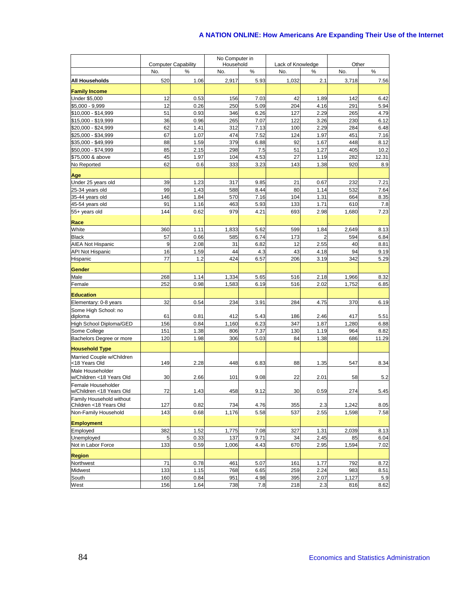|                                            |     |                                 | No Computer in   |      |                          |                |       |            |
|--------------------------------------------|-----|---------------------------------|------------------|------|--------------------------|----------------|-------|------------|
|                                            | No. | <b>Computer Capability</b><br>% | Household<br>No. | %    | Lack of Knowledge<br>No. | %              | No.   | Other<br>% |
| All Households                             | 520 | 1.06                            | 2,917            | 5.93 | 1,032                    | 2.1            | 3,718 |            |
|                                            |     |                                 |                  |      |                          |                |       | 7.56       |
| <b>Family Income</b>                       |     |                                 |                  |      |                          |                |       |            |
| Under \$5,000                              | 12  | 0.53                            | 156              | 7.03 | 42                       | 1.89           | 142   | 6.42       |
| \$5,000 - 9,999                            | 12  | 0.26                            | 250              | 5.09 | 204                      | 4.16           | 291   | 5.94       |
| \$10,000 - \$14,999                        | 51  | 0.93                            | 346              | 6.26 | 127                      | 2.29           | 265   | 4.79       |
| \$15,000 - \$19,999                        | 36  | 0.96                            | 265              | 7.07 | 122                      | 3.26           | 230   | 6.12       |
| \$20,000 - \$24.999                        | 62  | 1.41                            | 312              | 7.13 | 100                      | 2.29           | 284   | 6.48       |
| \$25,000 - \$34,999                        | 67  | 1.07                            | 474              | 7.52 | 124                      | 1.97           | 451   | 7.16       |
| \$35,000 - \$49,999                        | 88  | 1.59                            | 379              | 6.88 | 92                       | 1.67           | 448   | 8.12       |
| \$50,000 - \$74,999                        | 85  | 2.15                            | 298              | 7.5  | 51                       | 1.27           | 405   | 10.2       |
| \$75,000 & above                           | 45  | 1.97                            | 104              | 4.53 | 27<br>143                | 1.19<br>1.38   | 282   | 12.31      |
| No Reported                                | 62  | 0.6                             | 333              | 3.23 |                          |                | 920   | 8.9        |
| Age                                        |     |                                 |                  |      |                          |                |       |            |
| Under 25 years old                         | 39  | 1.23                            | 317              | 9.85 | 21                       | 0.67           | 232   | 7.21       |
| 25-34 years old                            | 99  | 1.43                            | 588              | 8.44 | 80                       | 1.14           | 532   | 7.64       |
| 35-44 years old                            | 146 | 1.84                            | 570              | 7.16 | 104                      | 1.31           | 664   | 8.35       |
| 45-54 years old                            | 91  | 1.16                            | 463              | 5.93 | 133                      | 1.71           | 610   | 7.8        |
| 55+ years old                              | 144 | 0.62                            | 979              | 4.21 | 693                      | 2.98           | 1,680 | 7.23       |
| Race                                       |     |                                 |                  |      |                          |                |       |            |
| White                                      | 360 | 1.11                            | 1,833            | 5.62 | 599                      | 1.84           | 2,649 | 8.13       |
| <b>Black</b>                               | 57  | 0.66                            | 585              | 6.74 | 173                      | $\overline{2}$ | 594   | 6.84       |
| <b>AIEA Not Hispanic</b>                   | 9   | 2.08                            | 31               | 6.82 | 12                       | 2.55           | 40    | 8.81       |
| <b>API Not Hispanic</b>                    | 16  | 1.59                            | 44               | 4.3  | 43                       | 4.18           | 94    | 9.19       |
| Hispanic                                   | 77  | 1.2                             | 424              | 6.57 | 206                      | 3.19           | 342   | 5.29       |
| Gender                                     |     |                                 |                  |      |                          |                |       |            |
| Male                                       | 268 | 1.14                            | 1,334            | 5.65 | 516                      | 2.18           | 1,966 | 8.32       |
| Female                                     | 252 | 0.98                            | 1,583            | 6.19 | 516                      | 2.02           | 1,752 | 6.85       |
| <b>Education</b>                           |     |                                 |                  |      |                          |                |       |            |
| Elementary: 0-8 years                      | 32  | 0.54                            | 234              | 3.91 | 284                      | 4.75           | 370   | 6.19       |
| Some High School: no                       |     |                                 |                  |      |                          |                |       |            |
| diploma                                    | 61  | 0.81                            | 412              | 5.43 | 186                      | 2.46           | 417   | 5.51       |
| High School Diploma/GED                    | 156 | 0.84                            | 1,160            | 6.23 | 347                      | 1.87           | 1,280 | 6.88       |
| Some College                               | 151 | 1.38                            | 806              | 7.37 | 130                      | 1.19           | 964   | 8.82       |
| Bachelors Degree or more                   | 120 | 1.98                            | 306              | 5.03 | 84                       | 1.38           | 686   | 11.29      |
| <b>Household Type</b>                      |     |                                 |                  |      |                          |                |       |            |
| Married Couple w/Children<br><18 Years Old | 149 | 2.28                            | 448              | 6.83 | 88                       | 1.35           | 547   | 8.34       |
| Male Householder                           |     |                                 |                  |      |                          |                |       |            |
| w/Children <18 Years Old                   | 30  | 2.66                            | 101              | 9.08 | 22                       | 2.01           | 58    | 5.2        |
| Female Householder                         |     |                                 |                  |      |                          |                |       |            |
| w/Children <18 Years Old                   | 72  | 1.43                            | 458              | 9.12 | 30                       | 0.59           | 274   | 5.45       |
| Family Household without                   |     |                                 |                  |      |                          |                |       |            |
| Children <18 Years Old                     | 127 | 0.82                            | 734              | 4.76 | 355                      | 2.3            | 1,242 | 8.05       |
| Non-Family Household                       | 143 | 0.68                            | 1,176            | 5.58 | 537                      | 2.55           | 1,598 | 7.58       |
| <b>Employment</b>                          |     |                                 |                  |      |                          |                |       |            |
| Employed                                   | 382 | 1.52                            | 1,775            | 7.08 | 327                      | 1.31           | 2,039 | 8.13       |
| Unemployed                                 | 5   | 0.33                            | 137              | 9.71 | 34                       | 2.45           | 85    | 6.04       |
| Not in Labor Force                         | 133 | 0.59                            | 1,006            | 4.43 | 670                      | 2.95           | 1,594 | 7.02       |
| <b>Region</b>                              |     |                                 |                  |      |                          |                |       |            |
| Northwest                                  | 71  | 0.78                            | 461              | 5.07 | 161                      | 1.77           | 792   | 8.72       |
| Midwest                                    | 133 | 1.15                            | 768              | 6.65 | 259                      | 2.24           | 983   | 8.51       |
| South                                      | 160 | 0.84                            | 951              | 4.98 | 395                      | 2.07           | 1,127 | 5.9        |
| West                                       | 156 | 1.64                            | 738              | 7.8  | 218                      | 2.3            | 816   | 8.62       |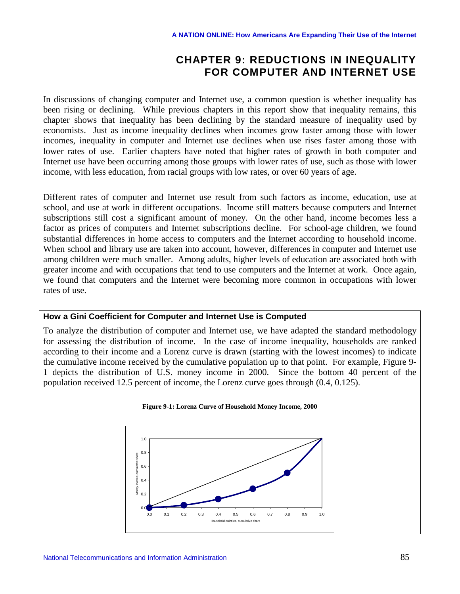# **CHAPTER 9: REDUCTIONS IN INEQUALITY FOR COMPUTER AND INTERNET USE**

In discussions of changing computer and Internet use, a common question is whether inequality has been rising or declining. While previous chapters in this report show that inequality remains, this chapter shows that inequality has been declining by the standard measure of inequality used by economists. Just as income inequality declines when incomes grow faster among those with lower incomes, inequality in computer and Internet use declines when use rises faster among those with lower rates of use. Earlier chapters have noted that higher rates of growth in both computer and Internet use have been occurring among those groups with lower rates of use, such as those with lower income, with less education, from racial groups with low rates, or over 60 years of age.

Different rates of computer and Internet use result from such factors as income, education, use at school, and use at work in different occupations. Income still matters because computers and Internet subscriptions still cost a significant amount of money. On the other hand, income becomes less a factor as prices of computers and Internet subscriptions decline. For school-age children, we found substantial differences in home access to computers and the Internet according to household income. When school and library use are taken into account, however, differences in computer and Internet use among children were much smaller. Among adults, higher levels of education are associated both with greater income and with occupations that tend to use computers and the Internet at work. Once again, we found that computers and the Internet were becoming more common in occupations with lower rates of use.

### **How a Gini Coefficient for Computer and Internet Use is Computed**

To analyze the distribution of computer and Internet use, we have adapted the standard methodology for assessing the distribution of income. In the case of income inequality, households are ranked according to their income and a Lorenz curve is drawn (starting with the lowest incomes) to indicate the cumulative income received by the cumulative population up to that point. For example, Figure 9- 1 depicts the distribution of U.S. money income in 2000. Since the bottom 40 percent of the population received 12.5 percent of income, the Lorenz curve goes through (0.4, 0.125).

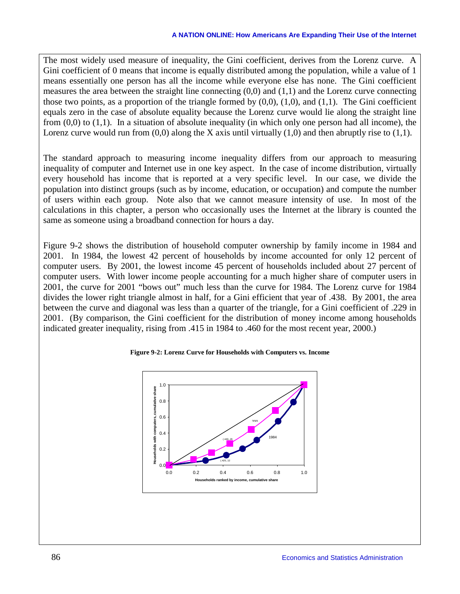The most widely used measure of inequality, the Gini coefficient, derives from the Lorenz curve. A Gini coefficient of 0 means that income is equally distributed among the population, while a value of 1 means essentially one person has all the income while everyone else has none. The Gini coefficient measures the area between the straight line connecting (0,0) and (1,1) and the Lorenz curve connecting those two points, as a proportion of the triangle formed by  $(0,0)$ ,  $(1,0)$ , and  $(1,1)$ . The Gini coefficient equals zero in the case of absolute equality because the Lorenz curve would lie along the straight line from  $(0,0)$  to  $(1,1)$ . In a situation of absolute inequality (in which only one person had all income), the Lorenz curve would run from  $(0,0)$  along the X axis until virtually  $(1,0)$  and then abruptly rise to  $(1,1)$ .

The standard approach to measuring income inequality differs from our approach to measuring inequality of computer and Internet use in one key aspect. In the case of income distribution, virtually every household has income that is reported at a very specific level. In our case, we divide the population into distinct groups (such as by income, education, or occupation) and compute the number of users within each group. Note also that we cannot measure intensity of use. In most of the calculations in this chapter, a person who occasionally uses the Internet at the library is counted the same as someone using a broadband connection for hours a day.

Figure 9-2 shows the distribution of household computer ownership by family income in 1984 and 2001. In 1984, the lowest 42 percent of households by income accounted for only 12 percent of computer users. By 2001, the lowest income 45 percent of households included about 27 percent of computer users. With lower income people accounting for a much higher share of computer users in 2001, the curve for 2001 "bows out" much less than the curve for 1984. The Lorenz curve for 1984 divides the lower right triangle almost in half, for a Gini efficient that year of .438. By 2001, the area between the curve and diagonal was less than a quarter of the triangle, for a Gini coefficient of .229 in 2001. (By comparison, the Gini coefficient for the distribution of money income among households indicated greater inequality, rising from .415 in 1984 to .460 for the most recent year, 2000.)

### **Figure 9-2: Lorenz Curve for Households with Computers vs. Income**

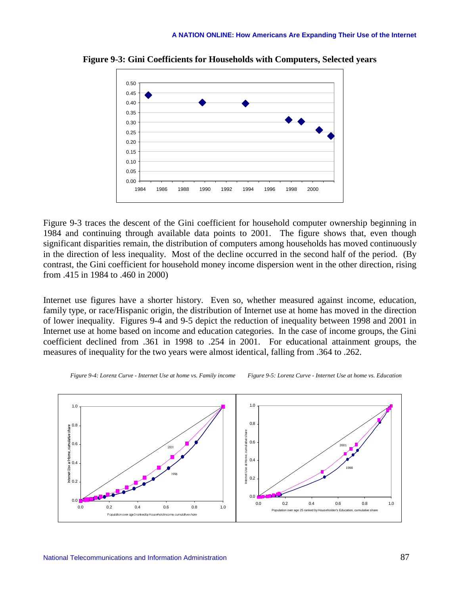

**Figure 9-3: Gini Coefficients for Households with Computers, Selected years**

Figure 9-3 traces the descent of the Gini coefficient for household computer ownership beginning in 1984 and continuing through available data points to 2001. The figure shows that, even though significant disparities remain, the distribution of computers among households has moved continuously in the direction of less inequality. Most of the decline occurred in the second half of the period. (By contrast, the Gini coefficient for household money income dispersion went in the other direction, rising from .415 in 1984 to .460 in 2000)

Internet use figures have a shorter history. Even so, whether measured against income, education, family type, or race/Hispanic origin, the distribution of Internet use at home has moved in the direction of lower inequality. Figures 9-4 and 9-5 depict the reduction of inequality between 1998 and 2001 in Internet use at home based on income and education categories. In the case of income groups, the Gini coefficient declined from .361 in 1998 to .254 in 2001. For educational attainment groups, the measures of inequality for the two years were almost identical, falling from .364 to .262.



*Figure 9-4: Lorenz Curve - Internet Use at home vs. Family income Figure 9-5: Lorenz Curve - Internet Use at home vs. Education*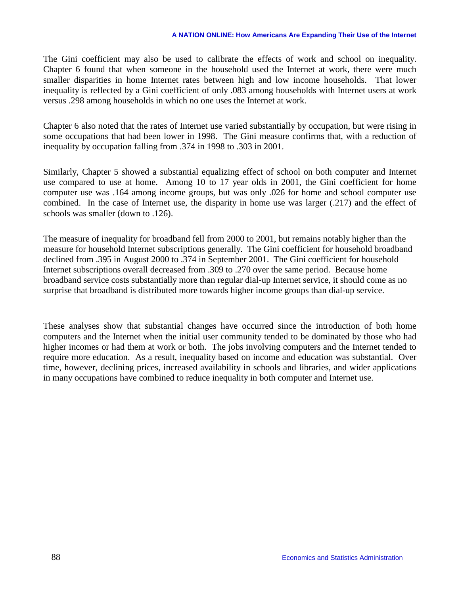The Gini coefficient may also be used to calibrate the effects of work and school on inequality. Chapter 6 found that when someone in the household used the Internet at work, there were much smaller disparities in home Internet rates between high and low income households. That lower inequality is reflected by a Gini coefficient of only .083 among households with Internet users at work versus .298 among households in which no one uses the Internet at work.

Chapter 6 also noted that the rates of Internet use varied substantially by occupation, but were rising in some occupations that had been lower in 1998. The Gini measure confirms that, with a reduction of inequality by occupation falling from .374 in 1998 to .303 in 2001.

Similarly, Chapter 5 showed a substantial equalizing effect of school on both computer and Internet use compared to use at home. Among 10 to 17 year olds in 2001, the Gini coefficient for home computer use was .164 among income groups, but was only .026 for home and school computer use combined. In the case of Internet use, the disparity in home use was larger (.217) and the effect of schools was smaller (down to .126).

The measure of inequality for broadband fell from 2000 to 2001, but remains notably higher than the measure for household Internet subscriptions generally. The Gini coefficient for household broadband declined from .395 in August 2000 to .374 in September 2001. The Gini coefficient for household Internet subscriptions overall decreased from .309 to .270 over the same period. Because home broadband service costs substantially more than regular dial-up Internet service, it should come as no surprise that broadband is distributed more towards higher income groups than dial-up service.

These analyses show that substantial changes have occurred since the introduction of both home computers and the Internet when the initial user community tended to be dominated by those who had higher incomes or had them at work or both. The jobs involving computers and the Internet tended to require more education. As a result, inequality based on income and education was substantial. Over time, however, declining prices, increased availability in schools and libraries, and wider applications in many occupations have combined to reduce inequality in both computer and Internet use.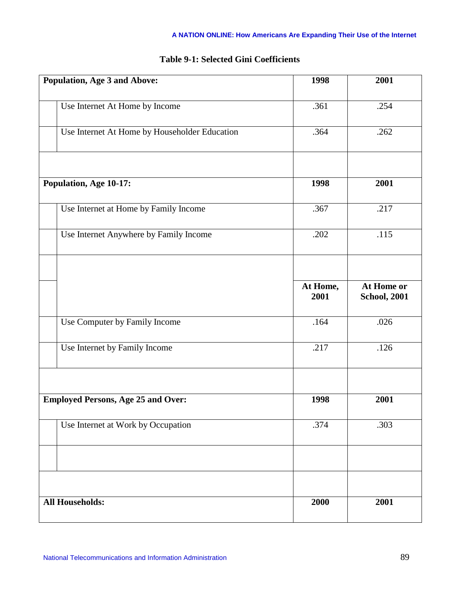| <b>Population, Age 3 and Above:</b> |                                               | 1998              | 2001                              |
|-------------------------------------|-----------------------------------------------|-------------------|-----------------------------------|
|                                     | Use Internet At Home by Income                | .361              | .254                              |
|                                     | Use Internet At Home by Householder Education | .364              | .262                              |
|                                     |                                               |                   |                                   |
| Population, Age 10-17:              |                                               | 1998              | 2001                              |
|                                     | Use Internet at Home by Family Income         | .367              | .217                              |
|                                     | Use Internet Anywhere by Family Income        | .202              | .115                              |
|                                     |                                               |                   |                                   |
|                                     |                                               | At Home,<br>2001  | At Home or<br><b>School, 2001</b> |
|                                     | Use Computer by Family Income                 | .164              | .026                              |
|                                     | Use Internet by Family Income                 | $\overline{.}217$ | .126                              |
|                                     |                                               |                   |                                   |
|                                     | <b>Employed Persons, Age 25 and Over:</b>     | 1998              | 2001                              |
|                                     | Use Internet at Work by Occupation            | .374              | .303                              |
|                                     |                                               |                   |                                   |
|                                     |                                               |                   |                                   |
| <b>All Households:</b>              |                                               | 2000              | 2001                              |

# **Table 9-1: Selected Gini Coefficients**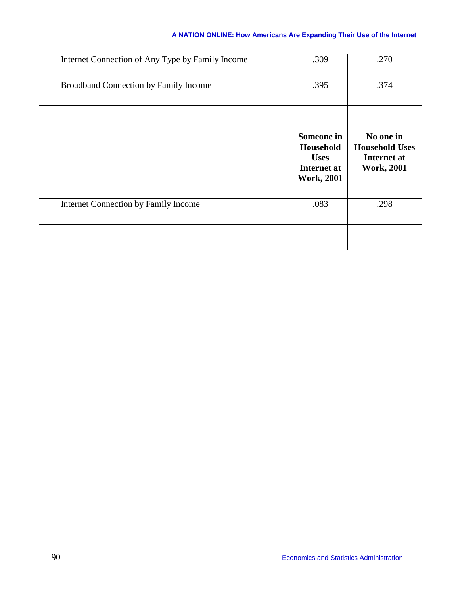| Internet Connection of Any Type by Family Income | .309                                                                              | .270                                                                   |
|--------------------------------------------------|-----------------------------------------------------------------------------------|------------------------------------------------------------------------|
| Broadband Connection by Family Income            | .395                                                                              | .374                                                                   |
|                                                  |                                                                                   |                                                                        |
|                                                  | <b>Someone</b> in<br>Household<br><b>Uses</b><br>Internet at<br><b>Work, 2001</b> | No one in<br><b>Household Uses</b><br>Internet at<br><b>Work, 2001</b> |
| Internet Connection by Family Income             | .083                                                                              | .298                                                                   |
|                                                  |                                                                                   |                                                                        |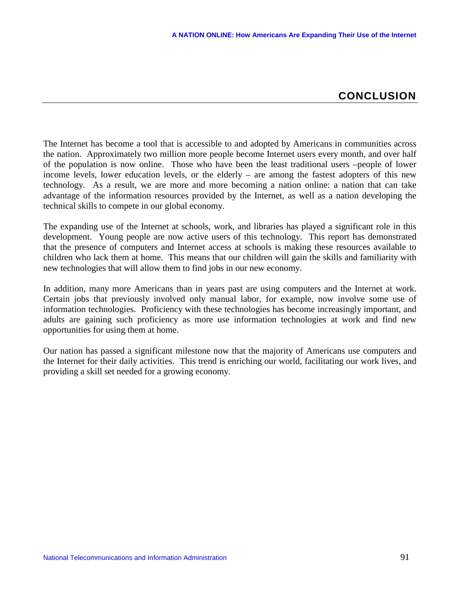# **CONCLUSION**

The Internet has become a tool that is accessible to and adopted by Americans in communities across the nation. Approximately two million more people become Internet users every month, and over half of the population is now online. Those who have been the least traditional users –people of lower income levels, lower education levels, or the elderly – are among the fastest adopters of this new technology. As a result, we are more and more becoming a nation online: a nation that can take advantage of the information resources provided by the Internet, as well as a nation developing the technical skills to compete in our global economy.

The expanding use of the Internet at schools, work, and libraries has played a significant role in this development. Young people are now active users of this technology. This report has demonstrated that the presence of computers and Internet access at schools is making these resources available to children who lack them at home. This means that our children will gain the skills and familiarity with new technologies that will allow them to find jobs in our new economy.

In addition, many more Americans than in years past are using computers and the Internet at work. Certain jobs that previously involved only manual labor, for example, now involve some use of information technologies. Proficiency with these technologies has become increasingly important, and adults are gaining such proficiency as more use information technologies at work and find new opportunities for using them at home.

Our nation has passed a significant milestone now that the majority of Americans use computers and the Internet for their daily activities. This trend is enriching our world, facilitating our work lives, and providing a skill set needed for a growing economy.